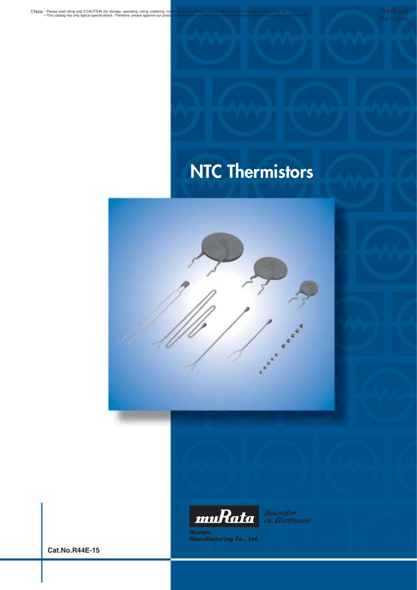R44E.pdf

# **NTC Thermistors**





Innovator<br>in Electronics

Murata<br>Manufacturing Co., Ltd.

**Cat.No.R44E-15**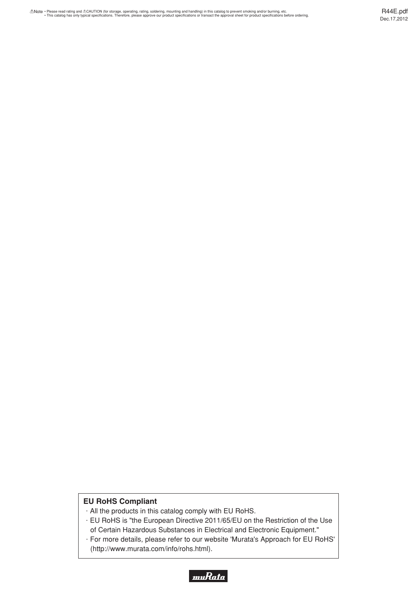# **EU RoHS Compliant**

- $\cdot$  All the products in this catalog comply with EU RoHS.
- $\cdot$  EU RoHS is "the European Directive 2011/65/EU on the Restriction of the Use of Certain Hazardous Substances in Electrical and Electronic Equipment."
- · For more details, please refer to our website 'Murata's Approach for EU RoHS' (http://www.murata.com/info/rohs.html).

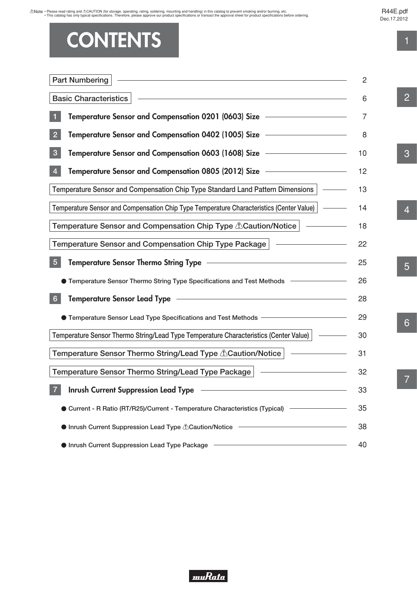Note · Please read rating and ACAUTION (for storage, operating, rating, soldering, mounting and handling) in this catalog to prevent smoking and/or burning, etc.<br>This catalog has only typical specifications. Therefore, ple

# R44E.pdf

Dec.17,2012

# **CONTENTS**

| <b>Part Numbering</b>                                                                                                                                                                                                          | 2  |
|--------------------------------------------------------------------------------------------------------------------------------------------------------------------------------------------------------------------------------|----|
| <b>Basic Characteristics</b>                                                                                                                                                                                                   | 6  |
| Temperature Sensor and Compensation 0201 (0603) Size ––––––––––––––                                                                                                                                                            | 7  |
| Temperature Sensor and Compensation 0402 (1005) Size —<br>$\overline{2}$                                                                                                                                                       | 8  |
| Temperature Sensor and Compensation 0603 (1608) Size —<br>$\mathbf{3}$                                                                                                                                                         | 10 |
| Temperature Sensor and Compensation 0805 (2012) Size –––––––––––––––<br>$\overline{4}$                                                                                                                                         | 12 |
| Temperature Sensor and Compensation Chip Type Standard Land Pattern Dimensions                                                                                                                                                 | 13 |
| Temperature Sensor and Compensation Chip Type Temperature Characteristics (Center Value)   -                                                                                                                                   | 14 |
| Temperature Sensor and Compensation Chip Type <b><i>A</i>Caution/Notice</b>                                                                                                                                                    | 18 |
| Temperature Sensor and Compensation Chip Type Package                                                                                                                                                                          | 22 |
| $\sqrt{5}$<br><b>Temperature Sensor Thermo String Type</b>                                                                                                                                                                     | 25 |
| <b>Temperature Sensor Thermo String Type Specifications and Test Methods</b>                                                                                                                                                   | 26 |
| <b>Temperature Sensor Lead Type</b><br>the control of the control of the control of the control of the control of the control of<br>6                                                                                          | 28 |
| ● Temperature Sensor Lead Type Specifications and Test Methods ––––––––––––––––                                                                                                                                                | 29 |
| Temperature Sensor Thermo String/Lead Type Temperature Characteristics (Center Value)                                                                                                                                          | 30 |
| Temperature Sensor Thermo String/Lead Type <i>A</i> Caution/Notice                                                                                                                                                             | 31 |
| Temperature Sensor Thermo String/Lead Type Package                                                                                                                                                                             | 32 |
| Inrush Current Suppression Lead Type   The Contract Current Current Current Current Current Current Current Cu<br>$\overline{7}$                                                                                               | 33 |
| Current - R Ratio (RT/R25)/Current - Temperature Characteristics (Typical) –––––––––––––––––––––––––––––––––––                                                                                                                 | 35 |
|                                                                                                                                                                                                                                | 38 |
| • Inrush Current Suppression Lead Type Package Theory of the Contract of the Contract of the Contract of the Contract of the Contract of the Contract of the Contract of the Contract of the Contract of the Contract of the C | 40 |

2

1

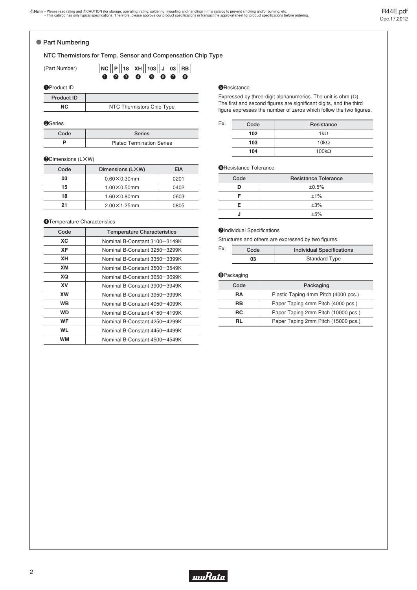#### <span id="page-3-0"></span>o **Part Numbering**

#### **NTC Thermistors for Temp. Sensor and Compensation Chip Type**

| (Part Number) |  |  | NC P 18 XH 103 J 03 RB |  |  |
|---------------|--|--|------------------------|--|--|
|               |  |  | 0 0 0 0 0 0 0 0        |  |  |

#### **O**Product ID

| <b>Product ID</b> |
|-------------------|
| $\sim$            |

**NC** NTC Thermistors Chip Type

| <b>2</b> Series |  |
|-----------------|--|

| Code | <b>Series</b>                    |
|------|----------------------------------|
|      | <b>Plated Termination Series</b> |

#### **ODimensions (LXW)**

| Code | Dimensions (LXW)      | EIA  |
|------|-----------------------|------|
| 03   | $0.60 \times 0.30$ mm | 0201 |
| 15   | $1.00\times0.50$ mm   | 0402 |
| 18   | $1.60\times0.80$ mm   | 0603 |
| 21   | $2.00 \times 1.25$ mm | 0805 |

#### **4**Temperature Characteristics

| Code      | <b>Temperature Characteristics</b> |  |  |
|-----------|------------------------------------|--|--|
| ХC        | Nominal B-Constant 3100-3149K      |  |  |
| XF        | Nominal B-Constant 3250-3299K      |  |  |
| XН        | Nominal B-Constant 3350-3399K      |  |  |
| XМ        | Nominal B-Constant 3500-3549K      |  |  |
| XQ        | Nominal B-Constant 3650-3699K      |  |  |
| XV        | Nominal B-Constant 3900-3949K      |  |  |
| <b>XW</b> | Nominal B-Constant 3950-3999K      |  |  |
| <b>WB</b> | Nominal B-Constant 4050-4099K      |  |  |
| <b>WD</b> | Nominal B-Constant 4150-4199K      |  |  |
| WF        | Nominal B-Constant 4250-4299K      |  |  |
| WL        | Nominal B-Constant 4450-4499K      |  |  |
| WМ        | Nominal B-Constant 4500-4549K      |  |  |

#### **S**Resistance

Expressed by three-digit alphanumerics. The unit is ohm  $(\Omega)$ . The first and second figures are significant digits, and the third figure expresses the number of zeros which follow the two figures.

| Ex. | Code | Resistance   |
|-----|------|--------------|
|     | 102  | $1k\Omega$   |
|     | 103  | $10k\Omega$  |
|     | 104  | $100k\Omega$ |

#### **G**Resistance Tolerance

| Code | <b>Resistance Tolerance</b> |  |  |
|------|-----------------------------|--|--|
|      | ±0.5%                       |  |  |
|      | ±1%                         |  |  |
| F    | ±3%                         |  |  |
|      | ±5%                         |  |  |

#### **OIndividual Specifications**

Structures and others are expressed by two figures.

| Ex. | Code | <b>Individual Specifications</b> |  |  |  |
|-----|------|----------------------------------|--|--|--|
| 03  |      | <b>Standard Type</b>             |  |  |  |

#### **@Packaging**

| Code | Packaging                            |  |  |
|------|--------------------------------------|--|--|
| RA   | Plastic Taping 4mm Pitch (4000 pcs.) |  |  |
| RB   | Paper Taping 4mm Pitch (4000 pcs.)   |  |  |
| RC   | Paper Taping 2mm Pitch (10000 pcs.)  |  |  |
| RL   | Paper Taping 2mm Pitch (15000 pcs.)  |  |  |

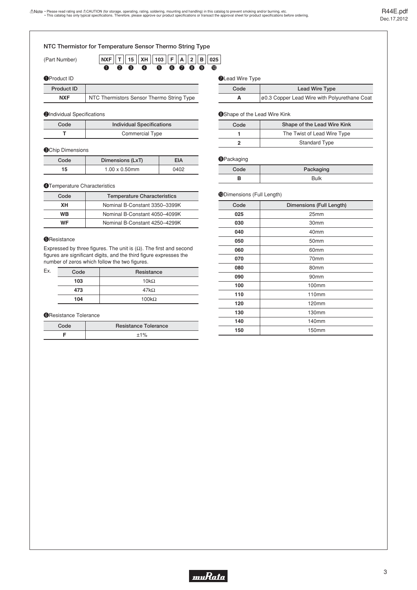| NTC Thermistor for Temperature Sensor Thermo String Type |                                                                                                                            |                                           |                        |                               |  |  |
|----------------------------------------------------------|----------------------------------------------------------------------------------------------------------------------------|-------------------------------------------|------------------------|-------------------------------|--|--|
| (Part Number)                                            | $103$ $ F $<br>∣ XH<br> A  2<br><b>NXF</b><br>15 <sup>1</sup><br>$\bullet$ 8<br>6<br>6<br>6<br>$\bullet$<br>$\bullet$<br>O | в<br>025<br>$\boldsymbol{9}$<br>$\bullet$ |                        |                               |  |  |
| <b>O</b> Product ID                                      |                                                                                                                            |                                           | <b>OLead Wire Type</b> |                               |  |  |
| <b>Product ID</b>                                        |                                                                                                                            |                                           | Code                   | <b>Lead Wire Type</b>         |  |  |
| <b>NXF</b>                                               | NTC Thermistors Sensor Thermo String Type                                                                                  |                                           | A                      | 00.3 Copper Lead Wire with Po |  |  |
|                                                          |                                                                                                                            |                                           |                        |                               |  |  |

#### **2**Individual Specifications

| Code | <b>Individual Specifications</b> |
|------|----------------------------------|
|      | Commercial Type                  |

#### **OChip Dimensions**

| Code | Dimensions (LxT)      | EIA  |
|------|-----------------------|------|
| 15   | $1.00 \times 0.50$ mm | በ4በ2 |

#### **@Temperature Characteristics**

| Code | <b>Temperature Characteristics</b> |
|------|------------------------------------|
| XН   | Nominal B-Constant 3350-3399K      |
| WВ   | Nominal B-Constant 4050-4099K      |
| WF   | Nominal B-Constant 4250-4299K      |

#### **G**Resistance

Expressed by three figures. The unit is  $(\Omega)$ . The first and second figures are significant digits, and the third figure expresses the number of zeros which follow the two figures.

| Ex. | Code | Resistance   |
|-----|------|--------------|
|     | 103  | $10k\Omega$  |
|     | 473  | $47k\Omega$  |
|     | 104  | $100k\Omega$ |

#### **G**Resistance Tolerance

| Code | <b>Resistance Tolerance</b> |
|------|-----------------------------|
|      | $+1%$                       |

#### **OLead Wire Type**

| duct ID    |                                           | Code | Lead Wire Type                               |
|------------|-------------------------------------------|------|----------------------------------------------|
| <b>NXF</b> | NTC Thermistors Sensor Thermo String Type |      | 00.3 Copper Lead Wire with Polyurethane Coat |

#### **OShape of the Lead Wire Kink**

| Code | Shape of the Lead Wire Kink |
|------|-----------------------------|
|      | The Twist of Lead Wire Type |
|      | <b>Standard Type</b>        |

#### **OPackaging**

| Packaging |
|-----------|
|           |

#### !0Dimensions (Full Length)

| Code | Dimensions (Full Length) |
|------|--------------------------|
| 025  | 25mm                     |
| 030  | 30mm                     |
| 040  | 40mm                     |
| 050  | 50 <sub>mm</sub>         |
| 060  | 60mm                     |
| 070  | 70mm                     |
| 080  | 80mm                     |
| 090  | 90mm                     |
| 100  | 100mm                    |
| 110  | 110mm                    |
| 120  | 120mm                    |
| 130  | 130mm                    |
| 140  | 140mm                    |
| 150  | 150mm                    |

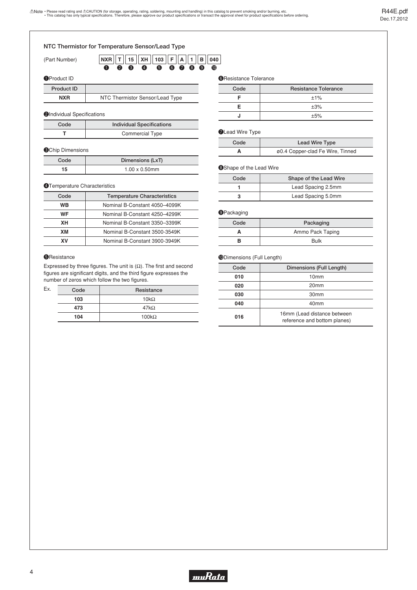#### **O**Product ID **NTC Thermistor for Temperature Sensor/Lead Type**  (Part Number) **90000 103 T 15 XH F A 1 B NXR 040 e** 3 <sup>4</sup>  $\bullet$

| <b>Product ID</b> |                                 |
|-------------------|---------------------------------|
| <b>NXR</b>        | NTC Thermistor Sensor/Lead Type |

#### **2**Individual Specifications

| Code | <b>Individual Specifications</b> |
|------|----------------------------------|
|      | <b>Commercial Type</b>           |

#### **OChip Dimensions**

I.

| Code | Dimensions (LxT)      |
|------|-----------------------|
| 15   | $1.00 \times 0.50$ mm |

#### **@Temperature Characteristics**

| Code | <b>Temperature Characteristics</b> |
|------|------------------------------------|
| WВ   | Nominal B-Constant 4050-4099K      |
| WF   | Nominal B-Constant 4250-4299K      |
| XН   | Nominal B-Constant 3350-3399K      |
| xм   | Nominal B-Constant 3500-3549K      |
| x٧   | Nominal B-Constant 3900-3949K      |

#### **G**Resistance

Expressed by three figures. The unit is  $(\Omega)$ . The first and second figures are significant digits, and the third figure expresses the number of zeros which follow the two figures.

| Ex. | Code | Resistance   |
|-----|------|--------------|
|     | 103  | $10k\Omega$  |
|     | 473  | $47k\Omega$  |
|     | 104  | $100k\Omega$ |

#### **@Resistance Tolerance**

| Code | <b>Resistance Tolerance</b> |
|------|-----------------------------|
|      | ±1%                         |
|      | ±3%                         |
|      | ±5%                         |

#### **OLead Wire Type**

| Code | Lead Wire Type                   |
|------|----------------------------------|
|      | ø0.4 Copper-clad Fe Wire, Tinned |

#### **@Shape of the Lead Wire**

| Code | Shape of the Lead Wire |
|------|------------------------|
|      | Lead Spacing 2.5mm     |
|      | Lead Spacing 5.0mm     |

#### **OPackaging**

| Code | Packaging        |
|------|------------------|
|      | Ammo Pack Taping |
|      | <b>Bulk</b>      |

#### !0Dimensions (Full Length)

| Code | Dimensions (Full Length)                                    |
|------|-------------------------------------------------------------|
| 010  | 10 <sub>mm</sub>                                            |
| 020  | 20 <sub>mm</sub>                                            |
| 030  | 30 <sub>mm</sub>                                            |
| 040  | 40 <sub>mm</sub>                                            |
| 016  | 16mm (Lead distance between<br>reference and bottom planes) |

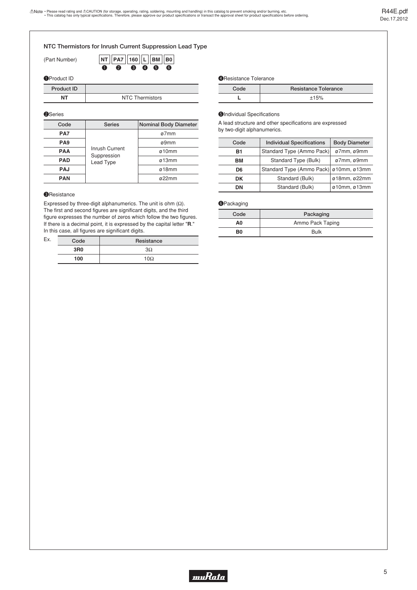#### **NTC Thermistors for Inrush Current Suppression Lead Type**

(Part Number)

|  | $\vert$ NT $\vert$ PA7 $\vert$ 160 $\vert$ L $\vert$ BM $\vert$ B0 |  |  |
|--|--------------------------------------------------------------------|--|--|
|  | $0 \t2 \t8 \t9 \t9 \t6$                                            |  |  |

#### **O**Product ID

| <b>Product ID</b> |                 | Co |
|-------------------|-----------------|----|
| NΤ                | NTC Thermistors |    |

#### **@Series**

| Code            | <b>Series</b>                              | <b>Nominal Body Diameter</b> |
|-----------------|--------------------------------------------|------------------------------|
| PA7             |                                            | ø7mm                         |
| PA <sub>9</sub> | Inrush Current<br>Suppression<br>Lead Type | ø9mm                         |
| <b>PAA</b>      |                                            | ø10mm                        |
| <b>PAD</b>      |                                            | ø13mm                        |
| <b>PAJ</b>      |                                            | $\varnothing$ 18mm           |
| <b>PAN</b>      |                                            | $\alpha$ 22mm                |

#### **O**Resistance

Expressed by three-digit alphanumerics. The unit is ohm  $(\Omega)$ . The first and second figures are significant digits, and the third figure expresses the number of zeros which follow the two figures. If there is a decimal point, it is expressed by the capital letter "**R**." In this case, all figures are significant digits.

| Ex | Code            | Resistance |
|----|-----------------|------------|
|    | 3R <sub>0</sub> | 3Ω         |
|    | 100             | $10\Omega$ |

**4** Resistance Tolerance

| Code | <b>Resistance Tolerance</b> |
|------|-----------------------------|
|      |                             |

#### **O**Individual Specifications

A lead structure and other specifications are expressed by two-digit alphanumerics.

| Code | <b>Individual Specifications</b> | <b>Body Diameter</b> |  |
|------|----------------------------------|----------------------|--|
| B1   | Standard Type (Ammo Pack)        | ø7mm, ø9mm           |  |
| вM   | Standard Type (Bulk)             | ø7mm, ø9mm           |  |
| D6   | Standard Type (Ammo Pack)        | ø10mm, ø13mm         |  |
| DK   | Standard (Bulk)                  | ø18mm, ø22mm         |  |
| DΝ   | Standard (Bulk)                  | ø10mm, ø13mm         |  |
|      |                                  |                      |  |

#### **O**Packaging

| Code | Packaging        |
|------|------------------|
| A0   | Ammo Pack Taping |
| B0   | <b>Bulk</b>      |

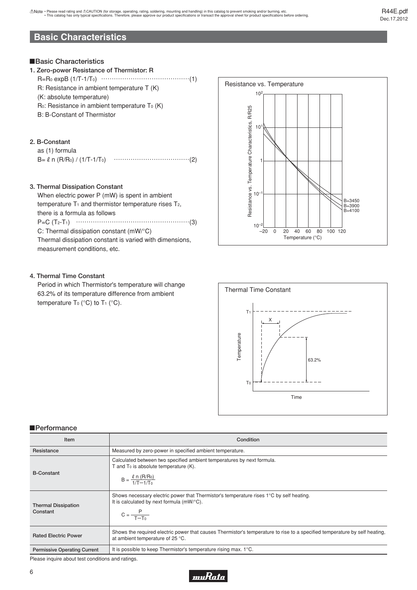# <span id="page-7-0"></span>**Basic Characteristics**

#### !**Basic Characteristics**

| 1. Zero-power Resistance of Thermistor: R        |
|--------------------------------------------------|
|                                                  |
| $R$ : Resistance in ambient temperature T (K)    |
| (K: absolute temperature)                        |
| $Ro:$ Resistance in ambient temperature $To (K)$ |
| B: B-Constant of Thermistor                      |
|                                                  |
|                                                  |
|                                                  |

### **2. B-Constant**

| as (1) formula                     |  |
|------------------------------------|--|
| $B = \ell n (R/R_0) / (1/T-1/T_0)$ |  |

### **3. Thermal Dissipation Constant**

When electric power P (mW) is spent in ambient temperature  $T_1$  and thermistor temperature rises  $T_2$ , there is a formula as follows P=C (T2-T1) ..................(3)

C: Thermal dissipation constant (mW/°C) Thermal dissipation constant is varied with dimensions, measurement conditions, etc.

### **4. Thermal Time Constant**

Period in which Thermistor's temperature will change 63.2% of its temperature difference from ambient temperature  $T_0$  (°C) to  $T_1$  (°C).





#### !**Performance**

| Item                                   | Condition                                                                                                                                                               |
|----------------------------------------|-------------------------------------------------------------------------------------------------------------------------------------------------------------------------|
| Resistance                             | Measured by zero-power in specified ambient temperature.                                                                                                                |
| <b>B-Constant</b>                      | Calculated between two specified ambient temperatures by next formula.<br>T and To is absolute temperature (K).<br>$B = \frac{\ell \cdot n (R/R_0)}{1/T - 1/T_0}$       |
| <b>Thermal Dissipation</b><br>Constant | Shows necessary electric power that Thermistor's temperature rises $1^{\circ}$ C by self heating.<br>It is calculated by next formula (mW/°C).<br>$C = \frac{P}{T-T_0}$ |
| <b>Rated Electric Power</b>            | Shows the required electric power that causes Thermistor's temperature to rise to a specified temperature by self heating,<br>at ambient temperature of 25 °C.          |
| <b>Permissive Operating Current</b>    | It is possible to keep Thermistor's temperature rising max. $1^{\circ}$ C.                                                                                              |

Please inquire about test conditions and ratings.

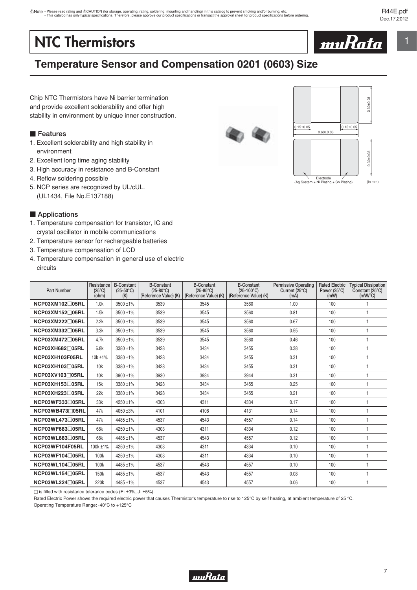# <span id="page-8-0"></span>**NTC Thermistors**



# **Temperature Sensor and Compensation 0201 (0603) Size**

Chip NTC Thermistors have Ni barrier termination and provide excellent solderability and offer high stability in environment by unique inner construction.

## **Features**

- 1. Excellent solderability and high stability in environment
- 2. Excellent long time aging stability
- 3. High accuracy in resistance and B-Constant
- 4. Reflow soldering possible
- 5. NCP series are recognized by UL/cUL. (UL1434, File No.E137188)

## **E** Applications

- 1. Temperature compensation for transistor, IC and crystal oscillator in mobile communications
- 2. Temperature sensor for rechargeable batteries
- 3. Temperature compensation of LCD
- 4. Temperature compensation in general use of electric circuits

| <b>Part Number</b> | Resistance<br>$(25^{\circ}C)$<br>(ohm) | <b>B-Constant</b><br>$(25-50^{\circ}C)$<br>(K) | <b>B-Constant</b><br>$(25-80^{\circ}C)$<br>(Reference Value) (K) | <b>B-Constant</b><br>$(25-85^{\circ}C)$<br>(Reference Value) (K) | <b>B-Constant</b><br>$(25-100^{\circ}C)$<br>(Reference Value) (K) | <b>Permissive Operating</b><br>Current (25°C)<br>(mA) | <b>Rated Electric</b><br>Power $(25^{\circ}C)$<br>(mW) | <b>Typical Dissipation</b><br>Constant (25°C)<br>$(mW)^{\circ}C$ |
|--------------------|----------------------------------------|------------------------------------------------|------------------------------------------------------------------|------------------------------------------------------------------|-------------------------------------------------------------------|-------------------------------------------------------|--------------------------------------------------------|------------------------------------------------------------------|
| NCP03XM102□05RL    | 1.0k                                   | $3500 + 1\%$                                   | 3539                                                             | 3545                                                             | 3560                                                              | 1.00                                                  | 100                                                    |                                                                  |
| NCP03XM152□05RL    | 1.5k                                   | 3500 ±1%                                       | 3539                                                             | 3545                                                             | 3560                                                              | 0.81                                                  | 100                                                    | 1                                                                |
| NCP03XM222□05RL    | 2.2k                                   | 3500 ±1%                                       | 3539                                                             | 3545                                                             | 3560                                                              | 0.67                                                  | 100                                                    | f                                                                |
| NCP03XM332□05RL    | 3.3k                                   | 3500 ±1%                                       | 3539                                                             | 3545                                                             | 3560                                                              | 0.55                                                  | 100                                                    | $\overline{1}$                                                   |
| NCP03XM472□05RL    | 4.7k                                   | $3500 + 1\%$                                   | 3539                                                             | 3545                                                             | 3560                                                              | 0.46                                                  | 100                                                    | $\overline{1}$                                                   |
| NCP03XH682□05RL    | 6.8k                                   | 3380 ±1%                                       | 3428                                                             | 3434                                                             | 3455                                                              | 0.38                                                  | 100                                                    | f                                                                |
| NCP03XH103F05RL    | 10k ±1%                                | 3380 ±1%                                       | 3428                                                             | 3434                                                             | 3455                                                              | 0.31                                                  | 100                                                    | $\overline{1}$                                                   |
| NCP03XH103□05RL    | 10k                                    | 3380 ±1%                                       | 3428                                                             | 3434                                                             | 3455                                                              | 0.31                                                  | 100                                                    | $\mathbf{1}$                                                     |
| NCP03XV103□05RL    | 10k                                    | $3900 \pm 1\%$                                 | 3930                                                             | 3934                                                             | 3944                                                              | 0.31                                                  | 100                                                    | $\overline{1}$                                                   |
| NCP03XH153□05RL    | 15k                                    | 3380 ±1%                                       | 3428                                                             | 3434                                                             | 3455                                                              | 0.25                                                  | 100                                                    | $\overline{1}$                                                   |
| NCP03XH223□05RL    | 22k                                    | 3380 ±1%                                       | 3428                                                             | 3434                                                             | 3455                                                              | 0.21                                                  | 100                                                    | $\overline{1}$                                                   |
| NCP03WF333□05RL    | 33k                                    | 4250 ±1%                                       | 4303                                                             | 4311                                                             | 4334                                                              | 0.17                                                  | 100                                                    | $\mathbf{1}$                                                     |
| NCP03WB473705RL    | 47k                                    | $4050 + 3%$                                    | 4101                                                             | 4108                                                             | 4131                                                              | 0.14                                                  | 100                                                    | $\overline{1}$                                                   |
| NCP03WL473F05RL    | 47k                                    | 4485 ±1%                                       | 4537                                                             | 4543                                                             | 4557                                                              | 0.14                                                  | 100                                                    | $\overline{1}$                                                   |
| NCP03WF683705RL    | 68k                                    | 4250 ±1%                                       | 4303                                                             | 4311                                                             | 4334                                                              | 0.12                                                  | 100                                                    | -1                                                               |
| NCP03WL683F05RL    | 68k                                    | 4485 ±1%                                       | 4537                                                             | 4543                                                             | 4557                                                              | 0.12                                                  | 100                                                    | $\overline{1}$                                                   |
| NCP03WF104F05RL    | 100k ±1%                               | $4250 + 1\%$                                   | 4303                                                             | 4311                                                             | 4334                                                              | 0.10                                                  | 100                                                    | $\mathbf{1}$                                                     |
| NCP03WF104□05RL    | 100k                                   | 4250 ±1%                                       | 4303                                                             | 4311                                                             | 4334                                                              | 0.10                                                  | 100                                                    | $\overline{1}$                                                   |
| NCP03WL104F05RL    | 100k                                   | 4485 ±1%                                       | 4537                                                             | 4543                                                             | 4557                                                              | 0.10                                                  | 100                                                    | $\overline{1}$                                                   |
| NCP03WL154□05RL    | 150k                                   | 4485 ±1%                                       | 4537                                                             | 4543                                                             | 4557                                                              | 0.08                                                  | 100                                                    | $\overline{1}$                                                   |
| NCP03WL224□05RL    | 220k                                   | $4485 + 1\%$                                   | 4537                                                             | 4543                                                             | 4557                                                              | 0.06                                                  | 100                                                    | $\overline{1}$                                                   |

 $\Box$  is filled with resistance tolerance codes (E: ±3%, J: ±5%).

Rated Electric Power shows the required electric power that causes Thermistor's temperature to rise to 125°C by self heating, at ambient temperature of 25 °C.

Operating Temperature Range: -40°C to +125°C





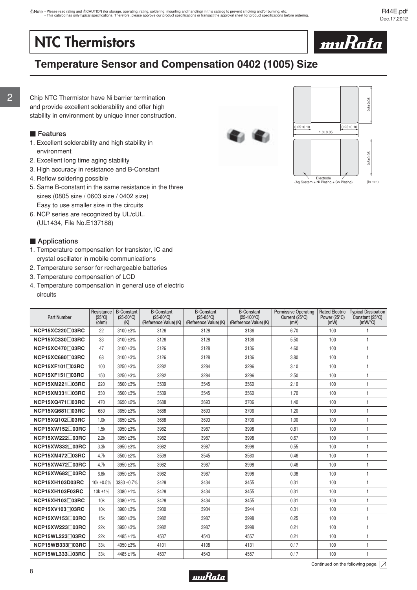# <span id="page-9-0"></span>**NTC Thermistors**



# **Temperature Sensor and Compensation 0402 (1005) Size**

Chip NTC Thermistor have Ni barrier termination and provide excellent solderability and offer high stability in environment by unique inner construction.

#### **Features**

- 1. Excellent solderability and high stability in environment
- 2. Excellent long time aging stability
- 3. High accuracy in resistance and B-Constant
- 4. Reflow soldering possible
- 5. Same B-constant in the same resistance in the three sizes (0805 size / 0603 size / 0402 size) Easy to use smaller size in the circuits
- 6. NCP series are recognized by UL/cUL. (UL1434, File No.E137188)

#### **E** Applications

- 1. Temperature compensation for transistor, IC and crystal oscillator in mobile communications
- 2. Temperature sensor for rechargeable batteries
- 3. Temperature compensation of LCD
- 4. Temperature compensation in general use of electric circuits

| <b>Part Number</b>        | Resistance<br>$(25^{\circ}C)$<br>(ohm) | <b>B-Constant</b><br>$(25-50^{\circ}C)$<br>(K) | <b>B-Constant</b><br>$(25-80^{\circ}C)$<br>(Reference Value) (K) | <b>B-Constant</b><br>$(25-85^{\circ}C)$<br>(Reference Value) (K) | <b>B-Constant</b><br>$(25-100^{\circ}C)$<br>(Reference Value) (K) | <b>Permissive Operating</b><br>Current (25°C)<br>(mA) | <b>Rated Electric</b><br>Power (25°C)<br>(mW) | <b>Typical Dissipation</b><br>Constant (25°C)<br>$(mW)^{\circ}C$ |
|---------------------------|----------------------------------------|------------------------------------------------|------------------------------------------------------------------|------------------------------------------------------------------|-------------------------------------------------------------------|-------------------------------------------------------|-----------------------------------------------|------------------------------------------------------------------|
| NCP15XC220□03RC           | 22                                     | 3100 ±3%                                       | 3126                                                             | 3128                                                             | 3136                                                              | 6.70                                                  | 100                                           | $\mathbf{1}$                                                     |
| NCP15XC330□03RC           | 33                                     | 3100 ±3%                                       | 3126                                                             | 3128                                                             | 3136                                                              | 5.50                                                  | 100                                           | $\overline{1}$                                                   |
| NCP15XC470□03RC           | 47                                     | 3100 ±3%                                       | 3126                                                             | 3128                                                             | 3136                                                              | 4.60                                                  | 100                                           | $\mathbf{1}$                                                     |
| NCP15XC680□03RC           | 68                                     | 3100 ±3%                                       | 3126                                                             | 3128                                                             | 3136                                                              | 3.80                                                  | 100                                           | $\mathbf{1}$                                                     |
| NCP15XF101□03RC           | 100                                    | 3250 ±3%                                       | 3282                                                             | 3284                                                             | 3296                                                              | 3.10                                                  | 100                                           | $\mathbf{1}$                                                     |
| $NCP15XF151 \square 03RC$ | 150                                    | 3250 ±3%                                       | 3282                                                             | 3284                                                             | 3296                                                              | 2.50                                                  | 100                                           | $\mathbf{1}$                                                     |
| NCP15XM221□03RC           | 220                                    | 3500 ±3%                                       | 3539                                                             | 3545                                                             | 3560                                                              | 2.10                                                  | 100                                           | $\mathbf{1}$                                                     |
| NCP15XM331□03RC           | 330                                    | 3500 ±3%                                       | 3539                                                             | 3545                                                             | 3560                                                              | 1.70                                                  | 100                                           | $\mathbf{1}$                                                     |
| NCP15XQ471□03RC           | 470                                    | 3650 ±2%                                       | 3688                                                             | 3693                                                             | 3706                                                              | 1.40                                                  | 100                                           | $\mathbf{1}$                                                     |
| NCP15XQ681□03RC           | 680                                    | 3650 ±3%                                       | 3688                                                             | 3693                                                             | 3706                                                              | 1.20                                                  | 100                                           | $\mathbf{1}$                                                     |
| NCP15XQ102□03RC           | 1.0k                                   | 3650 ±2%                                       | 3688                                                             | 3693                                                             | 3706                                                              | 1.00                                                  | 100                                           | $\mathbf{1}$                                                     |
| NCP15XW152□03RC           | 1.5k                                   | 3950 ±3%                                       | 3982                                                             | 3987                                                             | 3998                                                              | 0.81                                                  | 100                                           | $\mathbf{1}$                                                     |
| NCP15XW222□03RC           | 2.2k                                   | 3950 ±3%                                       | 3982                                                             | 3987                                                             | 3998                                                              | 0.67                                                  | 100                                           | $\mathbf{1}$                                                     |
| NCP15XW332□03RC           | 3.3k                                   | 3950 ±3%                                       | 3982                                                             | 3987                                                             | 3998                                                              | 0.55                                                  | 100                                           | $\mathbf{1}$                                                     |
| NCP15XM472□03RC           | 4.7k                                   | 3500 ±2%                                       | 3539                                                             | 3545                                                             | 3560                                                              | 0.46                                                  | 100                                           | $\mathbf{1}$                                                     |
| NCP15XW472□03RC           | 4.7k                                   | 3950 ±3%                                       | 3982                                                             | 3987                                                             | 3998                                                              | 0.46                                                  | 100                                           | $\mathbf{1}$                                                     |
| NCP15XW682□03RC           | 6.8k                                   | 3950 ±3%                                       | 3982                                                             | 3987                                                             | 3998                                                              | 0.38                                                  | 100                                           | $\mathbf{1}$                                                     |
| <b>NCP15XH103D03RC</b>    | 10k ±0.5%                              | 3380 ±0.7%                                     | 3428                                                             | 3434                                                             | 3455                                                              | 0.31                                                  | 100                                           | $\mathbf{1}$                                                     |
| NCP15XH103F03RC           | 10k ±1%                                | 3380 ±1%                                       | 3428                                                             | 3434                                                             | 3455                                                              | 0.31                                                  | 100                                           | $\mathbf{1}$                                                     |
| NCP15XH103□03RC           | 10k                                    | 3380 ±1%                                       | 3428                                                             | 3434                                                             | 3455                                                              | 0.31                                                  | 100                                           | $\mathbf{1}$                                                     |
| NCP15XV103□03RC           | 10k                                    | 3900 ±3%                                       | 3930                                                             | 3934                                                             | 3944                                                              | 0.31                                                  | 100                                           | $\mathbf{1}$                                                     |
| NCP15XW153□03RC           | 15k                                    | 3950 ±3%                                       | 3982                                                             | 3987                                                             | 3998                                                              | 0.25                                                  | 100                                           | $\mathbf{1}$                                                     |
| NCP15XW223□03RC           | 22k                                    | 3950 ±3%                                       | 3982                                                             | 3987                                                             | 3998                                                              | 0.21                                                  | 100                                           | $\mathbf{1}$                                                     |
| NCP15WL223□03RC           | 22k                                    | 4485 ±1%                                       | 4537                                                             | 4543                                                             | 4557                                                              | 0.21                                                  | 100                                           | $\mathbf{1}$                                                     |
| NCP15WB333□03RC           | 33k                                    | 4050 ±3%                                       | 4101                                                             | 4108                                                             | 4131                                                              | 0.17                                                  | 100                                           | $\overline{1}$                                                   |
| NCP15WL333□03RC           | 33k                                    | 4485 ±1%                                       | 4537                                                             | 4543                                                             | 4557                                                              | 0.17                                                  | 100                                           | $\mathbf{1}$                                                     |





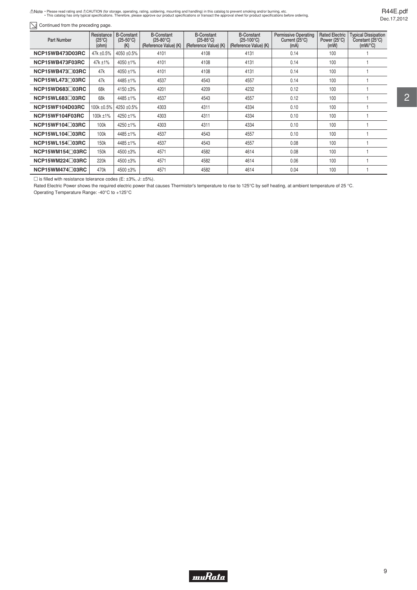Note · Please read rating and ACAUTION (for storage, operating, rating, soldering, mounting and handling) in this catalog to prevent smoking and/or burning, etc.<br>This catalog has only typical specifications. Therefore, ple

 $\boxed{\searrow}$  Continued from the preceding page.

| <b>Part Number</b>        | Resistance<br>$(25^{\circ}C)$<br>(ohm) | <b>B-Constant</b><br>$(25-50^{\circ}C)$<br>(K) | <b>B-Constant</b><br>$(25-80^{\circ}C)$<br>(Reference Value) (K) | <b>B-Constant</b><br>$(25-85^{\circ}C)$<br>(Reference Value) (K) | <b>B-Constant</b><br>$(25-100^{\circ}C)$<br>(Reference Value) (K) | <b>Permissive Operating</b><br>Current $(25^{\circ}C)$<br>(mA) | <b>Rated Electric</b><br>Power (25°C)<br>(mW) | <b>Typical Dissipation</b><br>Constant (25°C)<br>$(mW)^{\circ}C$ |
|---------------------------|----------------------------------------|------------------------------------------------|------------------------------------------------------------------|------------------------------------------------------------------|-------------------------------------------------------------------|----------------------------------------------------------------|-----------------------------------------------|------------------------------------------------------------------|
| NCP15WB473D03RC           | 47k ±0.5%                              | 4050 ±0.5%                                     | 4101                                                             | 4108                                                             | 4131                                                              | 0.14                                                           | 100                                           |                                                                  |
| NCP15WB473F03RC           | 47k ±1%                                | 4050 ±1%                                       | 4101                                                             | 4108                                                             | 4131                                                              | 0.14                                                           | 100                                           |                                                                  |
| NCP15WB473□03RC           | 47k                                    | 4050 ±1%                                       | 4101                                                             | 4108                                                             | 4131                                                              | 0.14                                                           | 100                                           |                                                                  |
| NCP15WL473□03RC           | 47k                                    | 4485 ±1%                                       | 4537                                                             | 4543                                                             | 4557                                                              | 0.14                                                           | 100                                           |                                                                  |
| $NCP15WD683 \square 03RC$ | 68k                                    | 4150 ±3%                                       | 4201                                                             | 4209                                                             | 4232                                                              | 0.12                                                           | 100                                           |                                                                  |
| <b>NCP15WL683103RC</b>    | 68k                                    | 4485 ±1%                                       | 4537                                                             | 4543                                                             | 4557                                                              | 0.12                                                           | 100                                           |                                                                  |
| NCP15WF104D03RC           | 100k ±0.5%                             | 4250 ±0.5%                                     | 4303                                                             | 4311                                                             | 4334                                                              | 0.10                                                           | 100                                           |                                                                  |
| NCP15WF104F03RC           | 100k ±1%                               | 4250 ±1%                                       | 4303                                                             | 4311                                                             | 4334                                                              | 0.10                                                           | 100                                           |                                                                  |
| NCP15WF104□03RC           | 100k                                   | 4250 ±1%                                       | 4303                                                             | 4311                                                             | 4334                                                              | 0.10                                                           | 100                                           |                                                                  |
| NCP15WL104□03RC           | 100k                                   | 4485 ±1%                                       | 4537                                                             | 4543                                                             | 4557                                                              | 0.10                                                           | 100                                           |                                                                  |
| $NCP15WL154 \square 03RC$ | 150k                                   | 4485 ±1%                                       | 4537                                                             | 4543                                                             | 4557                                                              | 0.08                                                           | 100                                           |                                                                  |
| $NCP15WM154 \square 03RC$ | 150k                                   | 4500 ±3%                                       | 4571                                                             | 4582                                                             | 4614                                                              | 0.08                                                           | 100                                           |                                                                  |
| NCP15WM224□03RC           | 220k                                   | 4500 ±3%                                       | 4571                                                             | 4582                                                             | 4614                                                              | 0.06                                                           | 100                                           |                                                                  |
| NCP15WM474□03RC           | 470k                                   | 4500 ±3%                                       | 4571                                                             | 4582                                                             | 4614                                                              | 0.04                                                           | 100                                           |                                                                  |

 $\square$  is filled with resistance tolerance codes (E: ±3%, J: ±5%).

Rated Electric Power shows the required electric power that causes Thermistor's temperature to rise to 125°C by self heating, at ambient temperature of 25 °C.

Operating Temperature Range: -40°C to +125°C

R44E.pdf Dec.17,2012

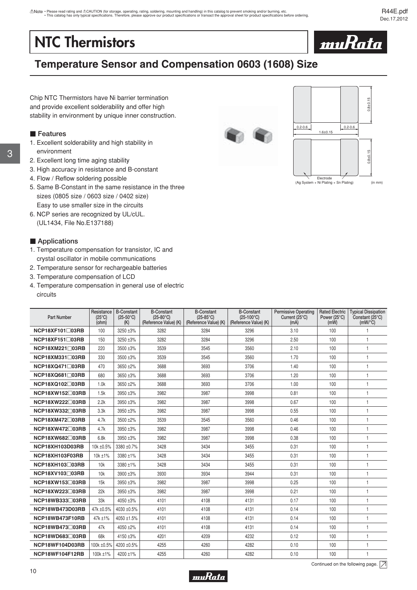# <span id="page-11-0"></span>**NTC Thermistors**



# **Temperature Sensor and Compensation 0603 (1608) Size**

Chip NTC Thermistors have Ni barrier termination and provide excellent solderability and offer high stability in environment by unique inner construction.

## **Features**

- 1. Excellent solderability and high stability in environment
- 2. Excellent long time aging stability
- 3. High accuracy in resistance and B-constant
- 4. Flow / Reflow soldering possible
- 5. Same B-Constant in the same resistance in the three sizes (0805 size / 0603 size / 0402 size) Easy to use smaller size in the circuits
- 6. NCP series are recognized by UL/cUL. (UL1434, File No.E137188)

#### **E** Applications

- 1. Temperature compensation for transistor, IC and crystal oscillator in mobile communications
- 2. Temperature sensor for rechargeable batteries
- 3. Temperature compensation of LCD
- 4. Temperature compensation in general use of electric circuits

| <b>Part Number</b>        | Resistance<br>$(25^{\circ}C)$<br>(ohm) | <b>B-Constant</b><br>$(25-50^{\circ}C)$<br>(K) | <b>B-Constant</b><br>$(25-80^{\circ}C)$<br>(Reference Value) (K) | <b>B-Constant</b><br>$(25-85^{\circ}C)$<br>(Reference Value) (K) | <b>B-Constant</b><br>$(25-100^{\circ}C)$<br>(Reference Value) (K) | <b>Permissive Operating</b><br>Current (25°C)<br>(mA) | <b>Rated Electric</b><br>Power (25°C)<br>(mW) | <b>Typical Dissipation</b><br>Constant (25°C)<br>$(mW)^{\circ}C$ |
|---------------------------|----------------------------------------|------------------------------------------------|------------------------------------------------------------------|------------------------------------------------------------------|-------------------------------------------------------------------|-------------------------------------------------------|-----------------------------------------------|------------------------------------------------------------------|
| NCP18XF101□03RB           | 100                                    | 3250 ±3%                                       | 3282                                                             | 3284                                                             | 3296                                                              | 3.10                                                  | 100                                           | 1                                                                |
| $NCP18XF151 \square 03RB$ | 150                                    | 3250 ±3%                                       | 3282                                                             | 3284                                                             | 3296                                                              | 2.50                                                  | 100                                           | 1                                                                |
| NCP18XM221□03RB           | 220                                    | 3500 ±3%                                       | 3539                                                             | 3545                                                             | 3560                                                              | 2.10                                                  | 100                                           | $\mathbf{1}$                                                     |
| NCP18XM331□03RB           | 330                                    | 3500 ±3%                                       | 3539                                                             | 3545                                                             | 3560                                                              | 1.70                                                  | 100                                           | $\mathbf{1}$                                                     |
| NCP18XQ471□03RB           | 470                                    | 3650 ±2%                                       | 3688                                                             | 3693                                                             | 3706                                                              | 1.40                                                  | 100                                           | $\mathbf{1}$                                                     |
| NCP18XQ681□03RB           | 680                                    | 3650 ±3%                                       | 3688                                                             | 3693                                                             | 3706                                                              | 1.20                                                  | 100                                           | $\mathbf{1}$                                                     |
| NCP18XQ102□03RB           | 1.0k                                   | $3650 + 2\%$                                   | 3688                                                             | 3693                                                             | 3706                                                              | 1.00                                                  | 100                                           | $\mathbf{1}$                                                     |
| NCP18XW152□03RB           | 1.5k                                   | 3950 ±3%                                       | 3982                                                             | 3987                                                             | 3998                                                              | 0.81                                                  | 100                                           | $\mathbf{1}$                                                     |
| NCP18XW222□03RB           | 2.2k                                   | 3950 ±3%                                       | 3982                                                             | 3987                                                             | 3998                                                              | 0.67                                                  | 100                                           | $\mathbf{1}$                                                     |
| NCP18XW332□03RB           | 3.3k                                   | 3950 ±3%                                       | 3982                                                             | 3987                                                             | 3998                                                              | 0.55                                                  | 100                                           | $\overline{1}$                                                   |
| NCP18XM472□03RB           | 4.7k                                   | 3500 ±2%                                       | 3539                                                             | 3545                                                             | 3560                                                              | 0.46                                                  | 100                                           | $\mathbf{1}$                                                     |
| NCP18XW472□03RB           | 4.7k                                   | 3950 ±3%                                       | 3982                                                             | 3987                                                             | 3998                                                              | 0.46                                                  | 100                                           | $\mathbf{1}$                                                     |
| NCP18XW682□03RB           | 6.8k                                   | 3950 ±3%                                       | 3982                                                             | 3987                                                             | 3998                                                              | 0.38                                                  | 100                                           | $\mathbf{1}$                                                     |
| NCP18XH103D03RB           | 10k ±0.5%                              | 3380 ±0.7%                                     | 3428                                                             | 3434                                                             | 3455                                                              | 0.31                                                  | 100                                           | $\mathbf{1}$                                                     |
| NCP18XH103F03RB           | 10k ±1%                                | 3380 ±1%                                       | 3428                                                             | 3434                                                             | 3455                                                              | 0.31                                                  | 100                                           | $\mathbf{1}$                                                     |
| NCP18XH103□03RB           | 10k                                    | 3380 ±1%                                       | 3428                                                             | 3434                                                             | 3455                                                              | 0.31                                                  | 100                                           | $\mathbf{1}$                                                     |
| NCP18XV103□03RB           | 10k                                    | 3900 ±3%                                       | 3930                                                             | 3934                                                             | 3944                                                              | 0.31                                                  | 100                                           | $\mathbf{1}$                                                     |
| NCP18XW153□03RB           | 15k                                    | 3950 ±3%                                       | 3982                                                             | 3987                                                             | 3998                                                              | 0.25                                                  | 100                                           | $\mathbf{1}$                                                     |
| NCP18XW223□03RB           | 22k                                    | 3950 ±3%                                       | 3982                                                             | 3987                                                             | 3998                                                              | 0.21                                                  | 100                                           | $\mathbf{1}$                                                     |
| NCP18WB333□03RB           | 33k                                    | 4050 ±3%                                       | 4101                                                             | 4108                                                             | 4131                                                              | 0.17                                                  | 100                                           | $\mathbf{1}$                                                     |
| NCP18WB473D03RB           | 47k ±0.5%                              | 4030 ±0.5%                                     | 4101                                                             | 4108                                                             | 4131                                                              | 0.14                                                  | 100                                           | $\mathbf{1}$                                                     |
| NCP18WB473F10RB           | 47k ±1%                                | 4050 ±1.5%                                     | 4101                                                             | 4108                                                             | 4131                                                              | 0.14                                                  | 100                                           | $\mathbf{1}$                                                     |
| NCP18WB473□03RB           | 47k                                    | 4050 ±2%                                       | 4101                                                             | 4108                                                             | 4131                                                              | 0.14                                                  | 100                                           | $\overline{1}$                                                   |
| NCP18WD683□03RB           | 68k                                    | 4150 ±3%                                       | 4201                                                             | 4209                                                             | 4232                                                              | 0.12                                                  | 100                                           | $\mathbf{1}$                                                     |
| NCP18WF104D03RB           | 100k ±0.5%                             | 4200 ±0.5%                                     | 4255                                                             | 4260                                                             | 4282                                                              | 0.10                                                  | 100                                           | $\mathbf{1}$                                                     |
| NCP18WF104F12RB           | 100k ±1%                               | 4200 ±1%                                       | 4255                                                             | 4260                                                             | 4282                                                              | 0.10                                                  | 100                                           | 1                                                                |





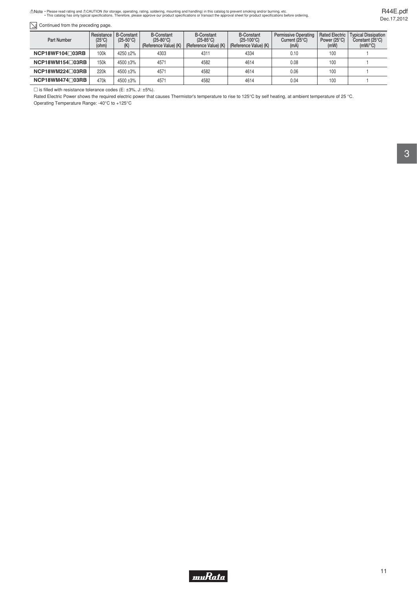Note · Please read rating and ACAUTION (for storage, operating, rating, soldering, mounting and handling) in this catalog to prevent smoking and/or burning, etc.<br>This catalog has only typical specifications. Therefore, ple

#### $\boxed{\searrow}$  Continued from the preceding page.

| Part Number               | Resistance<br>$(25^{\circ}C)$<br>(ohm) | B-Constant<br>$(25-50\degree \text{C})$<br>(K) | <b>B-Constant</b><br>$(25-80^{\circ}C)$<br>(Reference Value) (K) | <b>B-Constant</b><br>$(25-85^{\circ}C)$<br>(Reference Value) (K) | <b>B-Constant</b><br>$(25-100^{\circ}C)$<br>(Reference Value) (K) | <b>Permissive Operating</b><br>Current $(25^{\circ}C)$<br>(mA) | <b>Rated Electric</b><br>Power $(25^{\circ}C)$<br>(mW) | <b>Typical Dissipation</b><br>Constant (25°C)<br>$(mW)^{\circ}C$ |
|---------------------------|----------------------------------------|------------------------------------------------|------------------------------------------------------------------|------------------------------------------------------------------|-------------------------------------------------------------------|----------------------------------------------------------------|--------------------------------------------------------|------------------------------------------------------------------|
| $NCP18WF104 \square 03RB$ | 100k                                   | $4250 + 2%$                                    | 4303                                                             | 4311                                                             | 4334                                                              | 0.10                                                           | 100                                                    |                                                                  |
| $NCP18WM154 \square 03RB$ | 150k                                   | 4500 ±3%                                       | 4571                                                             | 4582                                                             | 4614                                                              | 0.08                                                           | 100                                                    |                                                                  |
| $NCP18WM224 \square 03RB$ | 220k                                   | 4500 ±3%                                       | 4571                                                             | 4582                                                             | 4614                                                              | 0.06                                                           | 100                                                    |                                                                  |
| $NCP18WM474 \square 03RB$ | 470k                                   | 4500 ±3%                                       | 4571                                                             | 4582                                                             | 4614                                                              | 0.04                                                           | 100                                                    |                                                                  |

 $\square$  is filled with resistance tolerance codes (E: ±3%, J: ±5%).

Rated Electric Power shows the required electric power that causes Thermistor's temperature to rise to 125°C by self heating, at ambient temperature of 25 °C. Operating Temperature Range: -40°C to +125°C

R44E.pdf Dec.17,2012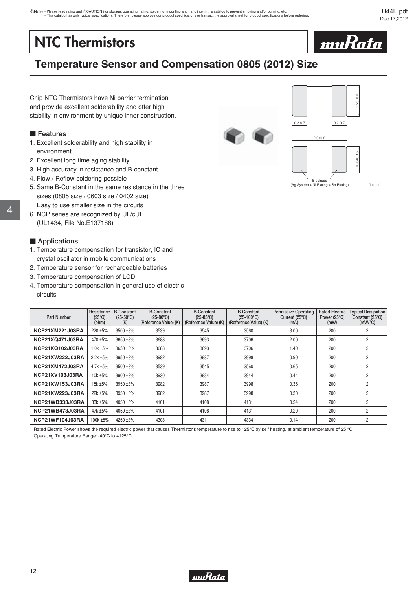# <span id="page-13-0"></span>**NTC Thermistors**



# **Temperature Sensor and Compensation 0805 (2012) Size**

Chip NTC Thermistors have Ni barrier termination and provide excellent solderability and offer high stability in environment by unique inner construction.

#### **Features**

- 1. Excellent solderability and high stability in environment
- 2. Excellent long time aging stability
- 3. High accuracy in resistance and B-constant
- 4. Flow / Reflow soldering possible
- 5. Same B-Constant in the same resistance in the three sizes (0805 size / 0603 size / 0402 size) Easy to use smaller size in the circuits
- 6. NCP series are recognized by UL/cUL. (UL1434, File No.E137188)

#### **E** Applications

4

- 1. Temperature compensation for transistor, IC and crystal oscillator in mobile communications
- 2. Temperature sensor for rechargeable batteries
- 3. Temperature compensation of LCD
- 4. Temperature compensation in general use of electric circuits

| <b>Part Number</b>     | Resistance<br>$(25^{\circ}C)$<br>(ohm) | <b>B-Constant</b><br>$(25-50^{\circ}C)$<br>(K) | <b>B-Constant</b><br>$(25-80^{\circ}C)$<br>(Reference Value) (K) | <b>B-Constant</b><br>$(25-85^{\circ}C)$<br>(Reference Value) (K) | <b>B-Constant</b><br>$(25-100^{\circ}C)$<br>(Reference Value) (K) | <b>Permissive Operating</b><br>Current $(25^{\circ}C)$<br>(mA) | <b>Rated Electric</b><br>Power (25°C)<br>(mW) | <b>Typical Dissipation</b><br>Constant (25°C)<br>$(mW)^{\circ}C$ |
|------------------------|----------------------------------------|------------------------------------------------|------------------------------------------------------------------|------------------------------------------------------------------|-------------------------------------------------------------------|----------------------------------------------------------------|-----------------------------------------------|------------------------------------------------------------------|
| <b>NCP21XM221J03RA</b> | 220 ±5%                                | 3500 ±3%                                       | 3539                                                             | 3545                                                             | 3560                                                              | 3.00                                                           | 200                                           | 2                                                                |
| <b>NCP21XQ471J03RA</b> | 470 ±5%                                | 3650 ±3%                                       | 3688                                                             | 3693                                                             | 3706                                                              | 2.00                                                           | 200                                           | 2                                                                |
| NCP21XQ102J03RA        | $1.0k + 5%$                            | 3650 ±3%                                       | 3688                                                             | 3693                                                             | 3706                                                              | 1.40                                                           | 200                                           | $\overline{c}$                                                   |
| <b>NCP21XW222J03RA</b> | $2.2k + 5%$                            | 3950 ±3%                                       | 3982                                                             | 3987                                                             | 3998                                                              | 0.90                                                           | 200                                           | 2                                                                |
| <b>NCP21XM472J03RA</b> | $4.7k + 5%$                            | 3500 ±3%                                       | 3539                                                             | 3545                                                             | 3560                                                              | 0.65                                                           | 200                                           | 2                                                                |
| <b>NCP21XV103J03RA</b> | 10k ±5%                                | 3900 ±3%                                       | 3930                                                             | 3934                                                             | 3944                                                              | 0.44                                                           | 200                                           | 2                                                                |
| <b>NCP21XW153J03RA</b> | 15k ±5%                                | 3950 ±3%                                       | 3982                                                             | 3987                                                             | 3998                                                              | 0.36                                                           | 200                                           | $\overline{2}$                                                   |
| <b>NCP21XW223J03RA</b> | 22k ±5%                                | 3950 ±3%                                       | 3982                                                             | 3987                                                             | 3998                                                              | 0.30                                                           | 200                                           | 2                                                                |
| <b>NCP21WB333J03RA</b> | 33k ±5%                                | 4050 ±3%                                       | 4101                                                             | 4108                                                             | 4131                                                              | 0.24                                                           | 200                                           | $\overline{2}$                                                   |
| NCP21WB473J03RA        | 47k ±5%                                | 4050 ±3%                                       | 4101                                                             | 4108                                                             | 4131                                                              | 0.20                                                           | 200                                           | $\overline{2}$                                                   |
| NCP21WF104J03RA        | 100k ±5%                               | 4250 ±3%                                       | 4303                                                             | 4311                                                             | 4334                                                              | 0.14                                                           | 200                                           | 2                                                                |

Rated Electric Power shows the required electric power that causes Thermistor's temperature to rise to 125°C by self heating, at ambient temperature of 25 °C. Operating Temperature Range: -40°C to +125°C





(in mm)

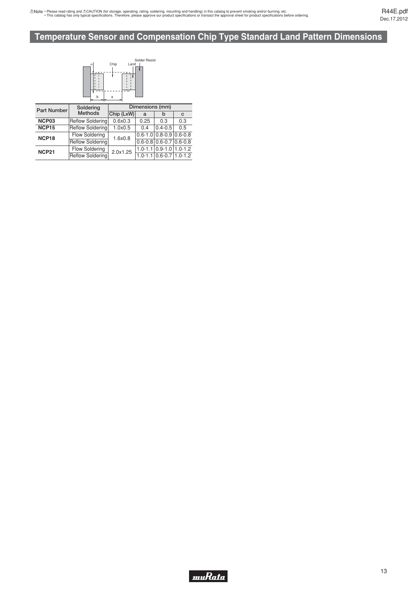# <span id="page-14-0"></span>**Temperature Sensor and Compensation Chip Type Standard Land Pattern Dimensions**



| <b>Part Number</b> | Soldering               | Dimensions (mm) |      |                                           |     |  |  |
|--------------------|-------------------------|-----------------|------|-------------------------------------------|-----|--|--|
|                    | <b>Methods</b>          | Chip (LxW)      | a    | b                                         | C   |  |  |
| NCP03              | Reflow Soldering        | 0.6x0.3         | 0.25 | 0.3                                       | 0.3 |  |  |
| NCP <sub>15</sub>  | <b>Reflow Soldering</b> | 1.0x0.5         | 0.4  | $0.4 - 0.5$                               | 0.5 |  |  |
| NCP <sub>18</sub>  | <b>Flow Soldering</b>   | 1.6x0.8         |      | $0.6 - 1.0$ 0.8 - 0.9 0.6 - 0.8           |     |  |  |
|                    | <b>Reflow Soldering</b> |                 |      | $0.6 - 0.8 \mid 0.6 - 0.7 \mid 0.6 - 0.8$ |     |  |  |
| <b>NCP21</b>       | <b>Flow Soldering</b>   | 2.0x1.25        |      | $1.0 - 1.1$ 0.9-1.0 1.0-1.2               |     |  |  |
|                    | <b>Reflow Soldering</b> |                 |      | $1.0 - 1.1 \mid 0.6 - 0.7 \mid 1.0 - 1.2$ |     |  |  |

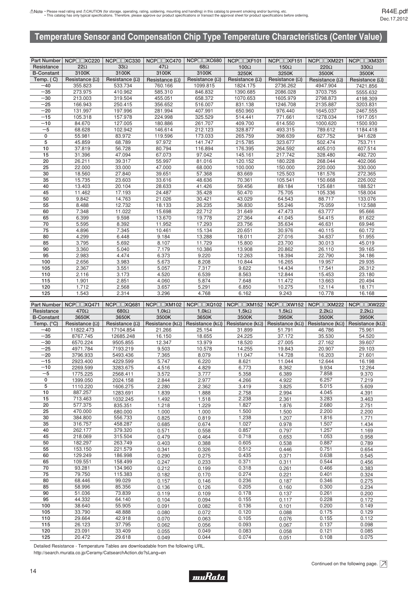<span id="page-15-0"></span>

|                   | Part Number   NCP□□XC220 | NCP□□XC330            | $NCP \Box XC470$                                                                         | NCP□□XC680            | $NCP \Box XF101$      | $NCP \Box XF151$      | NCP□□XM221            | NCP□□XM331            |
|-------------------|--------------------------|-----------------------|------------------------------------------------------------------------------------------|-----------------------|-----------------------|-----------------------|-----------------------|-----------------------|
| Resistance        | $22\Omega$               | $33\Omega$            | $47\Omega$                                                                               | $68\Omega$            | $100\Omega$           | $150\Omega$           | $220\Omega$           | $330\Omega$           |
| <b>B-Constant</b> | 3100K                    | 3100K                 | 3100K                                                                                    | 3100K                 | 3250K                 | 3250K                 | 3500K                 |                       |
| Temp. $(C)$       | Resistance $(\Omega)$    | Resistance $(\Omega)$ | Resistance $(\Omega)$                                                                    | Resistance $(\Omega)$ | Resistance $(\Omega)$ | Resistance $(\Omega)$ | Resistance $(\Omega)$ | Resistance $(\Omega)$ |
| $-40$             | 355.823                  | 533.734               | 760.166                                                                                  | 1099.815              | 1824.175              | 2736.262              | 4947.904              | 7421.856              |
| $-35$             | 273.975                  | 410.962               | 585.310                                                                                  | 846.832               | 1390.685              | 2086.028              | 3703.755              | 5555.632              |
| $-30$             | 213.003                  | 319.504               | 455.051                                                                                  | 658.372               | 1070.653              | 1605.979              | 2798.873              | 4198.309              |
| $-25$             | 166.943                  | 250.415               | 356.652                                                                                  | 516.007               | 831.138               | 1246.708              | 2135.887              | 3203.831              |
| $-20$             | 131.997                  | 197.996               | 281.994                                                                                  | 407.991               | 650.960               | 976.440               | 1645.037              | 2467.555              |
| $-15$             | 105.318                  | 157.978               | 224.998                                                                                  | 325.529               | 514.441               | 771.661               | 1278.034              | 1917.051              |
| $-10$             | 84.670                   | 127.005               | 180.886                                                                                  | 261.707               | 409.700               | 614.550               | 1000.620              | 1500.930              |
| $-5$              | 68.628                   | 102.942               | 146.614                                                                                  | 212.123               | 328.877               | 493.315               | 789.612               | 1184.418              |
| $\mathbf 0$       | 55.981                   | 83.972                | 119.596                                                                                  | 173.033               | 265.759               | 398.639               | 627.752               | 941.628               |
| 5                 | 45.859                   | 68.789                | 97.972                                                                                   | 141.747               | 215.785               | 323.677               | 502.474               | 753.711               |
| 10                | 37.819                   | 56.728                | 80.794                                                                                   | 116.894               | 176.395               | 264.592               | 405.010               | 607.514               |
| 15                | 31.396                   | 47.094                | 67.073                                                                                   | 97.042                | 145.161               | 217.742               | 328.480               | 492.720               |
| 20                | 26.211                   | 39.317                | 55.997                                                                                   | 81.016                | 120.152               | 180.228               | 268.044               | 402.066               |
| 25                | 22.000                   | 33.000                | 47.000                                                                                   | 68.000                | 100.000               | 150.000               | 220.000               | 330.000               |
| 30                | 18.560                   | 27.840                | 39.651                                                                                   | 57.368                | 83.669                | 125.503               | 181.576               | 272.365               |
| 35                | 15.735                   | 23.603                | 33.616                                                                                   | 48.636                | 70.361                | 105.541               | 150.668               | 226.002               |
| 40                | 13.403                   | 20.104                | 28.633                                                                                   | 41.426                | 59.456                | 89.184                | 125.681               | 188.521               |
| 45                | 11.462                   | 17.193                | 24.487                                                                                   | 35.428                | 50.470                | 75.705                | 105.336               | 158.004               |
| 50                | 9.842                    | 14.763                | 21.026                                                                                   | 30.421                | 43.029                | 64.543                | 88.717                | 133.076               |
| 55                | 8.488                    | 12.732                | 18.133                                                                                   | 26.235                | 36.830                | 55.246                | 75.059                | 112.588               |
| 60                | 7.348                    | 11.022                | 15.698                                                                                   | 22.712                | 31.649                | 47.473                | 63.777                | 95.666                |
| 65                | 6.399                    | 9.598                 | 13.670                                                                                   | 19.778                | 27.364                | 41.045                | 54.415                | 81.622                |
| 70                | 5.595                    | 8.392                 | 11.952                                                                                   | 17.293                | 23.756                | 35.634                | 46.631                | 69.946                |
| 75                | 4.896                    | 7.345                 | 10.461                                                                                   | 15.134                | 20.651                | 30.976                | 40.115                | 60.172                |
| 80                | 4.299                    | 6.448                 | 9.184                                                                                    | 13.288                | 18.011                | 27.016                | 34.637                | 51.955                |
| 85                | 3.795                    | 5.692                 | 8.107                                                                                    | 11.729                | 15.800                | 23.700                | 30.013                | 45.019                |
| 90                | 3.360                    | 5.040                 | 7.179                                                                                    | 10.386                | 13.908                | 20.862                | 26.110                | 39.165                |
| 95                | 2.983                    | 4.474                 | 6.373                                                                                    | 9.220                 | 12.263                | 18.394                | 22.790                | 34.186                |
| 100               | 2.656                    | 3.983                 | 5.673                                                                                    | 8.208                 | 10.844                | 16.265                | 19.957                | 29.935                |
| 105               | 2.367                    | 3.551                 | 5.057                                                                                    | 7.317                 | 9.622                 | 14.434                | 17.541                | 26.312                |
| 110               | 2.116                    | 3.173                 | 4.520                                                                                    | 6.539                 | 8.563                 | 12.844                | 15.453                | 23.180                |
| 115               | 1.901                    | 2.851                 | 4.060                                                                                    | 5.874                 | 7.648                 | 11.472                | 13.663                | 20.494                |
| 120               | 1.712                    | 2.568                 | 3.657                                                                                    | 5.291                 | 6.850                 | 10.275                | 12.114<br>18.171      |                       |
| 125               | 1.543                    | 2.314                 | 3.296                                                                                    | 4.768                 | 6.162                 | 9.243<br>10.778       |                       | 16.168                |
|                   |                          |                       |                                                                                          |                       |                       |                       |                       |                       |
|                   | Part Number   NCP□□XQ471 |                       | NCP□□XQ681   NCP□□XM102   NCP□□XQ102   NCP□□XM152   NCP□□XW152   NCP□□XM222   NCP□□XW222 |                       |                       |                       |                       |                       |

| 1.5k <sub>Ω</sub><br>$470\Omega$<br>$680\Omega$<br>$1.0k\Omega$<br>1.0 $k\Omega$<br>$1.5k\Omega$<br>$2.2k\Omega$<br>$2.2k\Omega$<br>Resistance<br>3650K<br>3950K<br>3650K<br>3500K<br>3650K<br>3500K<br>3500K<br>3950K<br><b>B-Constant</b><br>Temp. $(^{\circ}C)$<br>Resistance ( $k\Omega$ )<br>Resistance $(\Omega)$<br>Resistance $(\Omega)$<br>Resistance ( $k\Omega$ )   Resistance ( $k\Omega$ )  <br>Resistance ( $k\Omega$ )<br>Resistance ( $k\Omega$ )<br>11822.473<br>$-40$<br>46.786<br>17104.854<br>21.266<br>25.154<br>31.899<br>51.791<br>75.961<br>$-35$<br>8767.745<br>35.530<br>24.225<br>37.172<br>54.520<br>12685.248<br>16.150<br>18.655<br>$-30$<br>27.162<br>6570.224<br>9505.855<br>12.347<br>13.979<br>18.520<br>27.005<br>39.607<br>$-25$<br>4971.784<br>7193.219<br>9.503<br>20.907<br>10.578<br>14.255<br>19.843<br>29.103<br>$-20$<br>3796.933<br>5493.436<br>7.365<br>16.203<br>8.079<br>11.047<br>14.728<br>21.601<br>$-15$<br>4229.599<br>12.644<br>2923.400<br>5.747<br>6.220<br>8.621<br>11.044<br>16.198<br>$-10$<br>3283.675<br>6.773<br>9.934<br>2269.599<br>4.516<br>4.829<br>8.362<br>12.264<br>$-5$<br>9.370<br>1775.225<br>2568.411<br>3.572<br>7.858<br>3.777<br>5.358<br>6.389<br>$\mathbf 0$<br>2.977<br>7.219<br>1399.050<br>2024.158<br>4.922<br>6.257<br>2.844<br>4.266<br>5<br>1606.275<br>2.362<br>5.015<br>5.609<br>1110.220<br>2.280<br>3.825<br>3.419<br>10<br>887.257<br>1283.691<br>1.839<br>1.888<br>2.758<br>2.994<br>4.045<br>4.391<br>15<br>2.238<br>713.463<br>1032.245<br>1.492<br>1.518<br>2.361<br>3.283<br>3.463<br>20<br>835.351<br>1.218<br>1.229<br>1.827<br>2.680<br>2.751<br>577.375<br>1.876<br>1.500<br>25<br>470.000<br>680.000<br>1.000<br>1.000<br>1.500<br>2.200<br>2.200<br>1.238<br>30<br>0.825<br>1.816<br>384.800<br>556.733<br>0.819<br>1.207<br>1.771<br>1.027<br>35<br>1.507<br>316.757<br>458.287<br>0.685<br>0.978<br>0.674<br>1.434<br>0.857<br>40<br>1.257<br>262.177<br>379.320<br>0.571<br>0.558<br>0.797<br>1.169<br>0.718<br>45<br>218.069<br>315.504<br>1.053<br>0.479<br>0.464<br>0.653<br>0.958<br>50<br>182.297<br>263.749<br>0.605<br>0.887<br>0.538<br>0.403<br>0.388<br>0.789<br>0.512<br>55<br>153.150<br>221.579<br>0.751<br>0.446<br>0.341<br>0.326<br>0.654<br>60<br>129.249<br>186.998<br>0.435<br>0.638<br>0.290<br>0.275<br>0.371<br>0.545<br>65<br>0.371<br>0.544<br>109.551<br>158.499<br>0.247<br>0.233<br>0.311<br>0.456<br>70<br>93.281<br>134.960<br>0.318<br>0.466<br>0.383<br>0.212<br>0.199<br>0.261<br>75<br>79.750<br>115.383<br>0.170<br>0.274<br>0.401<br>0.324<br>0.182<br>0.221<br>0.236<br>0.275<br>80<br>68.446<br>99.029<br>0.346<br>0.157<br>0.146<br>0.187<br>85<br>85.356<br>0.205<br>0.234<br>58.996<br>0.136<br>0.126<br>0.160<br>0.300<br>90<br>51.036<br>73.839<br>0.178<br>0.137<br>0.261<br>0.200<br>0.119<br>0.109<br>95<br>44.332<br>64.140<br>0.104<br>0.094<br>0.155<br>0.117<br>0.228<br>0.172<br>0.136<br>100<br>55.905<br>38.640<br>0.091<br>0.082<br>0.101<br>0.200<br>0.149<br>105<br>0.120<br>0.175<br>33.790<br>48.888<br>0.080<br>0.072<br>0.088<br>0.129 |     | Part Number   NCPLILAQ47 |        |       | NUP⊟⊟XQ08T   NUP⊟⊟XM102   NUP⊟⊟XQT02   NUP⊟⊟XMT52   NUP⊟⊟XW152   NUP⊟⊟XM222   NUP⊟⊟XW222 |       |       |       |                          |
|----------------------------------------------------------------------------------------------------------------------------------------------------------------------------------------------------------------------------------------------------------------------------------------------------------------------------------------------------------------------------------------------------------------------------------------------------------------------------------------------------------------------------------------------------------------------------------------------------------------------------------------------------------------------------------------------------------------------------------------------------------------------------------------------------------------------------------------------------------------------------------------------------------------------------------------------------------------------------------------------------------------------------------------------------------------------------------------------------------------------------------------------------------------------------------------------------------------------------------------------------------------------------------------------------------------------------------------------------------------------------------------------------------------------------------------------------------------------------------------------------------------------------------------------------------------------------------------------------------------------------------------------------------------------------------------------------------------------------------------------------------------------------------------------------------------------------------------------------------------------------------------------------------------------------------------------------------------------------------------------------------------------------------------------------------------------------------------------------------------------------------------------------------------------------------------------------------------------------------------------------------------------------------------------------------------------------------------------------------------------------------------------------------------------------------------------------------------------------------------------------------------------------------------------------------------------------------------------------------------------------------------------------------------------------------------------------------------------------------------------------------------------------------------------------------------------------------------------------------------------------------------------------------------------------------------------------------------------------------------------------------------------------------------------------------------------------------------------------------|-----|--------------------------|--------|-------|------------------------------------------------------------------------------------------|-------|-------|-------|--------------------------|
|                                                                                                                                                                                                                                                                                                                                                                                                                                                                                                                                                                                                                                                                                                                                                                                                                                                                                                                                                                                                                                                                                                                                                                                                                                                                                                                                                                                                                                                                                                                                                                                                                                                                                                                                                                                                                                                                                                                                                                                                                                                                                                                                                                                                                                                                                                                                                                                                                                                                                                                                                                                                                                                                                                                                                                                                                                                                                                                                                                                                                                                                                                          |     |                          |        |       |                                                                                          |       |       |       |                          |
|                                                                                                                                                                                                                                                                                                                                                                                                                                                                                                                                                                                                                                                                                                                                                                                                                                                                                                                                                                                                                                                                                                                                                                                                                                                                                                                                                                                                                                                                                                                                                                                                                                                                                                                                                                                                                                                                                                                                                                                                                                                                                                                                                                                                                                                                                                                                                                                                                                                                                                                                                                                                                                                                                                                                                                                                                                                                                                                                                                                                                                                                                                          |     |                          |        |       |                                                                                          |       |       |       |                          |
|                                                                                                                                                                                                                                                                                                                                                                                                                                                                                                                                                                                                                                                                                                                                                                                                                                                                                                                                                                                                                                                                                                                                                                                                                                                                                                                                                                                                                                                                                                                                                                                                                                                                                                                                                                                                                                                                                                                                                                                                                                                                                                                                                                                                                                                                                                                                                                                                                                                                                                                                                                                                                                                                                                                                                                                                                                                                                                                                                                                                                                                                                                          |     |                          |        |       |                                                                                          |       |       |       | Resistance ( $k\Omega$ ) |
|                                                                                                                                                                                                                                                                                                                                                                                                                                                                                                                                                                                                                                                                                                                                                                                                                                                                                                                                                                                                                                                                                                                                                                                                                                                                                                                                                                                                                                                                                                                                                                                                                                                                                                                                                                                                                                                                                                                                                                                                                                                                                                                                                                                                                                                                                                                                                                                                                                                                                                                                                                                                                                                                                                                                                                                                                                                                                                                                                                                                                                                                                                          |     |                          |        |       |                                                                                          |       |       |       |                          |
|                                                                                                                                                                                                                                                                                                                                                                                                                                                                                                                                                                                                                                                                                                                                                                                                                                                                                                                                                                                                                                                                                                                                                                                                                                                                                                                                                                                                                                                                                                                                                                                                                                                                                                                                                                                                                                                                                                                                                                                                                                                                                                                                                                                                                                                                                                                                                                                                                                                                                                                                                                                                                                                                                                                                                                                                                                                                                                                                                                                                                                                                                                          |     |                          |        |       |                                                                                          |       |       |       |                          |
|                                                                                                                                                                                                                                                                                                                                                                                                                                                                                                                                                                                                                                                                                                                                                                                                                                                                                                                                                                                                                                                                                                                                                                                                                                                                                                                                                                                                                                                                                                                                                                                                                                                                                                                                                                                                                                                                                                                                                                                                                                                                                                                                                                                                                                                                                                                                                                                                                                                                                                                                                                                                                                                                                                                                                                                                                                                                                                                                                                                                                                                                                                          |     |                          |        |       |                                                                                          |       |       |       |                          |
|                                                                                                                                                                                                                                                                                                                                                                                                                                                                                                                                                                                                                                                                                                                                                                                                                                                                                                                                                                                                                                                                                                                                                                                                                                                                                                                                                                                                                                                                                                                                                                                                                                                                                                                                                                                                                                                                                                                                                                                                                                                                                                                                                                                                                                                                                                                                                                                                                                                                                                                                                                                                                                                                                                                                                                                                                                                                                                                                                                                                                                                                                                          |     |                          |        |       |                                                                                          |       |       |       |                          |
|                                                                                                                                                                                                                                                                                                                                                                                                                                                                                                                                                                                                                                                                                                                                                                                                                                                                                                                                                                                                                                                                                                                                                                                                                                                                                                                                                                                                                                                                                                                                                                                                                                                                                                                                                                                                                                                                                                                                                                                                                                                                                                                                                                                                                                                                                                                                                                                                                                                                                                                                                                                                                                                                                                                                                                                                                                                                                                                                                                                                                                                                                                          |     |                          |        |       |                                                                                          |       |       |       |                          |
|                                                                                                                                                                                                                                                                                                                                                                                                                                                                                                                                                                                                                                                                                                                                                                                                                                                                                                                                                                                                                                                                                                                                                                                                                                                                                                                                                                                                                                                                                                                                                                                                                                                                                                                                                                                                                                                                                                                                                                                                                                                                                                                                                                                                                                                                                                                                                                                                                                                                                                                                                                                                                                                                                                                                                                                                                                                                                                                                                                                                                                                                                                          |     |                          |        |       |                                                                                          |       |       |       |                          |
|                                                                                                                                                                                                                                                                                                                                                                                                                                                                                                                                                                                                                                                                                                                                                                                                                                                                                                                                                                                                                                                                                                                                                                                                                                                                                                                                                                                                                                                                                                                                                                                                                                                                                                                                                                                                                                                                                                                                                                                                                                                                                                                                                                                                                                                                                                                                                                                                                                                                                                                                                                                                                                                                                                                                                                                                                                                                                                                                                                                                                                                                                                          |     |                          |        |       |                                                                                          |       |       |       |                          |
|                                                                                                                                                                                                                                                                                                                                                                                                                                                                                                                                                                                                                                                                                                                                                                                                                                                                                                                                                                                                                                                                                                                                                                                                                                                                                                                                                                                                                                                                                                                                                                                                                                                                                                                                                                                                                                                                                                                                                                                                                                                                                                                                                                                                                                                                                                                                                                                                                                                                                                                                                                                                                                                                                                                                                                                                                                                                                                                                                                                                                                                                                                          |     |                          |        |       |                                                                                          |       |       |       |                          |
|                                                                                                                                                                                                                                                                                                                                                                                                                                                                                                                                                                                                                                                                                                                                                                                                                                                                                                                                                                                                                                                                                                                                                                                                                                                                                                                                                                                                                                                                                                                                                                                                                                                                                                                                                                                                                                                                                                                                                                                                                                                                                                                                                                                                                                                                                                                                                                                                                                                                                                                                                                                                                                                                                                                                                                                                                                                                                                                                                                                                                                                                                                          |     |                          |        |       |                                                                                          |       |       |       |                          |
|                                                                                                                                                                                                                                                                                                                                                                                                                                                                                                                                                                                                                                                                                                                                                                                                                                                                                                                                                                                                                                                                                                                                                                                                                                                                                                                                                                                                                                                                                                                                                                                                                                                                                                                                                                                                                                                                                                                                                                                                                                                                                                                                                                                                                                                                                                                                                                                                                                                                                                                                                                                                                                                                                                                                                                                                                                                                                                                                                                                                                                                                                                          |     |                          |        |       |                                                                                          |       |       |       |                          |
|                                                                                                                                                                                                                                                                                                                                                                                                                                                                                                                                                                                                                                                                                                                                                                                                                                                                                                                                                                                                                                                                                                                                                                                                                                                                                                                                                                                                                                                                                                                                                                                                                                                                                                                                                                                                                                                                                                                                                                                                                                                                                                                                                                                                                                                                                                                                                                                                                                                                                                                                                                                                                                                                                                                                                                                                                                                                                                                                                                                                                                                                                                          |     |                          |        |       |                                                                                          |       |       |       |                          |
|                                                                                                                                                                                                                                                                                                                                                                                                                                                                                                                                                                                                                                                                                                                                                                                                                                                                                                                                                                                                                                                                                                                                                                                                                                                                                                                                                                                                                                                                                                                                                                                                                                                                                                                                                                                                                                                                                                                                                                                                                                                                                                                                                                                                                                                                                                                                                                                                                                                                                                                                                                                                                                                                                                                                                                                                                                                                                                                                                                                                                                                                                                          |     |                          |        |       |                                                                                          |       |       |       |                          |
|                                                                                                                                                                                                                                                                                                                                                                                                                                                                                                                                                                                                                                                                                                                                                                                                                                                                                                                                                                                                                                                                                                                                                                                                                                                                                                                                                                                                                                                                                                                                                                                                                                                                                                                                                                                                                                                                                                                                                                                                                                                                                                                                                                                                                                                                                                                                                                                                                                                                                                                                                                                                                                                                                                                                                                                                                                                                                                                                                                                                                                                                                                          |     |                          |        |       |                                                                                          |       |       |       |                          |
|                                                                                                                                                                                                                                                                                                                                                                                                                                                                                                                                                                                                                                                                                                                                                                                                                                                                                                                                                                                                                                                                                                                                                                                                                                                                                                                                                                                                                                                                                                                                                                                                                                                                                                                                                                                                                                                                                                                                                                                                                                                                                                                                                                                                                                                                                                                                                                                                                                                                                                                                                                                                                                                                                                                                                                                                                                                                                                                                                                                                                                                                                                          |     |                          |        |       |                                                                                          |       |       |       |                          |
|                                                                                                                                                                                                                                                                                                                                                                                                                                                                                                                                                                                                                                                                                                                                                                                                                                                                                                                                                                                                                                                                                                                                                                                                                                                                                                                                                                                                                                                                                                                                                                                                                                                                                                                                                                                                                                                                                                                                                                                                                                                                                                                                                                                                                                                                                                                                                                                                                                                                                                                                                                                                                                                                                                                                                                                                                                                                                                                                                                                                                                                                                                          |     |                          |        |       |                                                                                          |       |       |       |                          |
|                                                                                                                                                                                                                                                                                                                                                                                                                                                                                                                                                                                                                                                                                                                                                                                                                                                                                                                                                                                                                                                                                                                                                                                                                                                                                                                                                                                                                                                                                                                                                                                                                                                                                                                                                                                                                                                                                                                                                                                                                                                                                                                                                                                                                                                                                                                                                                                                                                                                                                                                                                                                                                                                                                                                                                                                                                                                                                                                                                                                                                                                                                          |     |                          |        |       |                                                                                          |       |       |       |                          |
|                                                                                                                                                                                                                                                                                                                                                                                                                                                                                                                                                                                                                                                                                                                                                                                                                                                                                                                                                                                                                                                                                                                                                                                                                                                                                                                                                                                                                                                                                                                                                                                                                                                                                                                                                                                                                                                                                                                                                                                                                                                                                                                                                                                                                                                                                                                                                                                                                                                                                                                                                                                                                                                                                                                                                                                                                                                                                                                                                                                                                                                                                                          |     |                          |        |       |                                                                                          |       |       |       |                          |
|                                                                                                                                                                                                                                                                                                                                                                                                                                                                                                                                                                                                                                                                                                                                                                                                                                                                                                                                                                                                                                                                                                                                                                                                                                                                                                                                                                                                                                                                                                                                                                                                                                                                                                                                                                                                                                                                                                                                                                                                                                                                                                                                                                                                                                                                                                                                                                                                                                                                                                                                                                                                                                                                                                                                                                                                                                                                                                                                                                                                                                                                                                          |     |                          |        |       |                                                                                          |       |       |       |                          |
|                                                                                                                                                                                                                                                                                                                                                                                                                                                                                                                                                                                                                                                                                                                                                                                                                                                                                                                                                                                                                                                                                                                                                                                                                                                                                                                                                                                                                                                                                                                                                                                                                                                                                                                                                                                                                                                                                                                                                                                                                                                                                                                                                                                                                                                                                                                                                                                                                                                                                                                                                                                                                                                                                                                                                                                                                                                                                                                                                                                                                                                                                                          |     |                          |        |       |                                                                                          |       |       |       |                          |
|                                                                                                                                                                                                                                                                                                                                                                                                                                                                                                                                                                                                                                                                                                                                                                                                                                                                                                                                                                                                                                                                                                                                                                                                                                                                                                                                                                                                                                                                                                                                                                                                                                                                                                                                                                                                                                                                                                                                                                                                                                                                                                                                                                                                                                                                                                                                                                                                                                                                                                                                                                                                                                                                                                                                                                                                                                                                                                                                                                                                                                                                                                          |     |                          |        |       |                                                                                          |       |       |       |                          |
|                                                                                                                                                                                                                                                                                                                                                                                                                                                                                                                                                                                                                                                                                                                                                                                                                                                                                                                                                                                                                                                                                                                                                                                                                                                                                                                                                                                                                                                                                                                                                                                                                                                                                                                                                                                                                                                                                                                                                                                                                                                                                                                                                                                                                                                                                                                                                                                                                                                                                                                                                                                                                                                                                                                                                                                                                                                                                                                                                                                                                                                                                                          |     |                          |        |       |                                                                                          |       |       |       |                          |
|                                                                                                                                                                                                                                                                                                                                                                                                                                                                                                                                                                                                                                                                                                                                                                                                                                                                                                                                                                                                                                                                                                                                                                                                                                                                                                                                                                                                                                                                                                                                                                                                                                                                                                                                                                                                                                                                                                                                                                                                                                                                                                                                                                                                                                                                                                                                                                                                                                                                                                                                                                                                                                                                                                                                                                                                                                                                                                                                                                                                                                                                                                          |     |                          |        |       |                                                                                          |       |       |       |                          |
|                                                                                                                                                                                                                                                                                                                                                                                                                                                                                                                                                                                                                                                                                                                                                                                                                                                                                                                                                                                                                                                                                                                                                                                                                                                                                                                                                                                                                                                                                                                                                                                                                                                                                                                                                                                                                                                                                                                                                                                                                                                                                                                                                                                                                                                                                                                                                                                                                                                                                                                                                                                                                                                                                                                                                                                                                                                                                                                                                                                                                                                                                                          |     |                          |        |       |                                                                                          |       |       |       |                          |
|                                                                                                                                                                                                                                                                                                                                                                                                                                                                                                                                                                                                                                                                                                                                                                                                                                                                                                                                                                                                                                                                                                                                                                                                                                                                                                                                                                                                                                                                                                                                                                                                                                                                                                                                                                                                                                                                                                                                                                                                                                                                                                                                                                                                                                                                                                                                                                                                                                                                                                                                                                                                                                                                                                                                                                                                                                                                                                                                                                                                                                                                                                          |     |                          |        |       |                                                                                          |       |       |       |                          |
|                                                                                                                                                                                                                                                                                                                                                                                                                                                                                                                                                                                                                                                                                                                                                                                                                                                                                                                                                                                                                                                                                                                                                                                                                                                                                                                                                                                                                                                                                                                                                                                                                                                                                                                                                                                                                                                                                                                                                                                                                                                                                                                                                                                                                                                                                                                                                                                                                                                                                                                                                                                                                                                                                                                                                                                                                                                                                                                                                                                                                                                                                                          |     |                          |        |       |                                                                                          |       |       |       |                          |
|                                                                                                                                                                                                                                                                                                                                                                                                                                                                                                                                                                                                                                                                                                                                                                                                                                                                                                                                                                                                                                                                                                                                                                                                                                                                                                                                                                                                                                                                                                                                                                                                                                                                                                                                                                                                                                                                                                                                                                                                                                                                                                                                                                                                                                                                                                                                                                                                                                                                                                                                                                                                                                                                                                                                                                                                                                                                                                                                                                                                                                                                                                          |     |                          |        |       |                                                                                          |       |       |       |                          |
|                                                                                                                                                                                                                                                                                                                                                                                                                                                                                                                                                                                                                                                                                                                                                                                                                                                                                                                                                                                                                                                                                                                                                                                                                                                                                                                                                                                                                                                                                                                                                                                                                                                                                                                                                                                                                                                                                                                                                                                                                                                                                                                                                                                                                                                                                                                                                                                                                                                                                                                                                                                                                                                                                                                                                                                                                                                                                                                                                                                                                                                                                                          |     |                          |        |       |                                                                                          |       |       |       |                          |
|                                                                                                                                                                                                                                                                                                                                                                                                                                                                                                                                                                                                                                                                                                                                                                                                                                                                                                                                                                                                                                                                                                                                                                                                                                                                                                                                                                                                                                                                                                                                                                                                                                                                                                                                                                                                                                                                                                                                                                                                                                                                                                                                                                                                                                                                                                                                                                                                                                                                                                                                                                                                                                                                                                                                                                                                                                                                                                                                                                                                                                                                                                          |     |                          |        |       |                                                                                          |       |       |       |                          |
|                                                                                                                                                                                                                                                                                                                                                                                                                                                                                                                                                                                                                                                                                                                                                                                                                                                                                                                                                                                                                                                                                                                                                                                                                                                                                                                                                                                                                                                                                                                                                                                                                                                                                                                                                                                                                                                                                                                                                                                                                                                                                                                                                                                                                                                                                                                                                                                                                                                                                                                                                                                                                                                                                                                                                                                                                                                                                                                                                                                                                                                                                                          |     |                          |        |       |                                                                                          |       |       |       |                          |
|                                                                                                                                                                                                                                                                                                                                                                                                                                                                                                                                                                                                                                                                                                                                                                                                                                                                                                                                                                                                                                                                                                                                                                                                                                                                                                                                                                                                                                                                                                                                                                                                                                                                                                                                                                                                                                                                                                                                                                                                                                                                                                                                                                                                                                                                                                                                                                                                                                                                                                                                                                                                                                                                                                                                                                                                                                                                                                                                                                                                                                                                                                          |     |                          |        |       |                                                                                          |       |       |       |                          |
|                                                                                                                                                                                                                                                                                                                                                                                                                                                                                                                                                                                                                                                                                                                                                                                                                                                                                                                                                                                                                                                                                                                                                                                                                                                                                                                                                                                                                                                                                                                                                                                                                                                                                                                                                                                                                                                                                                                                                                                                                                                                                                                                                                                                                                                                                                                                                                                                                                                                                                                                                                                                                                                                                                                                                                                                                                                                                                                                                                                                                                                                                                          | 110 | 29.664                   | 42.918 | 0.070 | 0.063                                                                                    | 0.105 | 0.076 | 0.155 | 0.112                    |
| 115<br>26.123<br>0.093<br>0.137<br>37.795<br>0.062<br>0.056<br>0.067<br>0.098                                                                                                                                                                                                                                                                                                                                                                                                                                                                                                                                                                                                                                                                                                                                                                                                                                                                                                                                                                                                                                                                                                                                                                                                                                                                                                                                                                                                                                                                                                                                                                                                                                                                                                                                                                                                                                                                                                                                                                                                                                                                                                                                                                                                                                                                                                                                                                                                                                                                                                                                                                                                                                                                                                                                                                                                                                                                                                                                                                                                                            |     |                          |        |       |                                                                                          |       |       |       |                          |
| 120<br>23.091<br>33.409<br>0.083<br>0.121<br>0.055<br>0.049<br>0.058<br>0.085                                                                                                                                                                                                                                                                                                                                                                                                                                                                                                                                                                                                                                                                                                                                                                                                                                                                                                                                                                                                                                                                                                                                                                                                                                                                                                                                                                                                                                                                                                                                                                                                                                                                                                                                                                                                                                                                                                                                                                                                                                                                                                                                                                                                                                                                                                                                                                                                                                                                                                                                                                                                                                                                                                                                                                                                                                                                                                                                                                                                                            |     |                          |        |       |                                                                                          |       |       |       |                          |
| 125<br>20.472<br>29.618<br>0.074<br>0.108<br>0.075<br>0.049<br>0.044<br>0.051                                                                                                                                                                                                                                                                                                                                                                                                                                                                                                                                                                                                                                                                                                                                                                                                                                                                                                                                                                                                                                                                                                                                                                                                                                                                                                                                                                                                                                                                                                                                                                                                                                                                                                                                                                                                                                                                                                                                                                                                                                                                                                                                                                                                                                                                                                                                                                                                                                                                                                                                                                                                                                                                                                                                                                                                                                                                                                                                                                                                                            |     |                          |        |       |                                                                                          |       |       |       |                          |

Detailed Resistance - Temperature Tables are downloadable from the following URL.

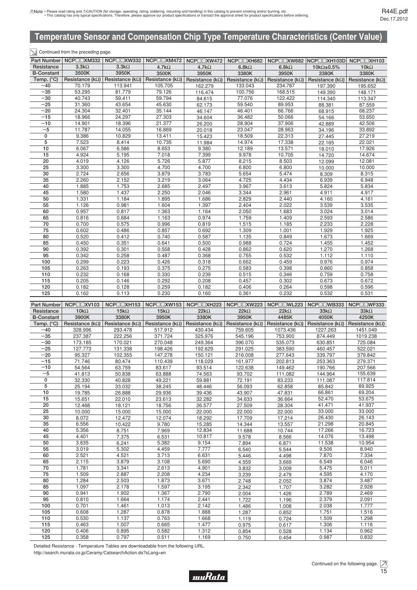#### $\boxed{\searrow}$  Continued from the preceding page.

|                   | Part Number   NCP□□XM332 | NCPOZXW332               | $NCP \Box XM472$         | NCP <sub>I</sub> NXW472  | NCP□□XH682               |                          | NCP□□XW682 NCP□□XH103D NCP□□XH103 |                          |  |
|-------------------|--------------------------|--------------------------|--------------------------|--------------------------|--------------------------|--------------------------|-----------------------------------|--------------------------|--|
| Resistance        | $3.3k\Omega$             | 3.3k <sub>2</sub>        | 4.7 $k\Omega$            | $4.7k\Omega$             | $6.8k\Omega$             | $6.8k\Omega$             | 10k $\Omega$ ±0.5%                | 10 $k\Omega$             |  |
| <b>B-Constant</b> | 3500K                    | 3950K                    | 3500K                    | 3950K                    | 3380K                    | 3950K                    | 3380K                             | 3380K                    |  |
| Temp. (°C)        | Resistance ( $k\Omega$ ) | Resistance ( $k\Omega$ ) | Resistance ( $k\Omega$ ) | Resistance ( $k\Omega$ ) | Resistance ( $k\Omega$ ) | Resistance ( $k\Omega$ ) | Resistance ( $k\Omega$ )          | Resistance ( $k\Omega$ ) |  |
| $-40$             | 70.179                   | 113.941                  | 105.705                  | 162.279                  | 133.043                  | 234.787                  | 197.390                           | 195.652                  |  |
| $-35$             | 53.295                   | 81.779                   | 79.126                   | 116.474                  | 100.756                  | 168.515                  | 149.390                           | 148.171                  |  |
| $-30$             | 40.743                   | 59.411                   | 59.794                   | 84.615                   | 77.076                   | 122.422                  | 114.340                           | 113.347                  |  |
| $-25$             | 31.360                   | 43.654                   | 45.630                   | 62.173                   | 59.540                   | 89.953                   | 88.381                            | 87.559                   |  |
| $-20$             | 24.304                   | 32.401                   | 35.144                   | 46.147                   | 46.401                   | 66.766                   | 68.915                            | 68.237                   |  |
| $-15$             | 18.966                   | 24.297                   | 27.303                   | 34.604                   | 36.482                   | 50.066                   | 54.166                            | 53.650                   |  |
| $-10$             | 14.901                   | 18.396                   | 21.377                   | 26.200                   | 28.904                   | 37.906                   | 42.889                            | 42.506                   |  |
| $-5$              | 11.787                   | 14.055                   | 16.869                   | 20.018                   | 23.047                   | 28.963                   | 34.196                            | 33.892                   |  |
| 0                 | 9.386                    | 10.829                   | 13.411                   | 15.423                   | 18.509                   | 22.313                   | 27.445                            | 27.219                   |  |
| 5                 | 7.523                    | 8.414                    | 10.735                   | 11.984                   | 14.974                   | 17.338                   | 22.165                            | 22.021                   |  |
| 10                | 6.067                    | 6.586                    | 8.653                    | 9.380                    | 12.189                   | 13.571                   | 18.010                            | 17.926                   |  |
| 15                | 4.924                    | 5.195                    | 7.018                    | 7.399                    | 9.978                    | 10.705                   | 14.720                            | 14.674                   |  |
| 20                | 4.019                    | 4.126                    | 5.726                    | 5.877                    | 8.215                    | 8.503                    | 12.099                            | 12.081                   |  |
| 25                | 3.300                    | 3.300                    | 4.700                    | 4.700                    | 6.800                    | 6.800                    | 10.000<br>10.000                  |                          |  |
| 30                | 2.724                    | 2.656                    | 3.879                    | 3.783                    | 5.654                    | 5.474                    | 8.309                             | 8.315                    |  |
| 35                | 2.260                    | 2.152                    | 3.219                    | 3.064                    | 4.725                    | 4.434                    | 6.939<br>6.948                    |                          |  |
| 40                | 1.885                    | 1.753                    | 2.685                    | 2.497                    | 3.967                    | 3.613                    | 5.824                             | 5.834                    |  |
| 45                | 1.580                    | 1.437                    | 2.250                    | 2.046                    | 3.344                    | 2.961                    | 4.911                             | 4.917                    |  |
| 50                | 1.331                    | 1.184                    | 1.895                    | 1.686                    | 2.829                    | 2.440                    | 4.160                             | 4.161                    |  |
| 55                | 1.126                    | 0.981                    | 1.604                    | 1.397                    | 2.404                    | 2.022                    | 3.539                             | 3.535                    |  |
| 60                | 0.957                    | 0.817                    | 1.363                    | 1.164                    | 2.050                    | 1.683                    | 3.024                             | 3.014                    |  |
| 65                | 0.816                    | 0.684                    | 1.163                    | 0.974                    | 1.759                    | 1.409                    | 2.593                             | 2.586                    |  |
| 70                | 0.700                    | 0.575                    | 0.996                    | 0.819                    | 1.515                    | 1.185                    | 2.233                             | 2.228                    |  |
| 75                | 0.602                    | 0.486                    | 0.857                    | 0.692                    | 1.309                    | 1.001                    | 1.929                             | 1.925                    |  |
| 80                | 0.520                    | 0.412                    | 0.740                    | 0.587                    | 1.135                    | 0.849                    | 1.673                             | 1.669                    |  |
| 85                | 0.450                    | 0.351                    | 0.641                    | 0.500                    | 0.988                    | 0.724                    | 1.455                             | 1.452                    |  |
| 90                | 0.392                    | 0.301                    | 0.558                    | 0.428                    | 0.862                    | 0.620                    | 1.270                             | 1.268                    |  |
| 95                | 0.342                    | 0.258                    | 0.487                    | 0.368                    | 0.755                    | 0.532                    | 1.112<br>1.110                    |                          |  |
| 100               | 0.299                    | 0.223                    | 0.426                    | 0.318                    | 0.662                    | 0.459                    | 0.976                             | 0.974                    |  |
| 105               | 0.263                    | 0.193                    | 0.375                    | 0.275                    | 0.583                    | 0.398                    | 0.860<br>0.858                    |                          |  |
| 110               | 0.232                    | 0.168                    | 0.330                    | 0.239                    | 0.515                    | 0.346                    | 0.759                             | 0.758                    |  |
| 115               | 0.205                    | 0.146                    | 0.292                    | 0.208                    | 0.457                    | 0.302                    | 0.673                             | 0.672                    |  |
| 120               | 0.182                    | 0.128                    | 0.259                    | 0.182                    | 0.406                    | 0.264                    | 0.598<br>0.596                    |                          |  |
| 125               | 0.162                    | 0.113                    | 0.230                    | 0.160                    | 0.361                    | 0.232                    | 0.532                             | 0.531                    |  |

| Part Number         | $NCP \Box XV103$         |                                                     |             | NCP□□XH153   NCP□□XW153   NCP□□XH223   NCP□□XW223   NCP□□WL223   NCP□□WB333   NCP□□WF333 |                                                     |             |                                                                                |             |
|---------------------|--------------------------|-----------------------------------------------------|-------------|------------------------------------------------------------------------------------------|-----------------------------------------------------|-------------|--------------------------------------------------------------------------------|-------------|
| Resistance          | $10k\Omega$              | $15k\Omega$                                         | $15k\Omega$ | $22k\Omega$                                                                              | $22k\Omega$                                         | $22k\Omega$ | $33k\Omega$                                                                    | $33k\Omega$ |
| <b>B-Constant</b>   | 3900K                    | 3380K                                               | 3950K       | 3380K                                                                                    | 3950K                                               | 4485K       | 4050K                                                                          |             |
| Temp. $(^{\circ}C)$ | Resistance ( $k\Omega$ ) | Resistance (k $\Omega$ )   Resistance (k $\Omega$ ) |             |                                                                                          | Resistance (k $\Omega$ )   Resistance (k $\Omega$ ) |             | Resistance (k $\Omega$ )   Resistance (k $\Omega$ )   Resistance (k $\Omega$ ) |             |
| $-40$               | 328.996                  | 293.478                                             | 517.912     | 430.434                                                                                  | 759.605                                             | 1073.436    | 1227.263                                                                       | 1451.049    |
| $-35$               | 237.387                  | 222.256                                             | 371.724     | 325.976                                                                                  | 545.196                                             | 753.900     | 874.449                                                                        | 1019.238    |
| $-30$               | 173.185                  | 170.021                                             | 270.048     | 249.364                                                                                  | 396.070                                             | 535.073     | 630.851                                                                        | 725.084     |
| $-25$               | 127.773                  | 131.338                                             | 198.426     | 192.629                                                                                  | 291.025                                             | 383.590     | 460.457                                                                        | 522.021     |
| $-20$               | 95.327                   | 102.355                                             | 147.278     | 150.121                                                                                  | 216.008                                             | 277.643     | 339.797                                                                        | 379.842     |
| $-15$               | 71.746                   | 80.474                                              | 110.439     | 118.029                                                                                  | 161.977                                             | 202.813     | 253.363                                                                        | 279.371     |
| $-10$               | 54.564                   | 63.759                                              | 83.617      | 93.514                                                                                   | 122.638                                             | 149.462     | 190.766                                                                        | 207.566     |
| $-5$                | 41.813                   | 50.838                                              | 63.888      | 74.563                                                                                   | 93.702                                              | 111.082     | 144.964                                                                        | 155.639     |
| 0                   | 32.330                   | 40.828                                              | 49.221      | 59.881                                                                                   | 72.191                                              | 83.233      | 111.087                                                                        | 117.814     |
| 5                   | 25.194                   | 33.032                                              | 38.245      | 48.446                                                                                   | 56.093                                              | 62.858      | 85.842                                                                         | 89.925      |
| 10                  | 19.785                   | 26.888                                              | 29.936      | 39.436                                                                                   | 43.907                                              | 47.831      | 66.861                                                                         | 69.204      |
| 15                  | 15.651                   | 22.010                                              | 23.613      | 32.282                                                                                   | 34.633                                              | 36.664      | 52.470                                                                         | 53.675      |
| 20                  | 12.468                   | 18.121                                              | 18.756      | 26.577                                                                                   | 27.509                                              | 28.304      | 41.471                                                                         | 41.937      |
| 25                  | 10.000                   | 15.000                                              | 15.000      | 22.000                                                                                   | 22.000                                              | 22.000      | 33.000                                                                         | 33.000      |
| 30                  | 8.072                    | 12.472                                              | 12.074      | 18.292                                                                                   | 17.709                                              | 17.214      | 26.430                                                                         | 26.143      |
| 35                  | 6.556                    | 10.422                                              | 9.780       | 15.285                                                                                   | 14.344                                              | 13.557      | 21.298                                                                         | 20.845      |
| 40                  | 5.356                    | 8.751<br>7.969<br>12.834<br>11.688<br>10.744        |             | 17.266                                                                                   | 16.723                                              |             |                                                                                |             |
| 45                  | 4.401                    | 7.375                                               | 6.531       | 10.817                                                                                   | 9.578                                               | 8.566       | 14.076                                                                         | 13.498      |
| 50                  | 3.635                    | 6.241                                               | 5.382       | 9.154                                                                                    | 7.894                                               | 6.871       | 11.538                                                                         | 10.954      |
| 55                  | 3.019                    | 5.302                                               | 4.459       | 7.777                                                                                    | 6.540                                               | 5.544       | 9.506                                                                          | 8.940       |
| 60                  | 2.521                    | 4.521                                               | 3.713       | 6.631                                                                                    | 5.446                                               | 4.498       | 7.870                                                                          | 7.334       |
| 65                  | 2.115                    | 3.879                                               | 3.108       | 5.690                                                                                    | 4.559                                               | 3.669       | 6.549                                                                          | 6.046       |
| 70                  | 1.781                    | 3.341                                               | 2.613       | 4.901                                                                                    | 3.832                                               | 3.009       | 5.475                                                                          | 5.011       |
| 75                  | 1.509                    | 2.887                                               | 2.208       | 4.234                                                                                    | 3.239                                               | 2.479       | 4.595                                                                          | 4.170       |
| 80                  | 1.284                    | 2.503                                               | 1.873       | 3.671                                                                                    | 2.748                                               | 2.052       | 3.874                                                                          | 3.487       |
| 85                  | 1.097                    | 2.178                                               | 1.597       | 3.195                                                                                    | 2.342                                               | 1.707       | 3.282                                                                          | 2.928       |
| 90                  | 0.941                    | 1.902                                               | 1.367       | 2.790                                                                                    | 2.004                                               | 1.426       | 2.789                                                                          | 2.469       |
| 95                  | 0.810                    | 1.664                                               | 1.174       | 2.441                                                                                    | 1.722                                               | 1.196       | 2.379                                                                          | 2.091       |
| 100                 | 0.701                    | 1.461                                               | 1.013       | 2.142                                                                                    | 1.486                                               | 1.008       | 2.038                                                                          | 1.777       |
| 105                 | 0.608                    | 1.287                                               | 0.878       | 1.888                                                                                    | 1.287                                               | 0.852       | 1.751<br>1.516                                                                 |             |
| 110                 | 0.530                    | 1.137                                               | 0.763       | 1.668                                                                                    | 1.119                                               | 0.724       | 1.509                                                                          | 1.298       |
| 115                 | 0.463                    | 1.007                                               | 0.665       | 1.477                                                                                    | 0.975                                               | 0.617       | 1.306                                                                          | 1.116       |
| 120                 | 0.406                    | 0.895                                               | 0.582       | 1.312                                                                                    | 0.854                                               | 0.528       | 1.134                                                                          | 0.962       |
| 125                 | 0.358                    | 0.797                                               | 0.511       | 1.169                                                                                    | 0.750                                               | 0.454       | 0.987                                                                          | 0.832       |

Detailed Resistance - Temperature Tables are downloadable from the following URL.

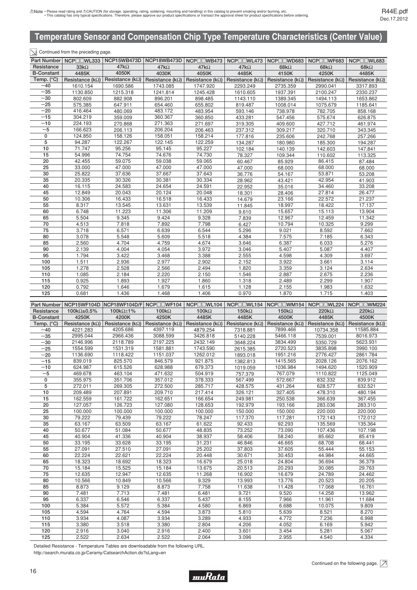#### $\boxed{\searrow}$  Continued from the preceding page.

|                   | Part Number NCP□□WL333                         | NCP15WB473D              | NCP18WB473D | NCP□□WB473                                          | NCP□□WL473               | NCPOOWD683               | NCP□□WF683   | NCP□□WL683                                          |
|-------------------|------------------------------------------------|--------------------------|-------------|-----------------------------------------------------|--------------------------|--------------------------|--------------|-----------------------------------------------------|
| Resistance        | $33k\Omega$                                    | $47k\Omega$              | $47k\Omega$ | $47k\Omega$                                         | $47k\Omega$              | 68k $\Omega$             | 68k $\Omega$ | 68 $k\Omega$                                        |
| <b>B-Constant</b> | 4485K                                          | 4050K                    | 4030K       | 4050K                                               | 4485K                    | 4150K                    | 4250K        | 4485K                                               |
| Temp. (°C)        | Resistance ( $k\Omega$ )                       | Resistance ( $k\Omega$ ) |             | Resistance (k $\Omega$ )   Resistance (k $\Omega$ ) | Resistance ( $k\Omega$ ) | Resistance ( $k\Omega$ ) |              | Resistance (k $\Omega$ )   Resistance (k $\Omega$ ) |
| $-40$             | 1610.154                                       | 1690.586                 | 1743.085    | 1747.920                                            | 2293.249                 | 2735.359                 | 2990.041     | 3317.893                                            |
| $-35$             | 1130.850                                       | 1215.318                 | 1241.814    | 1245.428                                            | 1610.605                 | 1937.391                 | 2100.247     | 2330.237                                            |
| $-30$             | 802.609                                        | 882.908                  | 896.201     | 898.485                                             | 1143.110                 | 1389.345                 | 1494.113     | 1653.862                                            |
| $-25$             | 575.385                                        | 647.911                  | 654.460     | 655.802                                             | 819.487                  | 1008.014                 | 1075.679     | 1185.641                                            |
| $-20$             | 416.464                                        | 480.069                  | 483.172     | 483.954                                             | 593.146                  | 738.978                  | 782.705      | 858.168                                             |
| $-15$             | 304.219                                        | 359.009                  | 360.367     | 360.850                                             | 433.281                  | 547.456                  | 575.674      | 626.875                                             |
| $-10$             | 224.193                                        | 270.868                  | 271.363     | 271.697                                             | 319.305                  | 409.600                  | 427.712      | 461.974                                             |
| $-5$              | 166.623                                        | 206.113                  | 206.204     | 206.463                                             | 237.312                  | 309.217                  | 320.710      | 343.345                                             |
| $\mathbf{0}$      | 124.850                                        | 158.126                  | 158.051     | 158.214                                             | 177.816                  | 235.606                  | 242.768      | 257.266                                             |
| 5                 | 94.287                                         | 122.267                  | 122.145     | 122.259                                             | 134.287                  | 180.980                  | 185.300      | 194.287                                             |
| 10                | 71.747                                         | 95.256                   | 95.145      | 95.227                                              | 102.184                  | 140.139                  | 142.603      | 147.841                                             |
| 15                | 54.996                                         | 74.754                   | 74.676      | 74.730                                              | 78.327                   | 109.344                  | 110.602      | 113.325                                             |
| 20                | 42.455                                         | 59.075                   | 59.038      | 59.065                                              | 60.467                   | 85.929                   | 86.415       | 87.484                                              |
| 25                | 33.000                                         | 47.000                   | 47.000      | 47.000                                              | 47.000                   | 68.000                   | 68.000       | 68.000                                              |
| 30                | 37.636<br>37.667<br>25.822<br>37.643<br>36.776 |                          | 54.167      | 53.871                                              | 53.208                   |                          |              |                                                     |
| 35                | 30.326<br>30.381<br>30.334<br>20.335           |                          | 28.962      | 43.421                                              | 42.954                   | 41.903                   |              |                                                     |
| 40                | 16.115                                         | 24.583                   | 24.654      | 24.591                                              | 22.952                   | 35.016                   | 34.460       | 33.208                                              |
| 45                | 12.849                                         | 20.043                   | 20.124      | 20.048                                              | 18.301                   | 28.406                   | 27.814       | 26.477                                              |
| 50                | 10.306                                         | 16.433                   | 16.518      | 16.433                                              | 14.679                   | 23.166                   | 22.572       | 21.237                                              |
| 55                | 8.317                                          | 13.545                   | 13.631      | 13.539                                              | 11.845                   | 18.997                   | 18.422       | 17.137                                              |
| 60                | 6.748                                          | 11.223                   | 11.306      | 11.209                                              | 9.610                    | 15.657                   | 15.113       | 13.904                                              |
| 65                | 5.504                                          | 9.345                    | 9.424       | 9.328                                               | 7.839                    | 12.967                   | 12.459       | 11.342                                              |
| 70                | 4.513                                          | 7.818                    | 7.892       | 7.798                                               | 6.427                    | 10.794                   | 10.325       | 9.299                                               |
| 75                | 3.718                                          | 6.571                    | 6.639       | 6.544                                               | 5.296                    | 9.021                    | 8.592        | 7.662                                               |
| 80                | 3.078                                          | 5.548                    | 5.609       | 5.518                                               | 4.384                    | 7.575                    | 7.185        | 6.343                                               |
| 85                | 2.560                                          | 4.704                    | 4.759       | 4.674                                               | 3.646                    | 6.387                    | 6.033        | 5.276                                               |
| 90                | 2.139                                          | 4.004                    | 4.054       | 3.972                                               | 3.046                    | 5.407                    | 5.087        | 4.407                                               |
| 95                | 1.794                                          | 3.422                    | 3.468       | 3.388                                               | 2.555                    | 4.598                    | 4.309        | 3.697                                               |
| 100               | 1.511                                          | 2.936                    | 2.977       | 2.902                                               | 2.152                    | 3.922                    | 3.661        | 3.114                                               |
| 105               | 1.278                                          | 2.528                    | 2.566       | 2.494                                               | 1.820                    | 3.359                    | 3.124        | 2.634                                               |
| 110               | 1.085                                          | 2.184                    | 2.220       | 2.150                                               | 1.546                    | 2.887                    | 2.675        | 2.236                                               |
| 115               | 0.925                                          | 1.893                    | 1.927       | 1.860                                               | 1.318                    | 2.489                    | 2.299        | 1.907                                               |
| 120               | 0.792                                          | 1.646                    | 1.679       | 1.615                                               | 1.128                    | 2.155                    | 1.983        | 1.632                                               |
| 125               | 0.681                                          | 1.436                    | 1.468       | 1.406                                               | 0.970                    | 1.870                    | 1.715        | 1.403                                               |

|                     |                            |                            |                                                     |              |                                                     | Part Number   NCP15WF104D   NCP18WF104D/F   NCP□□WF104   NCP□□WL104   NCP□□WL154   NCP□□WM154   NCP□□WL224   NCP□□WM224 |                |              |
|---------------------|----------------------------|----------------------------|-----------------------------------------------------|--------------|-----------------------------------------------------|-------------------------------------------------------------------------------------------------------------------------|----------------|--------------|
| Resistance          | 100k $\Omega$ ±0.5%        | 100k $\Omega$ ±1%          | $100k\Omega$                                        | $100k\Omega$ | 150 $k\Omega$                                       | 150 $k\Omega$                                                                                                           | $220k\Omega$   | $220k\Omega$ |
| <b>B-Constant</b>   | 4250K                      | 4200K                      | 4250K                                               | 4485K        | 4485K                                               | 4500K                                                                                                                   | 4485K          | 4500K        |
| Temp. $(^{\circ}C)$ | Resistance ( $k\Omega$ )   |                            | Resistance (k $\Omega$ )   Resistance (k $\Omega$ ) |              | Resistance (k $\Omega$ )   Resistance (k $\Omega$ ) | Resistance ( $k\Omega$ )   Resistance ( $k\Omega$ )   Resistance ( $k\Omega$ )                                          |                |              |
| $-40$               | 4221.283                   | 4205.686                   | 4397.119                                            | 4879.254     | 7318.881                                            | 7899.466                                                                                                                | 10734.358      | 11585.884    |
| $-35$               | 2995.044                   | 2966.436                   | 3088.599                                            | 3426.818     | 5140.228                                            | 5466.118                                                                                                                | 7539.001       | 8016.973     |
| $-30$               | 2146.996                   | 2118.789                   | 2197.225                                            | 2432.149     | 3648.224                                            | 3834.499                                                                                                                | 5350.729       | 5623.931     |
| $-25$               | 1554.599                   | 1531.319                   | 1581.881                                            | 1743.590     | 2615.385                                            | 2720.523                                                                                                                | 3835.898       | 3990.100     |
| $-20$               | 1136.690                   | 1118.422                   | 1151.037                                            | 1262.012     | 1893.018                                            | 1951.216                                                                                                                | 2776.427       | 2861.784     |
| $-15$               | 839.019                    | 825.570                    | 846.579                                             | 921.875      | 1382.813                                            | 1415.565                                                                                                                | 2028.126       | 2076.162     |
| $-10$               | 624.987                    | 615.526                    | 628.988                                             | 679.373      | 1019.059                                            | 1036.984                                                                                                                | 1494.620       | 1520.909     |
| $-5$                | 469.678                    | 463.104                    | 471.632                                             | 504.919      | 757.379                                             | 767.079                                                                                                                 | 1110.822       | 1125.049     |
| $\mathbf 0$         | 355.975                    | 351.706                    | 357.012                                             | 378.333      | 567.499                                             | 572.667                                                                                                                 | 832.332        | 839.912      |
| 5                   | 272.011                    | 269.305                    | 272.500                                             | 285.717      | 428.575                                             | 431.264                                                                                                                 | 628.577        | 632.521      |
| 10                  | 209.489                    | 207.891                    | 209.710                                             | 217.414      | 326.121                                             | 327.405                                                                                                                 | 478.310        | 480.194      |
| 15                  | 162.559                    | 161.722                    | 162.651                                             | 166.654      | 249.981                                             | 250.538                                                                                                                 | 366.639        | 367.455      |
| 20                  | 127.057                    | 126.723                    | 127.080                                             | 128.653      | 192.979                                             | 193.166                                                                                                                 | 283.036        | 283.310      |
| 25                  | 100.000                    | 100.000                    | 100.000                                             | 100.000      | 150.000                                             | 150.000                                                                                                                 | 220.000        | 220.000      |
| 30                  | 79.222<br>79.222<br>79.439 |                            | 78.247                                              | 117.370      | 117.281                                             | 172.143                                                                                                                 | 172.012        |              |
| 35                  | 63.167                     | 63.509<br>63.167<br>61.622 |                                                     | 92.433       | 92.293                                              | 135.569                                                                                                                 | 135.364        |              |
| 40                  | 50.677                     | 51.084                     | 50.677                                              | 48.835       | 73.252                                              | 73.090                                                                                                                  | 107.436        | 107.198      |
| 45                  | 40.904                     | 41.336                     | 40.904                                              | 38.937       | 58.406                                              | 58.240                                                                                                                  | 85.662         | 85.419       |
| 50                  | 33.195                     | 33.628                     | 33.195                                              | 31.231       | 46.846                                              | 46.665                                                                                                                  | 68.708         | 68.441       |
| 55                  | 27.091                     | 27.510                     | 27.091                                              | 25.202       | 37.803                                              | 37.605                                                                                                                  | 55.444         | 55.153       |
| 60                  | 22.224                     | 22.621                     | 22.224                                              | 20.448       | 30.671                                              | 30.453                                                                                                                  | 44.984         | 44.665       |
| 65                  | 18.323                     | 18.692                     | 18.323                                              | 16.679       | 25.018                                              | 24.804                                                                                                                  | 36.694         | 36.379       |
| 70                  | 15.184                     | 15.525                     | 15.184                                              | 13.675       | 20.513                                              | 20.293                                                                                                                  | 30.085         | 29.763       |
| 75                  | 12.635                     | 12.947                     | 12.635                                              | 11.268       | 16.902                                              | 16.679                                                                                                                  | 24.789         | 24.462       |
| 80                  | 10.566                     | 10.849                     | 10.566                                              | 9.329        | 13.993                                              | 13.776                                                                                                                  | 20.523         | 20.205       |
| 85                  | 8.873                      | 9.129                      | 8.873                                               | 7.758        | 11.638                                              | 11.428                                                                                                                  | 17.068         | 16.761       |
| 90                  | 7.481                      | 7.713                      | 7.481                                               | 6.481        | 9.721                                               | 9.520                                                                                                                   | 14.258         | 13.962       |
| 95                  | 6.337                      | 6.546                      | 6.337                                               | 5.437        | 8.155                                               | 7.966                                                                                                                   | 11.961         | 11.684       |
| 100                 | 5.384                      | 5.572                      | 5.384                                               | 4.580        | 6.869                                               | 6.688                                                                                                                   | 10.075         | 9.809        |
| 105                 | 4.594                      | 4.764                      | 4.594                                               | 3.873        | 5.810                                               | 5.639                                                                                                                   | 8.521          | 8.270        |
| 110                 | 3.934                      | 4.087                      | 3.934                                               | 3.289        | 4.933                                               | 4.772                                                                                                                   | 7.236<br>6.998 |              |
| 115                 | 3.380                      | 3.518                      | 3.380                                               | 2.804        | 4.206                                               | 4.052                                                                                                                   | 6.169          | 5.942        |
| 120                 | 2.916                      | 3.040                      | 2.916                                               | 2.400        | 3.601                                               | 3.454                                                                                                                   | 5.281          | 5.067        |
| 125                 | 2.522                      | 2.634                      | 2.522                                               | 2.064        | 3.096                                               | 2.955                                                                                                                   | 4.540          | 4.334        |

Detailed Resistance - Temperature Tables are downloadable from the following URL.

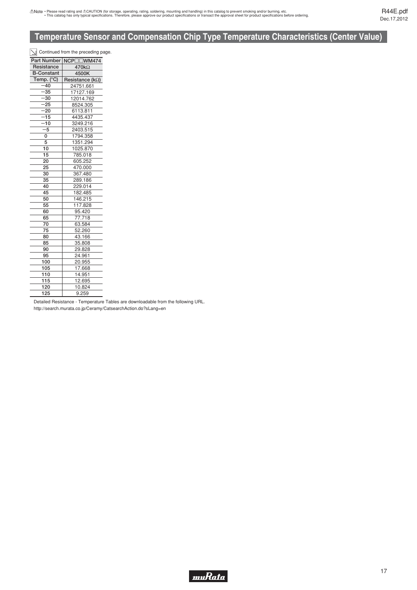|                     | $\leq$ Continued from the preceding page. |  |  |  |
|---------------------|-------------------------------------------|--|--|--|
|                     | Part Number NCP□□WM474                    |  |  |  |
| Resistance          | 470kΩ                                     |  |  |  |
| <b>B-Constant</b>   | 4500K                                     |  |  |  |
| Temp. $(^{\circ}C)$ | Resistance (kΩ)                           |  |  |  |
| $-40$               | 24751.661                                 |  |  |  |
| $-35$               | 17127.169                                 |  |  |  |
| $-30$               | 12014.762                                 |  |  |  |
| $-25$               | 8524.305                                  |  |  |  |
| $-20$               | 6113.811                                  |  |  |  |
| $-15$               | 4435.437                                  |  |  |  |
| $-10$               | 3249.216                                  |  |  |  |
| $-5$                | 2403.515                                  |  |  |  |
| 0                   | 1794.358                                  |  |  |  |
| 5                   | 1351.294                                  |  |  |  |
| 10                  | 1025.870                                  |  |  |  |
| 15                  | 785.018                                   |  |  |  |
| 20                  | 605.252                                   |  |  |  |
| 25                  | 470.000                                   |  |  |  |
| 30                  | 367.480                                   |  |  |  |
| 35                  | 289.186                                   |  |  |  |
| 40                  | 229.014                                   |  |  |  |
| 45                  | 182.485                                   |  |  |  |
| 50                  | 146.215                                   |  |  |  |
| 55                  | 117.828                                   |  |  |  |
| 60                  | 95.420                                    |  |  |  |
| 65                  | 77.718                                    |  |  |  |
| 70                  | 63.584                                    |  |  |  |
| 75                  | 52.260                                    |  |  |  |
| 80                  | 43.166                                    |  |  |  |
| 85                  | 35.808                                    |  |  |  |
| 90                  | 29.828                                    |  |  |  |
| 95                  | 24.961                                    |  |  |  |
| 100                 | 20.955                                    |  |  |  |
| 105                 | 17.668                                    |  |  |  |
| 110                 | 14.951                                    |  |  |  |
| 115                 | 12.695                                    |  |  |  |
| 120                 | 10.824                                    |  |  |  |
| 125                 | 9.259                                     |  |  |  |
|                     |                                           |  |  |  |

Detailed Resistance - Temperature Tables are downloadable from the following URL. http://search.murata.co.jp/Ceramy/CatsearchAction.do?sLang=en

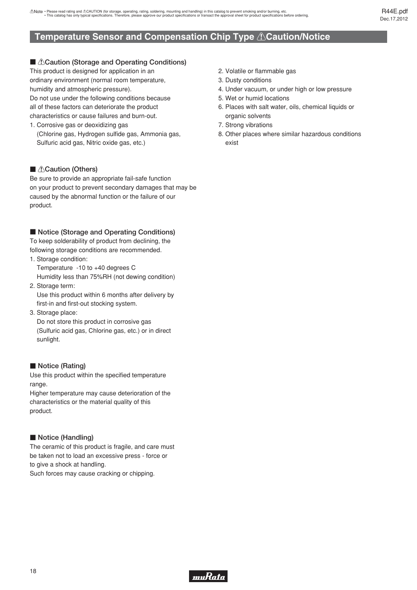# <span id="page-19-0"></span>■ *∆Caution (Storage and Operating Conditions)*

This product is designed for application in an ordinary environment (normal room temperature, humidity and atmospheric pressure). Do not use under the following conditions because all of these factors can deteriorate the product characteristics or cause failures and burn-out.

1. Corrosive gas or deoxidizing gas (Chlorine gas, Hydrogen sulfide gas, Ammonia gas, Sulfuric acid gas, Nitric oxide gas, etc.)

# **Caution (Others)**

Be sure to provide an appropriate fail-safe function on your product to prevent secondary damages that may be caused by the abnormal function or the failure of our product.

## ■ Notice (Storage and Operating Conditions)

To keep solderability of product from declining, the following storage conditions are recommended.

- 1. Storage condition: Temperature -10 to +40 degrees C Humidity less than 75%RH (not dewing condition)
- 2. Storage term: Use this product within 6 months after delivery by first-in and first-out stocking system.
- 3. Storage place:

 Do not store this product in corrosive gas (Sulfuric acid gas, Chlorine gas, etc.) or in direct sunlight.

# **Notice (Rating)**

Use this product within the specified temperature range.

Higher temperature may cause deterioration of the characteristics or the material quality of this product.

# **Notice (Handling)**

The ceramic of this product is fragile, and care must be taken not to load an excessive press - force or to give a shock at handling. Such forces may cause cracking or chipping.

- 2. Volatile or flammable gas
- 3. Dusty conditions
- 4. Under vacuum, or under high or low pressure
- 5. Wet or humid locations
- 6. Places with salt water, oils, chemical liquids or organic solvents
- 7. Strong vibrations
- 8. Other places where similar hazardous conditions exist

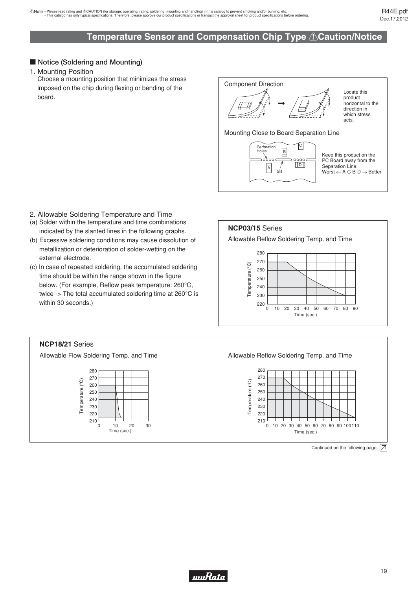## ■ Notice (Soldering and Mounting)

1. Mounting Position

Choose a mounting position that minimizes the stress imposed on the chip during flexing or bending of the board.

Component Direction

Locate this product horizontal to the direction in which stress acts.

Mounting Close to Board Separation Line



Keep this product on the PC Board away from the Separation Line.  $Worst \leftarrow A-C-B-D \rightarrow Better$ 

- 2. Allowable Soldering Temperature and Time
- (a) Solder within the temperature and time combinations indicated by the slanted lines in the following graphs.
- (b) Excessive soldering conditions may cause dissolution of metallization or deterioration of solder-wetting on the external electrode.
- (c) In case of repeated soldering, the accumulated soldering time should be within the range shown in the figure below. (For example, Reflow peak temperature: 260°C, twice -> The total accumulated soldering time at 260°C is within 30 seconds.)



#### **NCP18/21** Series

Allowable Flow Soldering Temp. and Time



Allowable Reflow Soldering Temp. and Time



Continued on the following page.  $\boxed{\nearrow}$ 

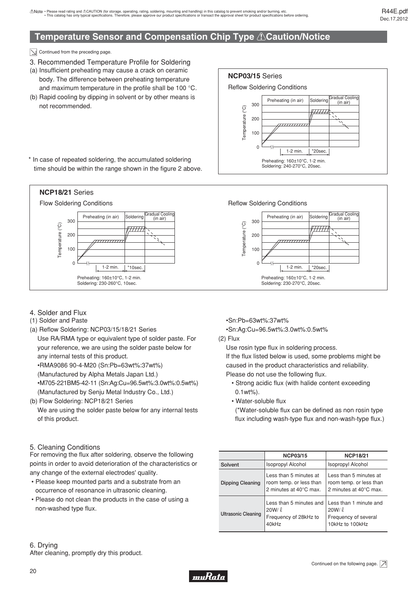$\boxed{\searrow}$  Continued from the preceding page.

3. Recommended Temperature Profile for Soldering

- (a) Insufficient preheating may cause a crack on ceramic body. The difference between preheating temperature and maximum temperature in the profile shall be 100 °C.
- (b) Rapid cooling by dipping in solvent or by other means is not recommended.



\* In case of repeated soldering, the accumulated soldering time should be within the range shown in the figure 2 above.



- 4. Solder and Flux
- (1) Solder and Paste
- (a) Reflow Soldering: NCP03/15/18/21 Series

Use RA/RMA type or equivalent type of solder paste. For your reference, we are using the solder paste below for any internal tests of this product.

.RMA9086 90-4-M20 (Sn:Pb=63wt%:37wt%)

(Manufactured by Alpha Metals Japan Ltd.)

•M705-221BM5-42-11 (Sn:Ag:Cu=96.5wt%:3.0wt%:0.5wt%) (Manufactured by Senju Metal Industry Co., Ltd.)

(b) Flow Soldering: NCP18/21 Series

We are using the solder paste below for any internal tests of this product.

### 5. Cleaning Conditions

For removing the flux after soldering, observe the following points in order to avoid deterioration of the characteristics or any change of the external electrodes' quality.

- Please keep mounted parts and a substrate from an occurrence of resonance in ultrasonic cleaning.
- Please do not clean the products in the case of using a non-washed type flux.

 $\cdot$ Sn:Pb=63wt%:37wt%

•Sn:Ag:Cu=96.5wt%:3.0wt%:0.5wt%

 $(2)$  Flux

Use rosin type flux in soldering process.

If the flux listed below is used, some problems might be caused in the product characteristics and reliability. Please do not use the following flux.

- Strong acidic flux (with halide content exceeding  $0.1wt\%$ ).
- Water-soluble flux

(\*Water-soluble flux can be defined as non rosin type flux including wash-type flux and non-wash-type flux.)

|                            | <b>NCP03/15</b>                                                             | <b>NCP18/21</b>                                                                       |
|----------------------------|-----------------------------------------------------------------------------|---------------------------------------------------------------------------------------|
| Solvent                    | Isopropyl Alcohol                                                           | Isopropyl Alcohol                                                                     |
| <b>Dipping Cleaning</b>    | Less than 5 minutes at<br>room temp. or less than<br>2 minutes at 40°C max. | Less than 5 minutes at<br>room temp. or less than<br>2 minutes at $40^{\circ}$ C max. |
| <b>Ultrasonic Cleaning</b> | Less than 5 minutes and<br>20W/l<br>Frequency of 28kHz to<br>40kHz          | Less than 1 minute and<br>20W/l<br>Frequency of several<br>10kHz to 100kHz            |

### 6. Drying

After cleaning, promptly dry this product.

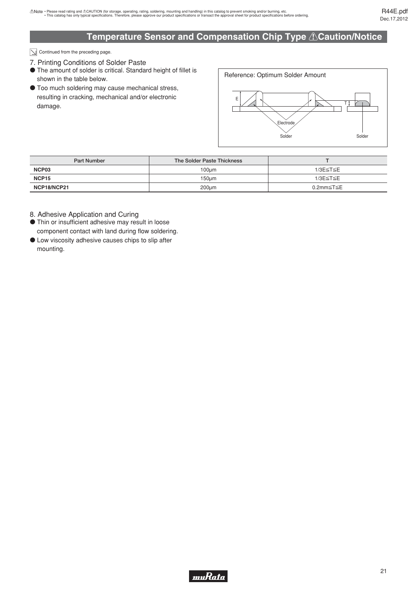$\boxed{\searrow}$  Continued from the preceding page.

- 7. Printing Conditions of Solder Paste
- o The amount of solder is critical. Standard height of fillet is shown in the table below.
- $\bullet$  Too much soldering may cause mechanical stress, resulting in cracking, mechanical and/or electronic damage.



| <b>Part Number</b> | The Solder Paste Thickness |           |
|--------------------|----------------------------|-----------|
| NCP03              | $100 \mu m$                | 1/3E≤T≤E  |
| NCP15              | $150 \mu m$                | 1/3E≤T≤E  |
| NCP18/NCP21        | $200 \mu m$                | 0.2mm≤T≤E |

8. Adhesive Application and Curing

- o Thin or insufficient adhesive may result in loose component contact with land during flow soldering.
- o Low viscosity adhesive causes chips to slip after mounting.

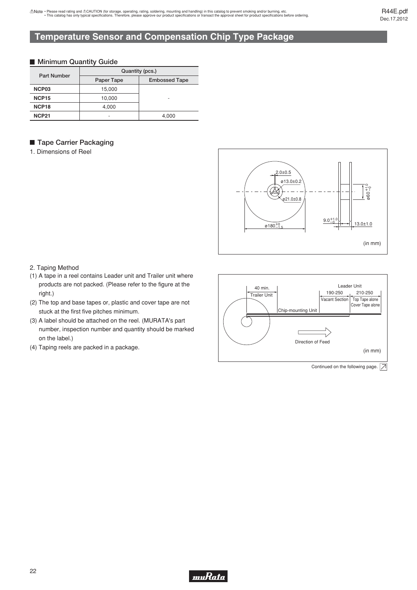# <span id="page-23-0"></span>**Temperature Sensor and Compensation Chip Type Package**

#### **Minimum Quantity Guide**

|                    | Quantity (pcs.) |                          |  |  |  |
|--------------------|-----------------|--------------------------|--|--|--|
| <b>Part Number</b> | Paper Tape      | <b>Embossed Tape</b>     |  |  |  |
| NCP <sub>03</sub>  | 15,000          |                          |  |  |  |
| <b>NCP15</b>       | 10,000          | $\overline{\phantom{0}}$ |  |  |  |
| NCP <sub>18</sub>  | 4,000           |                          |  |  |  |
| <b>NCP21</b>       |                 | 4.000                    |  |  |  |

### **Tape Carrier Packaging**

1. Dimensions of Reel



#### 2. Taping Method

- (1) A tape in a reel contains Leader unit and Trailer unit where products are not packed. (Please refer to the figure at the right.)
- (2) The top and base tapes or, plastic and cover tape are not stuck at the first five pitches minimum.
- (3) A label should be attached on the reel. (MURATA's part number, inspection number and quantity should be marked on the label.)
- (4) Taping reels are packed in a package.

Leader Unit 40 min. 190-250 210-250 Trailer Unit Vacant Section Top Tape alone Cover Tape alone Chip-mounting Unit  $\Gamma$ Direction of Feed (in mm)

Continued on the following page.  $\boxed{\nearrow}$ 

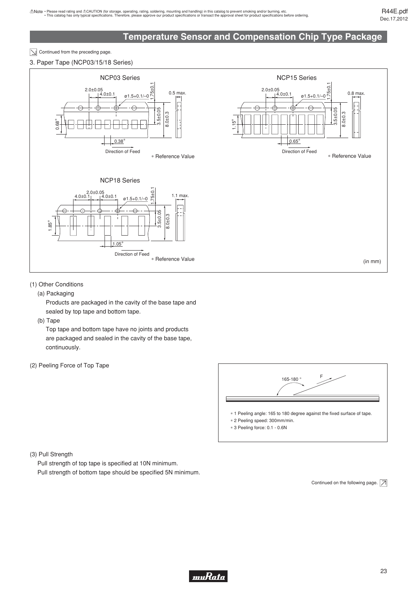# **Temperature Sensor and Compensation Chip Type Package**

 $\boxed{\searrow}$  Continued from the preceding page.

3. Paper Tape (NCP03/15/18 Series)



#### (1) Other Conditions

(a) Packaging

Products are packaged in the cavity of the base tape and sealed by top tape and bottom tape.

(b) Tape

Top tape and bottom tape have no joints and products are packaged and sealed in the cavity of the base tape, continuously.

(2) Peeling Force of Top Tape



(3) Pull Strength

Pull strength of top tape is specified at 10N minimum. Pull strength of bottom tape should be specified 5N minimum.

Continued on the following page.  $\boxed{\nearrow}$ 

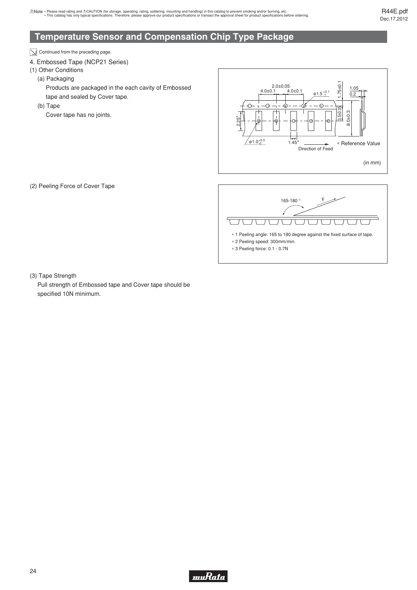# **Temperature Sensor and Compensation Chip Type Package**

 $\boxed{\searrow}$  Continued from the preceding page.

#### 4. Embossed Tape (NCP21 Series)

(1) Other Conditions

(a) Packaging

Products are packaged in the each cavity of Embossed tape and sealed by Cover tape.

(b) Tape

Cover tape has no joints.

(2) Peeling Force of Cover Tape





(3) Tape Strength

Pull strength of Embossed tape and Cover tape should be specified 10N minimum.

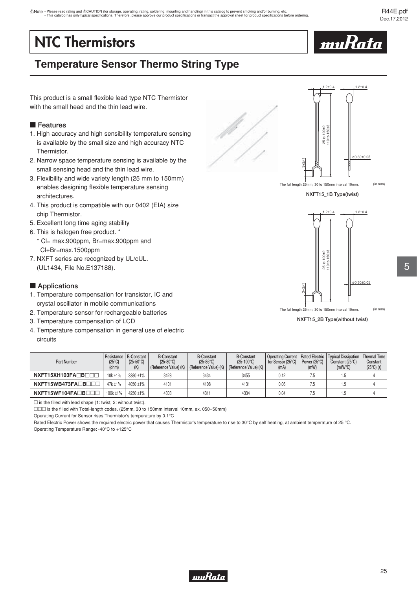# <span id="page-26-0"></span>**NTC Thermistors**



# **Temperature Sensor Thermo String Type**

This product is a small flexible lead type NTC Thermistor with the small head and the thin lead wire.

#### **Features**

- 1. High accuracy and high sensibility temperature sensing is available by the small size and high accuracy NTC Thermistor.
- 2. Narrow space temperature sensing is available by the small sensing head and the thin lead wire.
- 3. Flexibility and wide variety length (25 mm to 150mm) enables designing flexible temperature sensing architectures.
- 4. This product is compatible with our 0402 (EIA) size chip Thermistor.
- 5. Excellent long time aging stability
- 6. This is halogen free product. \* \* Cl= max.900ppm, Br=max.900ppm and
- Cl+Br=max.1500ppm 7. NXFT series are recognized by UL/cUL.
	- (UL1434, File No.E137188).

#### $\blacksquare$  Applications

- 1. Temperature compensation for transistor, IC and crystal oscillator in mobile communications
- 2. Temperature sensor for rechargeable batteries
- 3. Temperature compensation of LCD
- 4. Temperature compensation in general use of electric circuits

| Part Number        | $(25^{\circ}C)$<br>(ohm) | Resistance   B-Constant<br>$(25-50^{\circ}C)$<br>(K) | <b>B-Constant</b><br>$(25-80^{\circ}C)$<br>(Reference Value) (K) | <b>B-Constant</b><br>$(25-85^{\circ}C)$<br>(Reference Value) (K) | <b>B-Constant</b><br>$(25-100^{\circ}C)$<br>(Reference Value) (K) | <b>Operating Current</b><br>for Sensor (25°C)<br>(mA) | Rated Electric<br>Power $(25^{\circ}C)$<br>(mW) | Typical Dissipation<br>Constant (25°C)<br>$(mW)^{\circ}C$ | Thermal Time<br>Constant<br>$(25^{\circ}C)$ (s) |
|--------------------|--------------------------|------------------------------------------------------|------------------------------------------------------------------|------------------------------------------------------------------|-------------------------------------------------------------------|-------------------------------------------------------|-------------------------------------------------|-----------------------------------------------------------|-------------------------------------------------|
| NXFT15XH103FADBOOD | 10k ±1%                  | 3380 ±1%                                             | 3428                                                             | 3434                                                             | 3455                                                              | 0.12                                                  | 7.5                                             | 1.5                                                       |                                                 |
| NXFT15WB473FADBOOD | 47k ±1%                  | $4050 + 1\%$                                         | 4101                                                             | 4108                                                             | 4131                                                              | 0.06                                                  | 7.5                                             | 1.5                                                       |                                                 |
| NXFT15WF104FADBOOD | 100k ±1%                 | 4250 ±1%                                             | 4303                                                             | 4311                                                             | 4334                                                              | 0.04                                                  | 7.5                                             |                                                           |                                                 |

 $\square$  is the filled with lead shape (1: twist, 2: without twist).

DOD is the filled with Total-length codes. (25mm, 30 to 150mm interval 10mm, ex. 050=50mm)

Operating Current for Sensor rises Thermistor's temperature by 0.1°C

Rated Electric Power shows the required electric power that causes Thermistor's temperature to rise to 30°C by self heating, at ambient temperature of 25 °C. Operating Temperature Range: -40°C to +125°C



**NXFT15\_1B Type(twist)**



**NXFT15\_2B Type(without twist)**

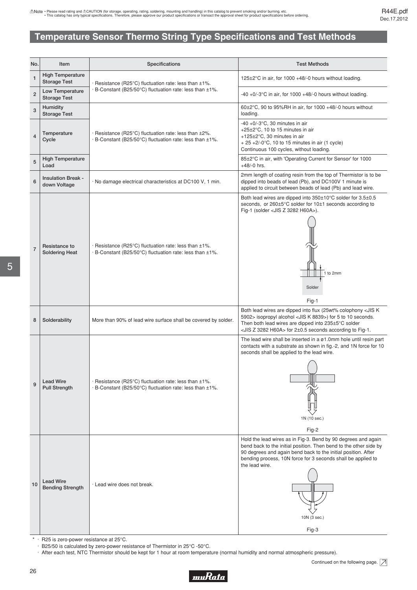# <span id="page-27-0"></span>**Temperature Sensor Thermo String Type Specifications and Test Methods**

| No.            | Item                                           | Specifications                                                                                                                 | <b>Test Methods</b>                                                                                                                                                                                                                                                                                            |
|----------------|------------------------------------------------|--------------------------------------------------------------------------------------------------------------------------------|----------------------------------------------------------------------------------------------------------------------------------------------------------------------------------------------------------------------------------------------------------------------------------------------------------------|
| $\mathbf{1}$   | <b>High Temperature</b><br><b>Storage Test</b> | · Resistance (R25°C) fluctuation rate: less than ±1%.                                                                          | 125±2°C in air, for 1000 +48/-0 hours without loading.                                                                                                                                                                                                                                                         |
| $\overline{2}$ | Low Temperature<br><b>Storage Test</b>         | · B-Constant (B25/50°C) fluctuation rate: less than ±1%.                                                                       | $-40 + 0$ / $-3^{\circ}$ C in air, for 1000 $+48$ / $-0$ hours without loading.                                                                                                                                                                                                                                |
| 3              | <b>Humidity</b><br><b>Storage Test</b>         |                                                                                                                                | $60\pm2\degree$ C, 90 to 95%RH in air, for 1000 +48/-0 hours without<br>loading.                                                                                                                                                                                                                               |
| $\overline{4}$ | Temperature<br>Cycle                           | $\cdot$ Resistance (R25°C) fluctuation rate: less than $\pm 2\%$ .<br>· B-Constant (B25/50°C) fluctuation rate: less than ±1%. | $-40 + 0/-3$ °C, 30 minutes in air<br>+25±2°C, 10 to 15 minutes in air<br>+125±2°C, 30 minutes in air<br>$+ 25 + 2/-0$ °C, 10 to 15 minutes in air (1 cycle)<br>Continuous 100 cycles, without loading.                                                                                                        |
| 5              | <b>High Temperature</b><br>Load                |                                                                                                                                | 85±2°C in air, with 'Operating Current for Sensor' for 1000<br>$+48/-0$ hrs.                                                                                                                                                                                                                                   |
| 6              | <b>Insulation Break -</b><br>down Voltage      | · No damage electrical characteristics at DC100 V, 1 min.                                                                      | 2mm length of coating resin from the top of Thermistor is to be<br>dipped into beads of lead (Pb), and DC100V 1 minute is<br>applied to circuit between beads of lead (Pb) and lead wire.                                                                                                                      |
| $\overline{7}$ | Resistance to<br><b>Soldering Heat</b>         | $\cdot$ Resistance (R25°C) fluctuation rate: less than $\pm 1\%$ .<br>· B-Constant (B25/50°C) fluctuation rate: less than ±1%. | Both lead wires are dipped into 350±10°C solder for 3.5±0.5<br>seconds, or 260±5°C solder for 10±1 seconds according to<br>Fig-1 (solder <jis 3282="" h60a="" z="">).<br/>1 to 2mm<br/>Solder<br/>Fig-1</jis>                                                                                                  |
| 8              | Solderability                                  | More than 90% of lead wire surface shall be covered by solder.                                                                 | Both lead wires are dipped into flux (25wt% colophony <jis k<br="">5902&gt; isopropyl alcohol <jis 8839="" k="">) for 5 to 10 seconds.<br/>Then both lead wires are dipped into 235±5°C solder<br/><jis 3282="" h60a="" z=""> for 2±0.5 seconds according to Fig-1.</jis></jis></jis>                          |
| 9              | <b>Lead Wire</b><br><b>Pull Strength</b>       | · Resistance (R25°C) fluctuation rate: less than ±1%.<br>· B-Constant (B25/50°C) fluctuation rate: less than ±1%.              | The lead wire shall be inserted in a ø1.0mm hole until resin part<br>contacts with a substrate as shown in fig.-2, and 1N force for 10<br>seconds shall be applied to the lead wire.<br>1N (10 sec.)<br>Fig-2                                                                                                  |
| 10             | <b>Lead Wire</b><br><b>Bending Strength</b>    | · Lead wire does not break.                                                                                                    | Hold the lead wires as in Fig-3. Bend by 90 degrees and again<br>bend back to the initial position. Then bend to the other side by<br>90 degrees and again bend back to the initial position. After<br>bending process, 10N force for 3 seconds shall be applied to<br>the lead wire.<br>10N (3 sec.)<br>Fig-3 |

\* · R25 is zero-power resistance at 25°C.

· B25/50 is calculated by zero-power resistance of Thermistor in 25°C -50°C.

· After each test, NTC Thermistor should be kept for 1 hour at room temperature (normal humidity and normal atmospheric pressure).

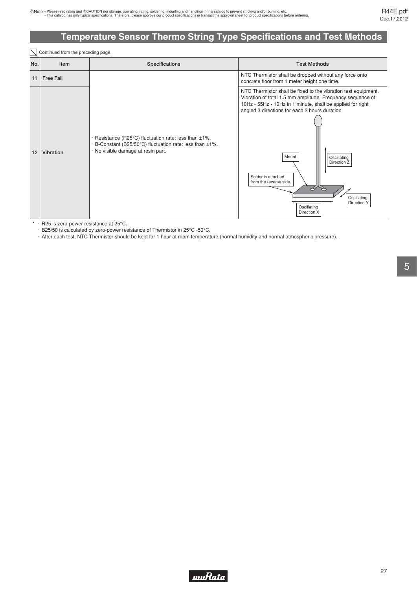# **Temperature Sensor Thermo String Type Specifications and Test Methods**

|     | Continued from the preceding page. |                                                                                                                                                                    |                                                                                                                                                                                                                                                                                                                                                                                                                       |  |  |  |  |  |  |
|-----|------------------------------------|--------------------------------------------------------------------------------------------------------------------------------------------------------------------|-----------------------------------------------------------------------------------------------------------------------------------------------------------------------------------------------------------------------------------------------------------------------------------------------------------------------------------------------------------------------------------------------------------------------|--|--|--|--|--|--|
| No. | Item                               | Specifications                                                                                                                                                     | <b>Test Methods</b>                                                                                                                                                                                                                                                                                                                                                                                                   |  |  |  |  |  |  |
| 11  | <b>Free Fall</b>                   |                                                                                                                                                                    | NTC Thermistor shall be dropped without any force onto<br>concrete floor from 1 meter height one time.                                                                                                                                                                                                                                                                                                                |  |  |  |  |  |  |
| 12  | Vibration                          | $\cdot$ Resistance (R25°C) fluctuation rate: less than $\pm$ 1%.<br>· B-Constant (B25/50°C) fluctuation rate: less than ±1%.<br>· No visible damage at resin part. | NTC Thermistor shall be fixed to the vibration test equipment.<br>Vibration of total 1.5 mm amplitude, Frequency sequence of<br>10Hz - 55Hz - 10Hz in 1 minute, shall be applied for right<br>angled 3 directions for each 2 hours duration.<br>Mount<br>Oscillating<br>Direction Z<br>Solder is attached<br>from the reverse side.<br>8<br>$\rightarrow$<br>Oscillating<br>Direction Y<br>Oscillating<br>Direction X |  |  |  |  |  |  |

\* · R25 is zero-power resistance at 25°C.

· B25/50 is calculated by zero-power resistance of Thermistor in 25°C -50°C.

· After each test, NTC Thermistor should be kept for 1 hour at room temperature (normal humidity and normal atmospheric pressure).

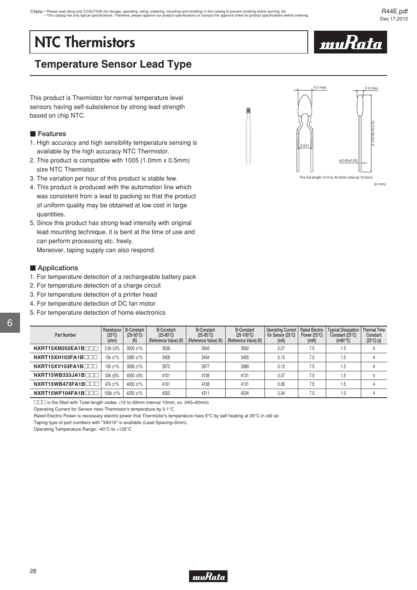# <span id="page-29-0"></span>**NTC Thermistors**



# **Temperature Sensor Lead Type**

This product is Thermistor for normal temperature level sensors having self-subsistence by strong lead strength based on chip NTC.

#### **Features**

- 1. High accuracy and high sensibility temperature sensing is available by the high accuracy NTC Thermistor.
- 2. This product is compatible with 1005 (1.0mm x 0.5mm) size NTC Thermistor.
- 3. The variation per hour of this product is stable few.
- 4. This product is produced with the automation line which was consistent from a lead to packing so that the product of uniform quality may be obtained at low cost in large quantities.
- 5. Since this product has strong lead intensity with original lead mounting technique, it is bent at the time of use and can perform processing etc. freely. Moreover, taping supply can also respond.

**Applications** 

- 1. For temperature detection of a rechargeable battery pack
- 2. For temperature detection of a charge circuit
- 3. For temperature detection of a printer head
- 4. For temperature detection of DC fan motor
- 5. For temperature detection of home electronics

| Part Number     | Resistance<br>$(25^{\circ}C)$<br>(ohm) | <b>B-Constant</b><br>$(25-50^{\circ}C)$<br>(K) | <b>B-Constant</b><br>$(25-80^{\circ}C)$<br>(Reference Value) (K) | <b>B-Constant</b><br>$(25-85^{\circ}C)$<br>(Reference Value) (K) | <b>B-Constant</b><br>$(25-100^{\circ}C)$<br>(Reference Value) (K) | <b>Operating Current</b><br>for Sensor (25°C)<br>(mA) | <b>Rated Electric</b><br>Power $(25^{\circ}C)$<br>(mW) | <b>Typical Dissipation</b><br>Constant (25°C)<br>$(mW)^{\circ}C$ | <b>Thermal Time</b><br>Constant<br>$(25^{\circ}C)$ (s) |
|-----------------|----------------------------------------|------------------------------------------------|------------------------------------------------------------------|------------------------------------------------------------------|-------------------------------------------------------------------|-------------------------------------------------------|--------------------------------------------------------|------------------------------------------------------------------|--------------------------------------------------------|
| NXRT15XM202EA1B | 2.0k ±3%                               | 3500 ±1%                                       | 3539                                                             | 3545                                                             | 3560                                                              | 0.27                                                  | 7.5                                                    | 1.5                                                              |                                                        |
| NXRT15XH103FA1B | $10k + 1%$                             | 3380 ±1%                                       | 3428                                                             | 3434                                                             | 3455                                                              | 0.12                                                  | 7.5                                                    | 1.5                                                              |                                                        |
| NXRT15XV103FA1B | 10k ±1%                                | 3936 ±1%                                       | 3972                                                             | 3977                                                             | 3989                                                              | 0.12                                                  | 7.5                                                    | 1.5                                                              |                                                        |
| NXRT15WB333JA1B | 33k ±5%                                | 4050 ±3%                                       | 4101                                                             | 4108                                                             | 4131                                                              | 0.07                                                  | 7.5                                                    | 1.5                                                              |                                                        |
| NXRT15WB473FA1B | $47k + 1%$                             | 4050 ±1%                                       | 4101                                                             | 4108                                                             | 4131                                                              | 0.06                                                  | 7.5                                                    | 1.5                                                              |                                                        |
| NXRT15WF104FA1B | $100k + 1%$                            | $4250 + 1\%$                                   | 4303                                                             | 4311                                                             | 4334                                                              | 0.04                                                  | 7.5                                                    | 1.5                                                              |                                                        |

 $\square\square\square$  is the filled with Total-length codes. (10 to 40mm interval 10mm, ex. 040=40mm)

Operating Current for Sensor rises Thermistor's temperature by 0.1°C.

Rated Electric Power is necessary electric power that Thermistor's temperature rises 5°C by self heating at 25°C in still air.

Taping type of part numbers with "3A016" is available (Lead Spacing=5mm).

Operating Temperature Range: -40°C to +125°C



The full length 10.0 to 40.0mm interval 10.0mm

| NXRT15XI |
|----------|
| NXRT15XI |
|          |

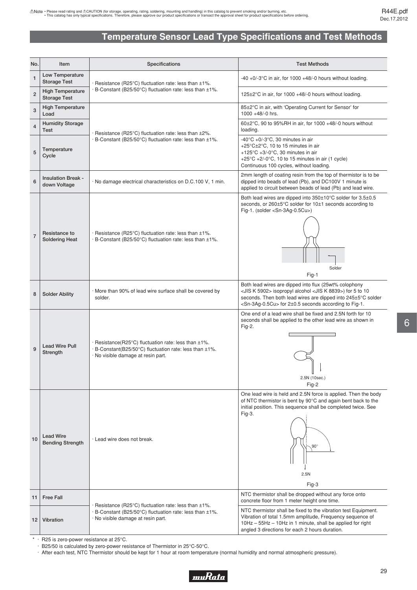# **Temperature Sensor Lead Type Specifications and Test Methods**

<span id="page-30-0"></span>

| No.            | Item                                           | Specifications                                                                                                                                                       | <b>Test Methods</b>                                                                                                                                                                                                                                                                               |
|----------------|------------------------------------------------|----------------------------------------------------------------------------------------------------------------------------------------------------------------------|---------------------------------------------------------------------------------------------------------------------------------------------------------------------------------------------------------------------------------------------------------------------------------------------------|
| $\mathbf{1}$   | Low Temperature<br><b>Storage Test</b>         | $\cdot$ Resistance (R25°C) fluctuation rate: less than $\pm 1\%$ .                                                                                                   | -40 +0/-3 $^{\circ}$ C in air, for 1000 +48/-0 hours without loading.                                                                                                                                                                                                                             |
| $\overline{2}$ | <b>High Temperature</b><br><b>Storage Test</b> | B-Constant (B25/50°C) fluctuation rate: less than ±1%.                                                                                                               | 125±2°C in air, for 1000 +48/-0 hours without loading.                                                                                                                                                                                                                                            |
| 3              | <b>High Temperature</b><br>Load                |                                                                                                                                                                      | 85±2°C in air, with 'Operating Current for Sensor' for<br>1000 +48/-0 hrs.                                                                                                                                                                                                                        |
| $\overline{4}$ | <b>Humidity Storage</b><br>Test                | · Resistance (R25°C) fluctuation rate: less than ±2%.                                                                                                                | $60\pm2\degree$ C, 90 to 95%RH in air, for 1000 +48/-0 hours without<br>loading.                                                                                                                                                                                                                  |
| 5              | Temperature<br>Cycle                           | · B-Constant (B25/50°C) fluctuation rate: less than ±1%.                                                                                                             | $-40^{\circ}$ C +0/-3 $^{\circ}$ C, 30 minutes in air<br>+25 $\degree$ C $\pm$ 2 $\degree$ C, 10 to 15 minutes in air<br>+125 $\degree$ C +3/-0 $\degree$ C, 30 minutes in air<br>+25 $\degree$ C +2/-0 $\degree$ C, 10 to 15 minutes in air (1 cycle)<br>Continuous 100 cycles, without loading. |
| 6              | <b>Insulation Break -</b><br>down Voltage      | · No damage electrical characteristics on D.C.100 V, 1 min.                                                                                                          | 2mm length of coating resin from the top of thermistor is to be<br>dipped into beads of lead (Pb), and DC100V 1 minute is<br>applied to circuit between beads of lead (Pb) and lead wire.                                                                                                         |
| $\overline{7}$ | Resistance to<br><b>Soldering Heat</b>         | $\cdot$ Resistance (R25°C) fluctuation rate: less than $\pm 1\%$ .<br>· B-Constant (B25/50°C) fluctuation rate: less than ±1%.                                       | Both lead wires are dipped into 350±10°C solder for 3.5±0.5<br>seconds, or 260±5°C solder for 10±1 seconds according to<br>Fig-1. (solder <sn-3ag-0.5cu>)<br/>Solder<br/>Fig-1</sn-3ag-0.5cu>                                                                                                     |
| 8              | <b>Solder Ability</b>                          | More than 90% of lead wire surface shall be covered by<br>solder.                                                                                                    | Both lead wires are dipped into flux (25wt% colophony<br><jis 5902="" k=""> isopropyl alcohol <jis 8839="" k="">) for 5 to 10<br/>seconds. Then both lead wires are dipped into 245±5°C solder<br/><sn-3ag-0.5cu> for 2±0.5 seconds according to Fig-1.</sn-3ag-0.5cu></jis></jis>                |
| 9              | <b>Lead Wire Pull</b><br>Strength              | $\cdot$ Resistance(R25°C) fluctuation rate: less than $\pm 1\%$ .<br>· B-Constant(B25/50°C) fluctuation rate: less than ±1%.<br>· No visible damage at resin part.   | One end of a lead wire shall be fixed and 2.5N forth for 10<br>seconds shall be applied to the other lead wire as shown in<br>Fig-2.<br>2.5N (10sec.)<br>Fig-2                                                                                                                                    |
| 10             | <b>Lead Wire</b><br><b>Bending Strength</b>    | Lead wire does not break.                                                                                                                                            | One lead wire is held and 2.5N force is applied. Then the body<br>of NTC thermistor is bent by 90°C and again bent back to the<br>initial position. This sequence shall be completed twice. See<br>Fig-3.<br>$90^\circ$<br>2.5N<br>Fig-3                                                          |
| 11             | <b>Free Fall</b>                               |                                                                                                                                                                      | NTC thermistor shall be dropped without any force onto<br>concrete floor from 1 meter height one time.                                                                                                                                                                                            |
| 12             | Vibration                                      | $\cdot$ Resistance (R25°C) fluctuation rate: less than $\pm 1\%$ .<br>· B-Constant (B25/50°C) fluctuation rate: less than ±1%.<br>· No visible damage at resin part. | NTC thermistor shall be fixed to the vibration test Equipment.<br>Vibration of total 1.5mm amplitude, Frequency sequence of<br>10Hz - 55Hz - 10Hz in 1 minute, shall be applied for right<br>angled 3 directions for each 2 hours duration.                                                       |

\* · R25 is zero-power resistance at 25°C.

· B25/50 is calculated by zero-power resistance of Thermistor in 25°C-50°C.

· After each test, NTC Thermistor should be kept for 1 hour at room temperature (normal humidity and normal atmospheric pressure).

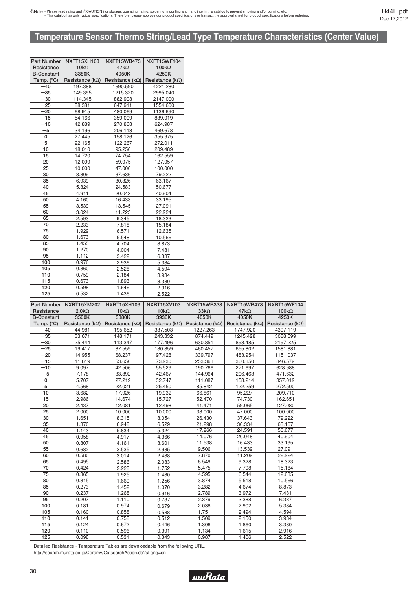# <span id="page-31-0"></span>**Temperature Sensor Thermo String/Lead Type Temperature Characteristics (Center Value)**

| Part Number         | NXFT15XH103              | NXFT15WB473              | NXFT15WF104              |
|---------------------|--------------------------|--------------------------|--------------------------|
| Resistance          | $10k\Omega$              | $47k\Omega$              | $100k\Omega$             |
| <b>B-Constant</b>   | 3380K                    | 4050K                    | 4250K                    |
| Temp. $(^{\circ}C)$ | Resistance ( $k\Omega$ ) | Resistance ( $k\Omega$ ) | Resistance ( $k\Omega$ ) |
| $-40$               | 197.388                  | 1690.590                 | 4221.280                 |
| -35                 | 149.395                  | 1215.320                 | 2995.040                 |
| -30                 | 114.345                  | 882.908                  | 2147.000                 |
| -25                 | 88.381                   | 647.911                  | 1554.600                 |
| $-20$               | 68.915                   | 480.069                  | 1136.690                 |
| $-15$               | 54.166                   | 359.009                  | 839.019                  |
| $-10$               | 42.889                   | 270.868                  | 624.987                  |
| $-5$                | 34.196                   | 206.113                  | 469.678                  |
| 0                   | 27.445                   | 158.126                  | 355.975                  |
| 5                   | 22.165                   | 122.267                  | 272.011                  |
| 10                  | 18.010                   | 95.256                   | 209.489                  |
| 15                  | 14.720                   | 74.754                   | 162.559                  |
| 20                  | 12.099                   | 59.075                   | 127.057                  |
| 25                  | 10.000                   | 47.000                   | 100.000                  |
| 30                  | 8.309                    | 37.636                   | 79.222                   |
| 35                  | 6.939                    | 30.326                   | 63.167                   |
| 40                  | 5.824                    | 24.583                   | 50.677                   |
| 45                  | 4.911                    | 20.043                   | 40.904                   |
| 50                  | 4.160                    | 16.433                   | 33.195                   |
| 55                  | 3.539                    | 13.545                   | 27.091                   |
| 60                  | 3.024                    | 11.223                   | 22.224                   |
| 65                  | 2.593                    | 9.345                    | 18.323                   |
| 70                  | 2.233                    | 7.818                    | 15.184                   |
| 75                  | 1.929                    | 6.571                    | 12.635                   |
| 80                  | 1.673                    | 5.548                    | 10.566                   |
| 85                  | 1.455                    | 4.704                    | 8.873                    |
| 90                  | 1.270                    | 4.004                    | 7.481                    |
| 95                  | 1.112                    | 3.422                    | 6.337                    |
| 100                 | 0.976                    | 2.936                    | 5.384                    |
| 105                 | 0.860                    | 2.528                    | 4.594                    |
| 110                 | 0.759                    | 2.184                    | 3.934                    |
| 115                 | 0.673                    | 1.893                    | 3.380                    |
| 120                 | 0.598                    | 1.646                    | 2.916                    |
| 125                 | 0.532                    | 1.436                    | 2.522                    |

| <b>Part Number</b> | <b>NXRT15XM202</b>       | NXRT15XH103              | <b>NXRT15XV103</b>       | <b>NXRT15WB333</b>       | NXRT15WB473              | NXRT15WF104              |
|--------------------|--------------------------|--------------------------|--------------------------|--------------------------|--------------------------|--------------------------|
| Resistance         | $2.0k\Omega$             | $10k\Omega$              | $10k\Omega$              | $33k\Omega$              | $47k\Omega$              | $100k\Omega$             |
| <b>B-Constant</b>  | 3500K                    | 3380K                    | 3936K                    | 4050K                    | 4050K                    | 4250K                    |
| Temp. (°C)         | Resistance ( $k\Omega$ ) | Resistance ( $k\Omega$ ) | Resistance ( $k\Omega$ ) | Resistance ( $k\Omega$ ) | Resistance ( $k\Omega$ ) | Resistance ( $k\Omega$ ) |
| $-40$              | 44.981                   | 195.652                  | 337.503                  | 1227.263                 | 1747.920                 | 4397.119                 |
| $-35$              | 33.671                   | 148.171                  | 243.332                  | 874.449                  | 1245.428                 | 3088.599                 |
| $-30$              | 25.444                   | 113.347                  | 177.496                  | 630.851                  | 898.485                  | 2197.225                 |
| $-25$              | 19.417                   | 87.559                   | 130.859                  | 460.457                  | 655.802                  | 1581.881                 |
| $-20$              | 14.955                   | 68.237                   | 97.428                   | 339.797                  | 483.954                  | 1151.037                 |
| $-15$              | 11.619                   | 53.650                   | 73.230                   | 253.363                  | 360.850                  | 846.579                  |
| $-10$              | 9.097                    | 42.506                   | 55.529                   | 190.766                  | 271.697                  | 628.988                  |
| $-5$               | 7.178                    | 33.892                   | 42.467                   | 144.964                  | 206.463                  | 471.632                  |
| 0                  | 5.707                    | 27.219                   | 32.747                   | 111.087                  | 158.214                  | 357.012                  |
| 5                  | 4.568                    | 22.021                   | 25.450                   | 85.842                   | 122.259                  | 272.500                  |
| 10                 | 3.682                    | 17.926                   | 19.932                   | 66.861                   | 95.227                   | 209.710                  |
| 15                 | 2.986                    | 14.674                   | 15.727                   | 52.470                   | 74.730                   | 162.651                  |
| 20                 | 2.437                    | 12.081                   | 12.498                   | 41.471                   | 59.065                   | 127.080                  |
| 25                 | 2.000                    | 10.000                   | 10.000                   | 33.000                   | 47.000                   | 100.000                  |
| 30                 | 1.651                    | 8.315                    | 8.054                    | 26.430                   | 37.643                   | 79.222                   |
| 35                 | 1.370                    | 6.948                    | 6.529                    | 21.298                   | 30.334                   | 63.167                   |
| 40                 | 1.143                    | 5.834                    | 5.324                    | 17.266                   | 24.591                   | 50.677                   |
| 45                 | 0.958                    | 4.917                    | 4.366                    | 14.076                   | 20.048                   | 40.904                   |
| 50                 | 0.807                    | 4.161                    | 3.601                    | 11.538                   | 16.433                   | 33.195                   |
| 55                 | 0.682                    | 3.535                    | 2.985                    | 9.506                    | 13.539                   | 27.091                   |
| 60                 | 0.580                    | 3.014                    | 2.488                    | 7.870                    | 11.209                   | 22.224                   |
| 65                 | 0.495                    | 2.586                    | 2.083                    | 6.549                    | 9.328                    | 18.323                   |
| 70                 | 0.424                    | 2.228                    | 1.752                    | 5.475                    | 7.798                    | 15.184                   |
| 75                 | 0.365                    | 1.925                    | 1.480                    | 4.595                    | 6.544                    | 12.635                   |
| 80                 | 0.315                    | 1.669                    | 1.256                    | 3.874                    | 5.518                    | 10.566                   |
| 85                 | 0.273                    | 1.452                    | 1.070                    | 3.282                    | 4.674                    | 8.873                    |
| 90                 | 0.237                    | 1.268                    | 0.916                    | 2.789                    | 3.972                    | 7.481                    |
| 95                 | 0.207                    | 1.110                    | 0.787                    | 2.379                    | 3.388                    | 6.337                    |
| 100                | 0.181                    | 0.974                    | 0.679                    | 2.038                    | 2.902                    | 5.384                    |
| 105                | 0.160                    | 0.858                    | 0.588                    | 1.751                    | 2.494                    | 4.594                    |
| 110                | 0.141                    | 0.758                    | 0.512                    | 1.509                    | 2.150                    | 3.934                    |
| 115                | 0.124                    | 0.672                    | 0.446                    | 1.306                    | 1.860                    | 3.380                    |
| 120                | 0.110                    | 0.596                    | 0.391                    | 1.134                    | 1.615                    | 2.916                    |
| 125                | 0.098                    | 0.531                    | 0.343                    | 0.987                    | 1.406                    | 2.522                    |

Detailed Resistance - Temperature Tables are downloadable from the following URL.

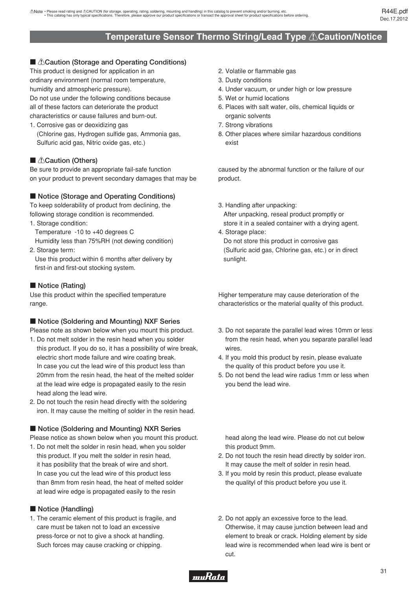# **Temperature Sensor Thermo String/Lead Type** !**Caution/Notice**

#### <span id="page-32-0"></span>■ *∆Caution (Storage and Operating Conditions)*

This product is designed for application in an ordinary environment (normal room temperature, humidity and atmospheric pressure). Do not use under the following conditions because all of these factors can deteriorate the product

characteristics or cause failures and burn-out.

1. Corrosive gas or deoxidizing gas (Chlorine gas, Hydrogen sulfide gas, Ammonia gas, Sulfuric acid gas, Nitric oxide gas, etc.)

#### **E** *A*Caution (Others)

Be sure to provide an appropriate fail-safe function on your product to prevent secondary damages that may be

#### ■ Notice (Storage and Operating Conditions)

To keep solderability of product from declining, the following storage condition is recommended.

1. Storage condition:

 Temperature -10 to +40 degrees C Humidity less than 75%RH (not dewing condition)

2. Storage term:

 Use this product within 6 months after delivery by first-in and first-out stocking system.

#### **Notice (Rating)**

Use this product within the specified temperature range.

#### ■ Notice (Soldering and Mounting) NXF Series

Please note as shown below when you mount this product.

- 1. Do not melt solder in the resin head when you solder this product. If you do so, it has a possibility of wire break, electric short mode failure and wire coating break. In case you cut the lead wire of this product less than 20mm from the resin head, the heat of the melted solder at the lead wire edge is propagated easily to the resin head along the lead wire.
- 2. Do not touch the resin head directly with the soldering iron. It may cause the melting of solder in the resin head.

#### ■ Notice (Soldering and Mounting) NXR Series

Please notice as shown below when you mount this product.

1. Do not melt the solder in resin head, when you solder this product. If you melt the solder in resin head, it has posibility that the break of wire and short. In case you cut the lead wire of this product less than 8mm from resin head, the heat of melted solder at lead wire edge is propagated easily to the resin

#### **Notice (Handling)**

1. The ceramic element of this product is fragile, and care must be taken not to load an excessive press-force or not to give a shock at handling. Such forces may cause cracking or chipping.

- 2. Volatile or flammable gas
- 3. Dusty conditions
- 4. Under vacuum, or under high or low pressure
- 5. Wet or humid locations
- 6. Places with salt water, oils, chemical liquids or organic solvents
- 7. Strong vibrations
- 8. Other places where similar hazardous conditions exist

caused by the abnormal function or the failure of our product.

3. Handling after unpacking:

 After unpacking, reseal product promptly or store it in a sealed container with a drying agent.

4. Storage place:

 Do not store this product in corrosive gas (Sulfuric acid gas, Chlorine gas, etc.) or in direct sunlight.

Higher temperature may cause deterioration of the characteristics or the material quality of this product.

- 3. Do not separate the parallel lead wires 10mm or less from the resin head, when you separate parallel lead wires.
- 4. If you mold this product by resin, please evaluate the quality of this product before you use it.
- 5. Do not bend the lead wire radius 1mm or less when you bend the lead wire.

 head along the lead wire. Please do not cut below this product 9mm.

- 2. Do not touch the resin head directly by solder iron. It may cause the melt of solder in resin head.
- 3. If you mold by resin this product, please evaluate the qualityl of this product before you use it.
- 2. Do not apply an excessive force to the lead. Otherwise, it may cause junction between lead and element to break or crack. Holding element by side lead wire is recommended when lead wire is bent or cut.

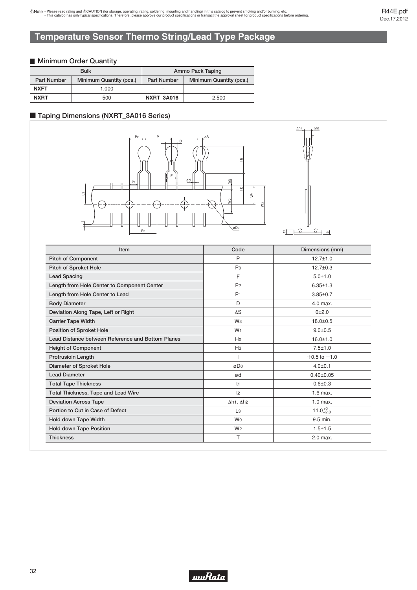# <span id="page-33-0"></span>**Temperature Sensor Thermo String/Lead Type Package**

#### **Minimum Order Quantity**

|                    | <b>Bulk</b>             | Ammo Pack Taping   |                         |  |
|--------------------|-------------------------|--------------------|-------------------------|--|
| <b>Part Number</b> | Minimum Quantity (pcs.) | <b>Part Number</b> | Minimum Quantity (pcs.) |  |
| <b>NXFT</b>        | 1.000                   |                    |                         |  |
| <b>NXRT</b>        | 500                     | <b>NXRT 3A016</b>  | 2.500                   |  |

#### c **Taping Dimensions (NXRT\_3A016 Series)**



| Item                                              | Code                                              | Dimensions (mm)    |
|---------------------------------------------------|---------------------------------------------------|--------------------|
| <b>Pitch of Component</b>                         | P                                                 | $12.7 \pm 1.0$     |
| <b>Pitch of Sproket Hole</b>                      | P <sub>0</sub>                                    | $12.7 \pm 0.3$     |
| <b>Lead Spacing</b>                               | F                                                 | $5.0 + 1.0$        |
| Length from Hole Center to Component Center       | P <sub>2</sub>                                    | $6.35 \pm 1.3$     |
| Length from Hole Center to Lead                   | P <sub>1</sub>                                    | $3.85 \pm 0.7$     |
| <b>Body Diameter</b>                              | D                                                 | $4.0$ max.         |
| Deviation Along Tape, Left or Right               | $\Delta S$                                        | $0 + 2.0$          |
| <b>Carrier Tape Width</b>                         | Wз                                                | $18.0 + 0.5$       |
| Position of Sproket Hole                          | W <sub>1</sub>                                    | $9.0 + 0.5$        |
| Lead Distance between Reference and Bottom Planes | H <sub>0</sub>                                    | $16.0 \pm 1.0$     |
| <b>Height of Component</b>                        | H <sub>3</sub>                                    | $7.5 \pm 1.0$      |
| <b>Protrusioin Length</b>                         |                                                   | $+0.5$ to $-1.0$   |
| Diameter of Sproket Hole                          | øDo                                               | $4.0{\pm}0.1$      |
| <b>Lead Diameter</b>                              | ød                                                | $0.40 \pm 0.05$    |
| <b>Total Tape Thickness</b>                       | $11$                                              | $0.6 + 0.3$        |
| <b>Total Thickness, Tape and Lead Wire</b>        | t <sub>2</sub>                                    | $1.6$ max.         |
| <b>Deviation Across Tape</b>                      | $\Delta$ h <sub>1</sub> , $\Delta$ h <sub>2</sub> | $1.0$ max.         |
| Portion to Cut in Case of Defect                  | L <sub>3</sub>                                    | $11.0^{+0}_{-2.0}$ |
| Hold down Tape Width                              | W <sub>0</sub>                                    | 9.5 min.           |
| <b>Hold down Tape Position</b>                    | W <sub>2</sub>                                    | $1.5 + 1.5$        |
| <b>Thickness</b>                                  | т                                                 | 2.0 max.           |

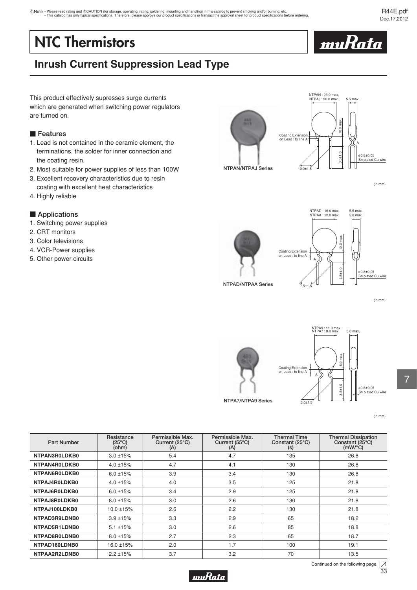# <span id="page-34-0"></span>**NTC Thermistors**



# **Inrush Current Suppression Lead Type**

This product effectively supresses surge currents which are generated when switching power regulators are turned on.

#### **Features**

- 1. Lead is not contained in the ceramic element, the terminations, the solder for inner connection and the coating resin.
- 2. Most suitable for power supplies of less than 100W
- 3. Excellent recovery characteristics due to resin coating with excellent heat characteristics
- 4. Highly reliable

#### **E** Applications

- 1. Switching power supplies
- 2. CRT monitors
- 3. Color televisions
- 4. VCR-Power supplies
- 5. Other power circuits



(in mm)





(in mm)



**NTPA7/NTPA9 Series**



(in mm)

| <b>Part Number</b> | Resistance<br>(25°C)<br>(ohm) | Permissible Max.<br>Current $(25^{\circ}C)$<br>(A) | Permissible Max.<br>Current $(55^{\circ}C)$<br>(A) | <b>Thermal Time</b><br>Constant (25°C)<br>(s) | <b>Thermal Dissipation</b><br>Constant (25°C)<br>$(mW)^{\circ}C$ |
|--------------------|-------------------------------|----------------------------------------------------|----------------------------------------------------|-----------------------------------------------|------------------------------------------------------------------|
| NTPAN3R0LDKB0      | $3.0 \pm 15%$                 | 5.4                                                | 4.7                                                | 135                                           | 26.8                                                             |
| NTPAN4R0LDKB0      | $4.0 \pm 15%$                 | 4.7                                                | 4.1                                                | 130                                           | 26.8                                                             |
| NTPAN6R0LDKB0      | $6.0 \pm 15\%$                | 3.9                                                | 3.4                                                | 130                                           | 26.8                                                             |
| NTPAJ4R0LDKB0      | $4.0 \pm 15%$                 | 4.0                                                | 3.5                                                | 125                                           | 21.8                                                             |
| NTPAJ6R0LDKB0      | $6.0 \pm 15%$                 | 3.4                                                | 2.9                                                | 125                                           | 21.8                                                             |
| NTPAJ8R0LDKB0      | $8.0 \pm 15%$                 | 3.0                                                | 2.6                                                | 130                                           | 21.8                                                             |
| NTPAJ100LDKB0      | $10.0 \pm 15%$                | 2.6                                                | 2.2                                                | 130                                           | 21.8                                                             |
| NTPAD3R9LDNB0      | $3.9 + 15%$                   | 3.3                                                | 2.9                                                | 65                                            | 18.2                                                             |
| NTPAD5R1LDNB0      | $5.1 \pm 15%$                 | 3.0                                                | 2.6                                                | 85                                            | 18.8                                                             |
| NTPAD8R0LDNB0      | $8.0 \pm 15%$                 | 2.7                                                | 2.3                                                | 65                                            | 18.7                                                             |
| NTPAD160LDNB0      | 16.0 ±15%                     | 2.0                                                | 1.7                                                | 100                                           | 19.1                                                             |
| NTPAA2R2LDNB0      | $2.2 \pm 15%$                 | 3.7                                                | 3.2                                                | 70                                            | 13.5                                                             |



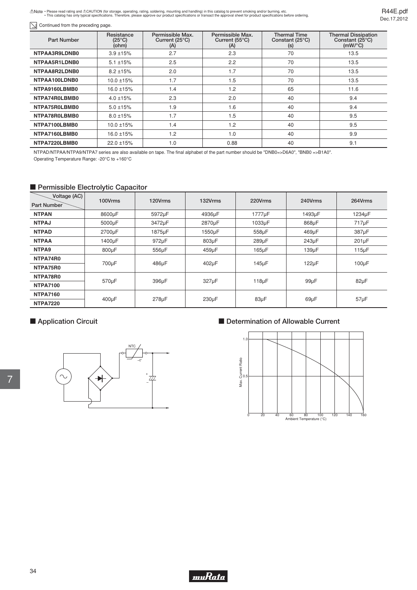Note · Please read rating and ACAUTION (for storage, operating, rating, soldering, mounting and handling) in this catalog to prevent smoking and/or burning, etc.<br>This catalog has only typical specifications. Therefore, ple

R44E.pdf Dec.17,2012

| <b>Part Number</b> | Resistance<br>$(25^{\circ}C)$<br>(ohm) | Permissible Max.<br>Current $(25^{\circ}C)$<br>(A) | Permissible Max.<br>Current $(55^{\circ}C)$<br>(A) | <b>Thermal Time</b><br>Constant (25°C)<br>(s) | <b>Thermal Dissipation</b><br>Constant (25°C)<br>$(mW)^{\circ}C$ |
|--------------------|----------------------------------------|----------------------------------------------------|----------------------------------------------------|-----------------------------------------------|------------------------------------------------------------------|
| NTPAA3R9LDNB0      | $3.9 + 15%$                            | 2.7                                                | 2.3                                                | 70                                            | 13.5                                                             |
| NTPAA5R1LDNB0      | $5.1 \pm 15%$                          | 2.5                                                | 2.2                                                | 70                                            | 13.5                                                             |
| NTPAA8R2LDNB0      | $8.2 \pm 15%$                          | 2.0                                                | 1.7                                                | 70                                            | 13.5                                                             |
| NTPAA100LDNB0      | 10.0 ±15%                              | 1.7                                                | 1.5                                                | 70                                            | 13.5                                                             |
| NTPA9160LBMB0      | 16.0 ±15%                              | 1.4                                                | 1.2                                                | 65                                            | 11.6                                                             |
| NTPA74R0LBMB0      | $4.0 \pm 15%$                          | 2.3                                                | 2.0                                                | 40                                            | 9.4                                                              |
| NTPA75R0LBMB0      | $5.0 \pm 15%$                          | 1.9                                                | 1.6                                                | 40                                            | 9.4                                                              |
| NTPA78R0LBMB0      | $8.0 \pm 15%$                          | 1.7                                                | 1.5                                                | 40                                            | 9.5                                                              |
| NTPA7100LBMB0      | 10.0 ±15%                              | 1.4                                                | 1.2                                                | 40                                            | 9.5                                                              |
| NTPA7160LBMB0      | 16.0 ±15%                              | 1.2                                                | 1.0                                                | 40                                            | 9.9                                                              |
| NTPA7220LBMB0      | 22.0 ±15%                              | 1.0                                                | 0.88                                               | 40                                            | 9.1                                                              |

NTPAD/NTPAA/NTPA9/NTPA7 series are also available on tape. The final alphabet of the part number should be "DNB0=>D6A0", "BNB0 =>B1A0". Operating Temperature Range: -20°C to +160°C

## **Permissible Electrolytic Capacitor**

| Voltage (AC)<br>Part Number | 100Vrms    | 120Vrms    | 132Vrms | 220Vrms    | 240Vrms    | 264Vrms     |
|-----------------------------|------------|------------|---------|------------|------------|-------------|
| <b>NTPAN</b>                | 8600µF     | 5972µF     | 4936µF  | 1777uF     | 1493µF     | 1234µF      |
| <b>NTPAJ</b>                | 5000µF     | 3472µF     | 2870µF  | 1033µF     | 868µF      | 717µF       |
| <b>NTPAD</b>                | 2700µF     | 1875µF     | 1550µF  | 558µF      | 469µF      | 387µF       |
| <b>NTPAA</b>                | 1400µF     | 972µF      | 803µF   | 289µF      | $243\mu F$ | $201 \mu F$ |
| NTPA9                       | 800µF      | 556µF      | 459µF   | $165\mu F$ | $139\mu F$ | $115\mu F$  |
| NTPA74R0                    |            |            | 402µF   |            | $122\mu F$ | $100\mu F$  |
| NTPA75R0                    | 700µF      | 486µF      |         | 145µF      |            |             |
| NTPA78R0                    |            |            |         |            |            | $82\mu F$   |
| <b>NTPA7100</b>             | 570µF      | 396µF      | 327µF   | $118\mu F$ | $99\mu F$  |             |
| <b>NTPA7160</b>             |            |            |         |            |            |             |
| <b>NTPA7220</b>             | $400\mu F$ | $278\mu F$ | 230µF   | $83\mu F$  | $69\mu F$  | $57\mu F$   |

# **E** Application Circuit



# $\blacksquare$  Determination of Allowable Current



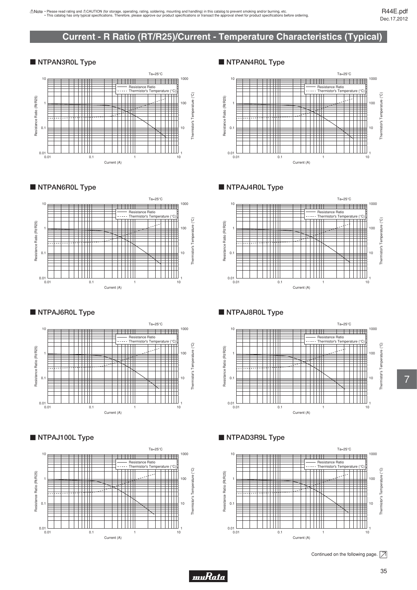# **Current - R Ratio (RT/R25)/Current - Temperature Characteristics (Typical)**

#### <span id="page-36-0"></span>**NTPAN3R0L Type**



#### **NTPAN6R0L Type**



#### **NTPAJ6R0L Type**



#### **NTPAJ100L Type**



#### **NTPAN4R0L Type**



#### **NTPAJ4R0L Type**



### **NTPAJ8R0L Type**



### **NTPAD3R9L Type**



Continued on the following page.  $\boxed{\nearrow}$ 

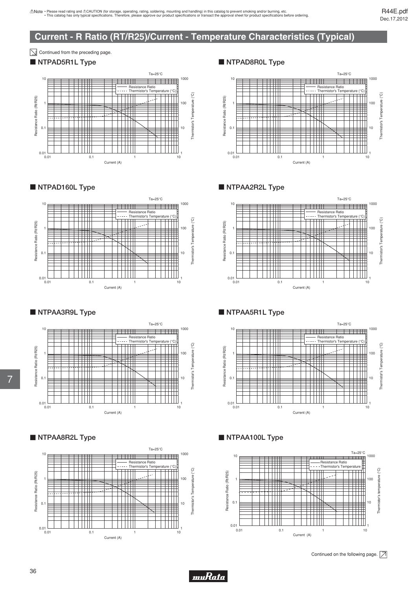# **Current - R Ratio (RT/R25)/Current - Temperature Characteristics (Typical)**

 $\boxed{\searrow}$  Continued from the preceding page.

# **NTPAD5R1L Type**





# **NTPAA3R9L Type**







## **NTPAD8R0L Type**



### **NTPAA2R2L Type**



### **NTPAA5R1L Type**



# **NTPAA100L Type**



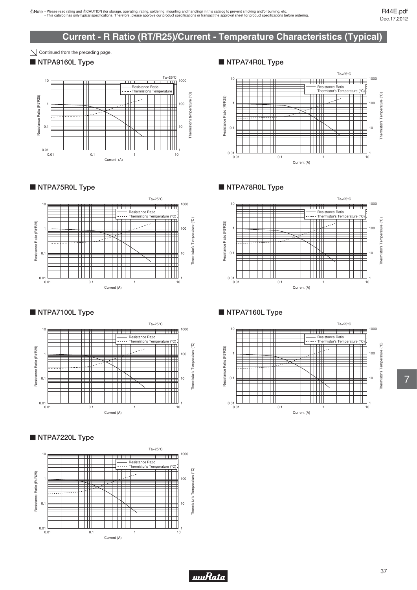# **Current - R Ratio (RT/R25)/Current - Temperature Characteristics (Typical)**

 $\boxed{\searrow}$  Continued from the preceding page.

### **NTPA9160L Type**



**NTPA75R0L Type** 



**NTPA7100L Type** 



### **NTPA7220L Type**



#### **NTPA74R0L Type**



**NTPA78R0L Type** 



### **NTPA7160L Type**

*muRata* 

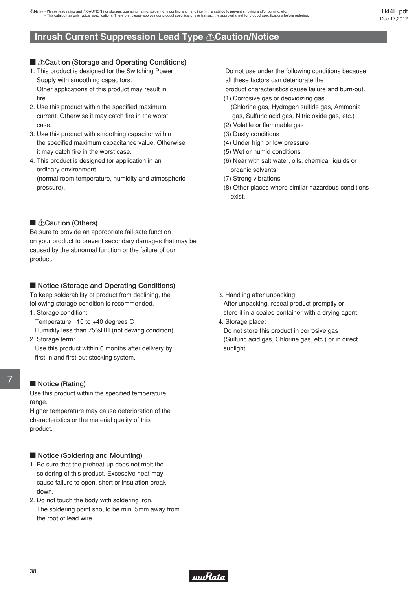## <span id="page-39-0"></span>**Inrush Current Suppression Lead Type** !**Caution/Notice**

#### ■ *∆Caution (Storage and Operating Conditions)*

- 1. This product is designed for the Switching Power Supply with smoothing capacitors. Other applications of this product may result in fire.
- 2. Use this product within the specified maximum current. Otherwise it may catch fire in the worst case.
- 3. Use this product with smoothing capacitor within the specified maximum capacitance value. Otherwise it may catch fire in the worst case.
- 4. This product is designed for application in an ordinary environment (normal room temperature, humidity and atmospheric pressure).

#### **E** *A*Caution (Others)

Be sure to provide an appropriate fail-safe function on your product to prevent secondary damages that may be caused by the abnormal function or the failure of our product.

#### ■ Notice (Storage and Operating Conditions)

To keep solderability of product from declining, the following storage condition is recommended.

- 1. Storage condition:
	- Temperature -10 to +40 degrees C

 Humidity less than 75%RH (not dewing condition) 2. Storage term:

 Use this product within 6 months after delivery by first-in and first-out stocking system.

# 7

#### **Notice (Rating)**

Use this product within the specified temperature range.

Higher temperature may cause deterioration of the characteristics or the material quality of this product.

#### ■ Notice (Soldering and Mounting)

- 1. Be sure that the preheat-up does not melt the soldering of this product. Excessive heat may cause failure to open, short or insulation break down.
- 2. Do not touch the body with soldering iron. The soldering point should be min. 5mm away from the root of lead wire.

 Do not use under the following conditions because all these factors can deteriorate the

product characteristics cause failure and burn-out.

- (1) Corrosive gas or deoxidizing gas. (Chlorine gas, Hydrogen sulfide gas, Ammonia gas, Sulfuric acid gas, Nitric oxide gas, etc.)
- (2) Volatile or flammable gas
- (3) Dusty conditions
- (4) Under high or low pressure
- (5) Wet or humid conditions
- (6) Near with salt water, oils, chemical liquids or organic solvents
- (7) Strong vibrations
- (8) Other places where similar hazardous conditions exist.

- 3. Handling after unpacking: After unpacking, reseal product promptly or store it in a sealed container with a drying agent.
- 4. Storage place:

 Do not store this product in corrosive gas (Sulfuric acid gas, Chlorine gas, etc.) or in direct sunlight.

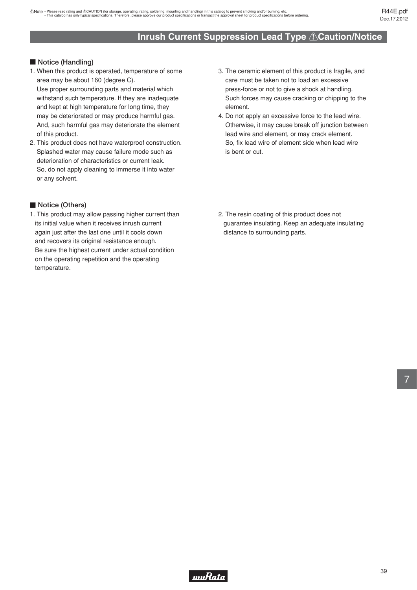# **Inrush Current Suppression Lead Type** !**Caution/Notice**

#### **Notice (Handling)**

- 1. When this product is operated, temperature of some area may be about 160 (degree C). Use proper surrounding parts and material which withstand such temperature. If they are inadequate and kept at high temperature for long time, they may be deteriorated or may produce harmful gas. And, such harmful gas may deteriorate the element of this product.
- 2. This product does not have waterproof construction. Splashed water may cause failure mode such as deterioration of characteristics or current leak. So, do not apply cleaning to immerse it into water or any solvent.

#### **Notice (Others)**

1. This product may allow passing higher current than its initial value when it receives inrush current again just after the last one until it cools down and recovers its original resistance enough. Be sure the highest current under actual condition on the operating repetition and the operating temperature.

- 3. The ceramic element of this product is fragile, and care must be taken not to load an excessive press-force or not to give a shock at handling. Such forces may cause cracking or chipping to the element.
- 4. Do not apply an excessive force to the lead wire. Otherwise, it may cause break off junction between lead wire and element, or may crack element. So, fix lead wire of element side when lead wire is bent or cut.
- 2. The resin coating of this product does not guarantee insulating. Keep an adequate insulating distance to surrounding parts.

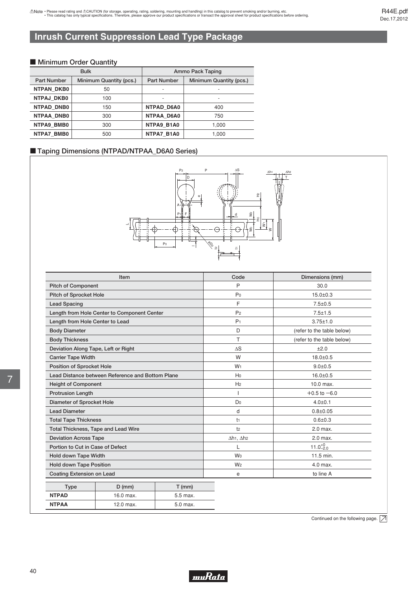R44E.pdf Dec.17,2012

# <span id="page-41-0"></span>**Inrush Current Suppression Lead Type Package**

#### $\blacksquare$  **Minimum Order Quantity**

|                    | <b>Bulk</b>             | Ammo Pack Taping   |                         |  |
|--------------------|-------------------------|--------------------|-------------------------|--|
| <b>Part Number</b> | Minimum Quantity (pcs.) | <b>Part Number</b> | Minimum Quantity (pcs.) |  |
| <b>NTPAN DKB0</b>  | 50                      |                    |                         |  |
| <b>NTPAJ DKB0</b>  | 100                     |                    |                         |  |
| NTPAD DNB0         | 150                     | NTPAD D6A0         | 400                     |  |
| NTPAA DNB0         | 300                     | NTPAA D6A0         | 750                     |  |
| NTPA9 BMB0         | 300                     | NTPA9 B1A0         | 1,000                   |  |
| NTPA7 BMB0         | 500                     | NTPA7 B1A0         | 1,000                   |  |

#### ■ Taping Dimensions (NTPAD/NTPAA\_D6A0 Series)



|                                     | Item                                             |                | Code                                              | Dimensions (mm)            |
|-------------------------------------|--------------------------------------------------|----------------|---------------------------------------------------|----------------------------|
| <b>Pitch of Component</b>           |                                                  |                | P                                                 | 30.0                       |
| Pitch of Sprocket Hole              |                                                  |                | Po                                                | $15.0 \pm 0.3$             |
| <b>Lead Spacing</b>                 |                                                  |                | F                                                 | $7.5 \pm 0.5$              |
|                                     | Length from Hole Center to Component Center      |                | P <sub>2</sub>                                    | $7.5 \pm 1.5$              |
| Length from Hole Center to Lead     |                                                  |                | P <sub>1</sub>                                    | $3.75 \pm 1.0$             |
| <b>Body Diameter</b>                |                                                  |                | D                                                 | (refer to the table below) |
| <b>Body Thickness</b>               |                                                  |                | т                                                 | (refer to the table below) |
| Deviation Along Tape, Left or Right |                                                  |                | $\Delta S$                                        | ±2.0                       |
| <b>Carrier Tape Width</b>           |                                                  |                | W                                                 | $18.0 + 0.5$               |
| Position of Sprocket Hole           |                                                  |                | W <sub>1</sub>                                    | $9.0 + 0.5$                |
|                                     | Lead Distance between Reference and Bottom Plane |                | Ho                                                | $16.0 + 0.5$               |
| <b>Height of Component</b>          |                                                  |                | H <sub>2</sub>                                    | $10.0$ max.                |
| <b>Protrusion Length</b>            |                                                  |                |                                                   | $+0.5$ to $-6.0$           |
| Diameter of Sprocket Hole           |                                                  |                | D <sub>0</sub>                                    | $4.0{\pm}0.1$              |
| <b>Lead Diameter</b>                |                                                  |                | d                                                 | $0.8 + 0.05$               |
| <b>Total Tape Thickness</b>         |                                                  |                | t <sub>1</sub>                                    | $0.6 + 0.3$                |
| Total Thickness, Tape and Lead Wire |                                                  |                | t <sub>2</sub>                                    | 2.0 max.                   |
| <b>Deviation Across Tape</b>        |                                                  |                | $\Delta$ h <sub>1</sub> , $\Delta$ h <sub>2</sub> | 2.0 max.                   |
| Portion to Cut in Case of Defect    |                                                  |                |                                                   | $11.0^{+0}_{-2.0}$         |
| Hold down Tape Width                |                                                  | W <sub>0</sub> | 11.5 min.                                         |                            |
| <b>Hold down Tape Position</b>      |                                                  | W <sub>2</sub> | $4.0$ max.                                        |                            |
| Coating Extension on Lead           |                                                  |                | e                                                 | to line A                  |
| <b>Type</b>                         | $D$ (mm)                                         | $T$ (mm)       |                                                   |                            |
| <b>NTPAD</b>                        | 16.0 max.                                        | 5.5 max.       |                                                   |                            |

Continued on the following page.  $\boxed{\overline{\nearrow}}$ 



12.0 max. 5.0 max.

**NTPAA**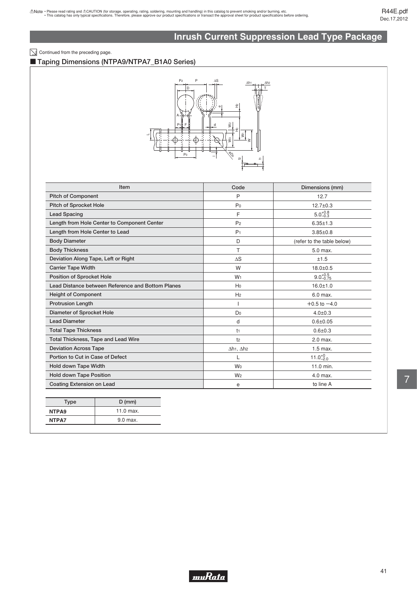# **Inrush Current Suppression Lead Type Package**

#### $\boxed{\searrow}$  Continued from the preceding page.

#### ■ Taping Dimensions (NTPA9/NTPA7\_B1A0 Series)



| <b>Item</b>                                       | Code                                              | Dimensions (mm)            |
|---------------------------------------------------|---------------------------------------------------|----------------------------|
| <b>Pitch of Component</b>                         | P                                                 | 12.7                       |
| <b>Pitch of Sprocket Hole</b>                     | P <sub>0</sub>                                    | $12.7 \pm 0.3$             |
| <b>Lead Spacing</b>                               | E                                                 | $5.0^{+0.8}_{-0.3}$        |
| Length from Hole Center to Component Center       | P <sub>2</sub>                                    | $6.35 \pm 1.3$             |
| Length from Hole Center to Lead                   | P <sub>1</sub>                                    | $3.85 \pm 0.8$             |
| <b>Body Diameter</b>                              | D                                                 | (refer to the table below) |
| <b>Body Thickness</b>                             | т                                                 | 5.0 max.                   |
| Deviation Along Tape, Left or Right               | $\Delta S$                                        | ±1.5                       |
| <b>Carrier Tape Width</b>                         | W                                                 | $18.0 \pm 0.5$             |
| <b>Position of Sprocket Hole</b>                  | W <sub>1</sub>                                    | $9.0^{+0.5}_{-0.75}$       |
| Lead Distance between Reference and Bottom Planes | Ho                                                | $16.0 + 1.0$               |
| <b>Height of Component</b>                        | H <sub>2</sub>                                    | 6.0 max.                   |
| <b>Protrusion Length</b>                          | ı                                                 | $+0.5$ to $-4.0$           |
| Diameter of Sprocket Hole                         | Do                                                | $4.0 \pm 0.3$              |
| <b>Lead Diameter</b>                              | d                                                 | $0.6 + 0.05$               |
| <b>Total Tape Thickness</b>                       | t <sub>1</sub>                                    | $0.6 + 0.3$                |
| Total Thickness, Tape and Lead Wire               | t <sub>2</sub>                                    | 2.0 max.                   |
| <b>Deviation Across Tape</b>                      | $\Delta h$ <sub>1</sub> , $\Delta h$ <sub>2</sub> | $1.5$ max.                 |
| Portion to Cut in Case of Defect                  |                                                   | $11.0^{+0}_{-2.0}$         |
| Hold down Tape Width                              | W <sub>0</sub>                                    | 11.0 min.                  |
| <b>Hold down Tape Position</b>                    | W <sub>2</sub>                                    | 4.0 max.                   |
| <b>Coating Extension on Lead</b>                  | e                                                 | to line A                  |

|             | <b>Type</b>                |  |
|-------------|----------------------------|--|
| $11.0$ max. |                            |  |
|             | 9.0 max.                   |  |
|             | NTPA <sub>9</sub><br>NTPA7 |  |